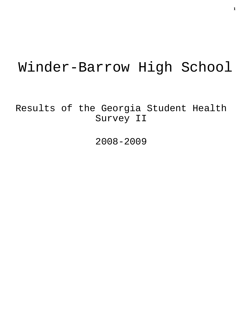# Winder-Barrow High School

Results of the Georgia Student Health Survey II

2008-2009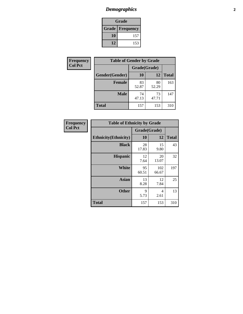# *Demographics* **2**

| Grade                    |     |  |  |
|--------------------------|-----|--|--|
| <b>Grade   Frequency</b> |     |  |  |
| 10                       | 157 |  |  |
| 12                       | 153 |  |  |

| Frequency      | <b>Table of Gender by Grade</b> |              |             |              |
|----------------|---------------------------------|--------------|-------------|--------------|
| <b>Col Pct</b> |                                 | Grade(Grade) |             |              |
|                | Gender(Gender)                  | <b>10</b>    | 12          | <b>Total</b> |
|                | <b>Female</b>                   | 83<br>52.87  | 80<br>52.29 | 163          |
|                | <b>Male</b>                     | 74<br>47.13  | 73<br>47.71 | 147          |
|                | <b>Total</b>                    | 157          | 153         | 310          |

| <b>Frequency</b> |
|------------------|
| Col Pet          |

| <b>Table of Ethnicity by Grade</b> |              |              |              |  |  |
|------------------------------------|--------------|--------------|--------------|--|--|
|                                    | Grade(Grade) |              |              |  |  |
| <b>Ethnicity</b> (Ethnicity)       | 10           | 12           | <b>Total</b> |  |  |
| <b>Black</b>                       | 28<br>17.83  | 15<br>9.80   | 43           |  |  |
| <b>Hispanic</b>                    | 12<br>7.64   | 20<br>13.07  | 32           |  |  |
| White                              | 95<br>60.51  | 102<br>66.67 | 197          |  |  |
| <b>Asian</b>                       | 13<br>8.28   | 12<br>7.84   | 25           |  |  |
| <b>Other</b>                       | 9<br>5.73    | 4<br>2.61    | 13           |  |  |
| <b>Total</b>                       | 157          | 153          | 310          |  |  |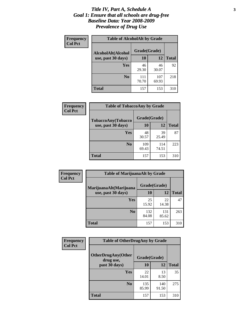#### *Title IV, Part A, Schedule A* **3** *Goal 1: Ensure that all schools are drug-free Baseline Data: Year 2008-2009 Prevalence of Drug Use*

| Frequency<br><b>Col Pct</b> | <b>Table of AlcoholAlt by Grade</b> |              |              |              |  |
|-----------------------------|-------------------------------------|--------------|--------------|--------------|--|
|                             | AlcoholAlt(Alcohol                  | Grade(Grade) |              |              |  |
|                             | use, past 30 days)                  | <b>10</b>    | 12           | <b>Total</b> |  |
|                             | Yes                                 | 46<br>29.30  | 46<br>30.07  | 92           |  |
|                             | N <sub>0</sub>                      | 111<br>70.70 | 107<br>69.93 | 218          |  |
|                             | <b>Total</b>                        | 157          | 153          | 310          |  |

| Frequency<br><b>Col Pct</b> | <b>Table of TobaccoAny by Grade</b> |              |              |              |
|-----------------------------|-------------------------------------|--------------|--------------|--------------|
|                             | <b>TobaccoAny(Tobacco</b>           |              | Grade(Grade) |              |
|                             | use, past 30 days)                  | 10           | 12           | <b>Total</b> |
|                             | Yes                                 | 48<br>30.57  | 39<br>25.49  | 87           |
|                             | N <sub>0</sub>                      | 109<br>69.43 | 114<br>74.51 | 223          |
|                             | Total                               | 157          | 153          | 310          |

| Frequency<br><b>Col Pct</b> | <b>Table of MarijuanaAlt by Grade</b> |              |              |              |  |
|-----------------------------|---------------------------------------|--------------|--------------|--------------|--|
|                             | MarijuanaAlt(Marijuana                | Grade(Grade) |              |              |  |
|                             | use, past 30 days)                    | 10           | 12           | <b>Total</b> |  |
|                             | <b>Yes</b>                            | 25<br>15.92  | 22<br>14.38  | 47           |  |
|                             | N <sub>0</sub>                        | 132<br>84.08 | 131<br>85.62 | 263          |  |
|                             | <b>Total</b>                          | 157          | 153          | 310          |  |

| Frequency<br><b>Col Pct</b> | <b>Table of OtherDrugAny by Grade</b>  |              |              |              |
|-----------------------------|----------------------------------------|--------------|--------------|--------------|
|                             | <b>OtherDrugAny(Other</b><br>drug use, | Grade(Grade) |              |              |
|                             | past 30 days)                          | 10           | 12           | <b>Total</b> |
|                             | Yes                                    | 22<br>14.01  | 13<br>8.50   | 35           |
|                             | N <sub>0</sub>                         | 135<br>85.99 | 140<br>91.50 | 275          |
|                             | <b>Total</b>                           | 157          | 153          | 310          |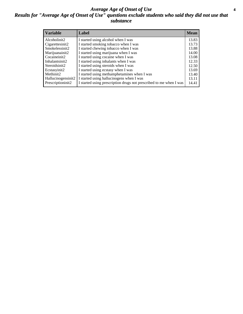#### *Average Age of Onset of Use* **4** *Results for "Average Age of Onset of Use" questions exclude students who said they did not use that substance*

| <b>Variable</b>    | Label                                                              | <b>Mean</b> |
|--------------------|--------------------------------------------------------------------|-------------|
| Alcoholinit2       | I started using alcohol when I was                                 | 13.83       |
| Cigarettesinit2    | I started smoking tobacco when I was                               | 13.73       |
| Smokelessinit2     | I started chewing tobacco when I was                               | 13.88       |
| Marijuanainit2     | I started using marijuana when I was                               | 14.00       |
| Cocaineinit2       | I started using cocaine when I was                                 | 13.08       |
| Inhalantsinit2     | I started using inhalants when I was                               | 12.33       |
| Steroidsinit2      | I started using steroids when I was                                | 12.50       |
| Ecstasyinit2       | I started using ecstasy when I was                                 | 13.69       |
| Methinit2          | I started using methamphetamines when I was                        | 13.40       |
| Hallucinogensinit2 | I started using hallucinogens when I was                           | 13.11       |
| Prescriptioninit2  | I started using prescription drugs not prescribed to me when I was | 14.41       |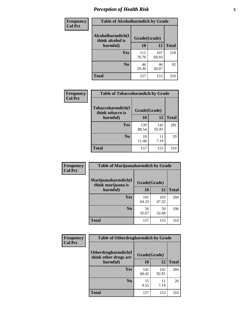# *Perception of Health Risk* **5**

| Frequency      | <b>Table of Alcoholharmdich by Grade</b> |              |              |              |
|----------------|------------------------------------------|--------------|--------------|--------------|
| <b>Col Pct</b> | Alcoholharmdich(I<br>think alcohol is    | Grade(Grade) |              |              |
|                | harmful)                                 | 10           | 12           | <b>Total</b> |
|                | <b>Yes</b>                               | 111<br>70.70 | 107<br>69.93 | 218          |
|                | N <sub>0</sub>                           | 46<br>29.30  | 46<br>30.07  | 92           |
|                | <b>Total</b>                             | 157          | 153          | 310          |

| <b>Frequency</b> | <b>Table of Tobaccoharmdich by Grade</b> |              |              |              |
|------------------|------------------------------------------|--------------|--------------|--------------|
| <b>Col Pct</b>   | Tobaccoharmdich(I<br>think tobacco is    | Grade(Grade) |              |              |
|                  | harmful)                                 | 10           | 12           | <b>Total</b> |
|                  | Yes                                      | 139<br>88.54 | 142<br>92.81 | 281          |
|                  | N <sub>0</sub>                           | 18<br>11.46  | 11<br>7.19   | 29           |
|                  | <b>Total</b>                             | 157          | 153          | 310          |

| <b>Frequency</b> | <b>Table of Marijuanaharmdich by Grade</b> |              |              |              |  |
|------------------|--------------------------------------------|--------------|--------------|--------------|--|
| <b>Col Pct</b>   | Marijuanaharmdich(I<br>think marijuana is  | Grade(Grade) |              |              |  |
|                  | harmful)                                   | 10           | 12           | <b>Total</b> |  |
|                  | <b>Yes</b>                                 | 101<br>64.33 | 103<br>67.32 | 204          |  |
|                  | N <sub>0</sub>                             | 56<br>35.67  | 50<br>32.68  | 106          |  |
|                  | <b>Total</b>                               | 157          | 153          | 310          |  |

| <b>Frequency</b> | <b>Table of Otherdrugharmdich by Grade</b>   |              |              |              |  |  |
|------------------|----------------------------------------------|--------------|--------------|--------------|--|--|
| <b>Col Pct</b>   | Otherdrugharmdich(I<br>think other drugs are | Grade(Grade) |              |              |  |  |
|                  | harmful)                                     | <b>10</b>    | 12           | <b>Total</b> |  |  |
|                  | Yes                                          | 142<br>90.45 | 142<br>92.81 | 284          |  |  |
|                  | N <sub>0</sub>                               | 15<br>9.55   | 11<br>7.19   | 26           |  |  |
|                  | <b>Total</b>                                 | 157          | 153          | 310          |  |  |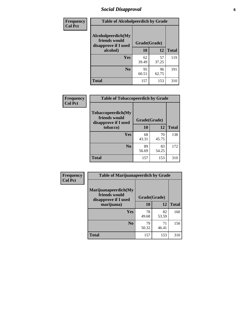# *Social Disapproval* **6**

| Frequency      |                                                             | <b>Table of Alcoholpeerdich by Grade</b> |              |     |  |  |  |
|----------------|-------------------------------------------------------------|------------------------------------------|--------------|-----|--|--|--|
| <b>Col Pct</b> | Alcoholpeerdich(My<br>friends would<br>disapprove if I used | Grade(Grade)                             |              |     |  |  |  |
|                | alcohol)                                                    | 10                                       | <b>Total</b> |     |  |  |  |
|                | <b>Yes</b>                                                  | 62<br>39.49                              | 57<br>37.25  | 119 |  |  |  |
|                | N <sub>0</sub>                                              | 95<br>60.51                              | 96<br>62.75  | 191 |  |  |  |
|                | <b>Total</b>                                                | 157                                      | 153          | 310 |  |  |  |

| <b>Frequency</b> |
|------------------|
| <b>Col Pct</b>   |

| <b>Table of Tobaccopeerdich by Grade</b>                    |              |             |              |  |  |
|-------------------------------------------------------------|--------------|-------------|--------------|--|--|
| Tobaccopeerdich(My<br>friends would<br>disapprove if I used | Grade(Grade) |             |              |  |  |
| tobacco)                                                    | 10           | 12          | <b>Total</b> |  |  |
| Yes                                                         | 68<br>43.31  | 70<br>45.75 | 138          |  |  |
| N <sub>0</sub>                                              | 89<br>56.69  | 83<br>54.25 | 172          |  |  |
| <b>Total</b>                                                | 157          | 153         | 310          |  |  |

| Frequency      | <b>Table of Marijuanapeerdich by Grade</b>                    |              |             |              |
|----------------|---------------------------------------------------------------|--------------|-------------|--------------|
| <b>Col Pct</b> | Marijuanapeerdich(My<br>friends would<br>disapprove if I used | Grade(Grade) |             |              |
|                | marijuana)                                                    | 10           | 12          | <b>Total</b> |
|                | <b>Yes</b>                                                    | 78<br>49.68  | 82<br>53.59 | 160          |
|                | N <sub>0</sub>                                                | 79<br>50.32  | 71<br>46.41 | 150          |
|                | <b>Total</b>                                                  | 157          | 153         | 310          |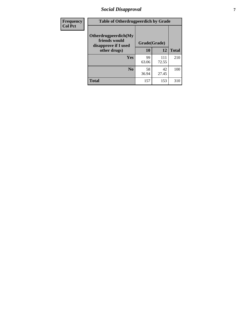# *Social Disapproval* **7**

| Frequency      | <b>Table of Otherdrugpeerdich by Grade</b>                    |              |              |              |  |  |  |
|----------------|---------------------------------------------------------------|--------------|--------------|--------------|--|--|--|
| <b>Col Pct</b> | Otherdrugpeerdich(My<br>friends would<br>disapprove if I used | Grade(Grade) |              |              |  |  |  |
|                | other drugs)                                                  | 10           | 12           | <b>Total</b> |  |  |  |
|                | Yes                                                           | 99<br>63.06  | 111<br>72.55 | 210          |  |  |  |
|                | N <sub>0</sub>                                                | 58<br>36.94  | 42<br>27.45  | 100          |  |  |  |
|                | <b>Total</b>                                                  | 157          | 153          | 310          |  |  |  |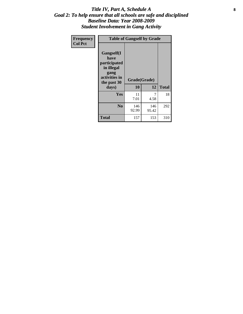### Title IV, Part A, Schedule A **8** *Goal 2: To help ensure that all schools are safe and disciplined Baseline Data: Year 2008-2009 Student Involvement in Gang Activity*

| Frequency      |                                                                                                   | <b>Table of Gangself by Grade</b> |              |              |
|----------------|---------------------------------------------------------------------------------------------------|-----------------------------------|--------------|--------------|
| <b>Col Pct</b> | Gangself(I<br>have<br>participated<br>in illegal<br>gang<br>activities in<br>the past 30<br>days) | Grade(Grade)<br>10                | 12           | <b>Total</b> |
|                | Yes                                                                                               | 11<br>7.01                        | 7<br>4.58    | 18           |
|                | N <sub>0</sub>                                                                                    | 146<br>92.99                      | 146<br>95.42 | 292          |
|                | Total                                                                                             | 157                               | 153          | 310          |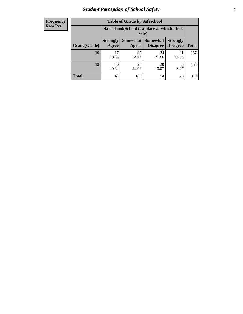# *Student Perception of School Safety* **9**

| <b>Frequency</b><br>Row Pct |
|-----------------------------|
|                             |

| <b>Table of Grade by Safeschool</b> |                          |                                                        |                             |                                    |              |  |
|-------------------------------------|--------------------------|--------------------------------------------------------|-----------------------------|------------------------------------|--------------|--|
|                                     |                          | Safeschool (School is a place at which I feel<br>safe) |                             |                                    |              |  |
| Grade(Grade)                        | <b>Strongly</b><br>Agree | Somewhat<br>Agree                                      | <b>Somewhat</b><br>Disagree | <b>Strongly</b><br><b>Disagree</b> | <b>Total</b> |  |
| 10                                  | 17<br>10.83              | 85<br>54.14                                            | 34<br>21.66                 | 21<br>13.38                        | 157          |  |
| 12                                  | 30<br>19.61              | 98<br>64.05                                            | 20<br>13.07                 | 5<br>3.27                          | 153          |  |
| <b>Total</b>                        | 47                       | 183                                                    | 54                          | 26                                 | 310          |  |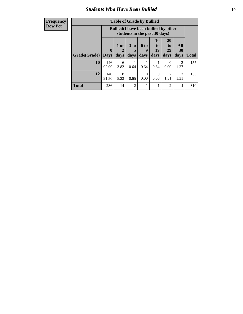### *Students Who Have Been Bullied* **10**

#### **Frequency Row Pct**

| <b>Table of Grade by Bullied</b> |                  |                                                                               |                              |                   |                        |                        |                          |              |
|----------------------------------|------------------|-------------------------------------------------------------------------------|------------------------------|-------------------|------------------------|------------------------|--------------------------|--------------|
|                                  |                  | <b>Bullied</b> (I have been bullied by other<br>students in the past 30 days) |                              |                   |                        |                        |                          |              |
| Grade(Grade)                     | 0<br><b>Days</b> | 1 or<br>days                                                                  | 3 <sub>to</sub><br>5<br>days | 6 to<br>9<br>days | 10<br>to<br>19<br>days | 20<br>to<br>29<br>days | <b>All</b><br>30<br>days | <b>Total</b> |
| 10                               | 146<br>92.99     | 6<br>3.82                                                                     | 0.64                         | 0.64              | 0.64                   | $\theta$<br>0.00       | $\overline{2}$<br>1.27   | 157          |
| 12                               | 140<br>91.50     | 8<br>5.23                                                                     | 0.65                         | $\Omega$<br>0.00  | 0<br>0.00              | $\overline{2}$<br>1.31 | $\overline{c}$<br>1.31   | 153          |
| <b>Total</b>                     | 286              | 14                                                                            | $\overline{2}$               |                   |                        | $\overline{2}$         | 4                        | 310          |

 $\blacksquare$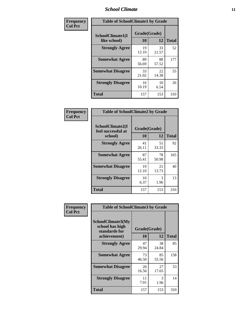### *School Climate* **11**

| Frequency      | <b>Table of SchoolClimate1 by Grade</b> |                    |             |              |  |
|----------------|-----------------------------------------|--------------------|-------------|--------------|--|
| <b>Col Pct</b> | SchoolClimate1(I<br>like school)        | Grade(Grade)<br>10 | 12          | <b>Total</b> |  |
|                | <b>Strongly Agree</b>                   | 19<br>12.10        | 33<br>21.57 | 52           |  |
|                | <b>Somewhat Agree</b>                   | 89<br>56.69        | 88<br>57.52 | 177          |  |
|                | <b>Somewhat Disagree</b>                | 33<br>21.02        | 22<br>14.38 | 55           |  |
|                | <b>Strongly Disagree</b>                | 16<br>10.19        | 10<br>6.54  | 26           |  |
|                | <b>Total</b>                            | 157                | 153         | 310          |  |

| Frequency<br>Col Pct |  |
|----------------------|--|

| <b>Table of SchoolClimate2 by Grade</b>           |                    |             |              |  |
|---------------------------------------------------|--------------------|-------------|--------------|--|
| SchoolClimate2(I<br>feel successful at<br>school) | Grade(Grade)<br>10 | 12          | <b>Total</b> |  |
| <b>Strongly Agree</b>                             | 41<br>26.11        | 51<br>33.33 | 92           |  |
| <b>Somewhat Agree</b>                             | 87<br>55.41        | 78<br>50.98 | 165          |  |
| <b>Somewhat Disagree</b>                          | 19<br>12.10        | 21<br>13.73 | 40           |  |
| <b>Strongly Disagree</b>                          | 10<br>6.37         | 3<br>1.96   | 13           |  |
| <b>Total</b>                                      | 157                | 153         | 310          |  |

| Frequency      | <b>Table of SchoolClimate3 by Grade</b>                                      |                    |             |              |
|----------------|------------------------------------------------------------------------------|--------------------|-------------|--------------|
| <b>Col Pct</b> | <b>SchoolClimate3(My</b><br>school has high<br>standards for<br>achievement) | Grade(Grade)<br>10 | 12          | <b>Total</b> |
|                | <b>Strongly Agree</b>                                                        | 47<br>29.94        | 38<br>24.84 | 85           |
|                | <b>Somewhat Agree</b>                                                        | 73<br>46.50        | 85<br>55.56 | 158          |
|                | <b>Somewhat Disagree</b>                                                     | 26<br>16.56        | 27<br>17.65 | 53           |
|                | <b>Strongly Disagree</b>                                                     | 11<br>7.01         | 3<br>1.96   | 14           |
|                | Total                                                                        | 157                | 153         | 310          |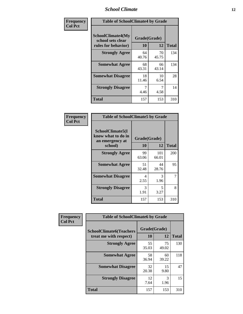### *School Climate* **12**

| Frequency      |                                                                      | <b>Table of SchoolClimate4 by Grade</b> |             |              |  |
|----------------|----------------------------------------------------------------------|-----------------------------------------|-------------|--------------|--|
| <b>Col Pct</b> | <b>SchoolClimate4(My</b><br>school sets clear<br>rules for behavior) | Grade(Grade)<br>10                      | 12          | <b>Total</b> |  |
|                | <b>Strongly Agree</b>                                                | 64<br>40.76                             | 70<br>45.75 | 134          |  |
|                | <b>Somewhat Agree</b>                                                | 68<br>43.31                             | 66<br>43.14 | 134          |  |
|                | <b>Somewhat Disagree</b>                                             | 18<br>11.46                             | 10<br>6.54  | 28           |  |
|                | <b>Strongly Disagree</b>                                             | 7<br>4.46                               | 7<br>4.58   | 14           |  |
|                | <b>Total</b>                                                         | 157                                     | 153         | 310          |  |

| <b>Table of SchoolClimate5 by Grade</b>                              |                    |              |     |  |  |
|----------------------------------------------------------------------|--------------------|--------------|-----|--|--|
| SchoolClimate5(I<br>know what to do in<br>an emergency at<br>school) | Grade(Grade)<br>10 | <b>Total</b> |     |  |  |
| <b>Strongly Agree</b>                                                | 99                 | 12<br>101    | 200 |  |  |
|                                                                      | 63.06              | 66.01        |     |  |  |
| <b>Somewhat Agree</b>                                                | 51                 | 44           | 95  |  |  |
|                                                                      | 32.48              | 28.76        |     |  |  |
| <b>Somewhat Disagree</b>                                             | 4                  | 3            | 7   |  |  |
|                                                                      | 2.55               | 1.96         |     |  |  |
| <b>Strongly Disagree</b>                                             | 3<br>1.91          | 5<br>3.27    | 8   |  |  |
| <b>Total</b>                                                         | 157                | 153          | 310 |  |  |

| Frequency      | <b>Table of SchoolClimate6 by Grade</b>                  |                    |             |              |
|----------------|----------------------------------------------------------|--------------------|-------------|--------------|
| <b>Col Pct</b> | <b>SchoolClimate6(Teachers</b><br>treat me with respect) | Grade(Grade)<br>10 | 12          | <b>Total</b> |
|                | <b>Strongly Agree</b>                                    | 55<br>35.03        | 75<br>49.02 | 130          |
|                | <b>Somewhat Agree</b>                                    | 58<br>36.94        | 60<br>39.22 | 118          |
|                | <b>Somewhat Disagree</b>                                 | 32<br>20.38        | 15<br>9.80  | 47           |
|                | <b>Strongly Disagree</b>                                 | 12<br>7.64         | 3<br>1.96   | 15           |
|                | <b>Total</b>                                             | 157                | 153         | 310          |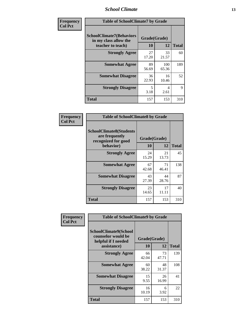### *School Climate* **13**

| Frequency      | <b>Table of SchoolClimate7 by Grade</b>                                       |                    |                        |              |
|----------------|-------------------------------------------------------------------------------|--------------------|------------------------|--------------|
| <b>Col Pct</b> | <b>SchoolClimate7(Behaviors</b><br>in my class allow the<br>teacher to teach) | Grade(Grade)<br>10 | 12                     | <b>Total</b> |
|                | <b>Strongly Agree</b>                                                         | 27<br>17.20        | 33<br>21.57            | 60           |
|                | <b>Somewhat Agree</b>                                                         | 89<br>56.69        | 100<br>65.36           | 189          |
|                | <b>Somewhat Disagree</b>                                                      | 36<br>22.93        | 16<br>10.46            | 52           |
|                | <b>Strongly Disagree</b>                                                      | 5<br>3.18          | $\overline{4}$<br>2.61 | 9            |
|                | <b>Total</b>                                                                  | 157                | 153                    | 310          |

| Frequency      | <b>Table of SchoolClimate8 by Grade</b>                                              |                    |             |              |
|----------------|--------------------------------------------------------------------------------------|--------------------|-------------|--------------|
| <b>Col Pct</b> | <b>SchoolClimate8(Students</b><br>are frequently<br>recognized for good<br>behavior) | Grade(Grade)<br>10 | 12          | <b>Total</b> |
|                | <b>Strongly Agree</b>                                                                | 24<br>15.29        | 21<br>13.73 | 45           |
|                | <b>Somewhat Agree</b>                                                                | 67<br>42.68        | 71<br>46.41 | 138          |
|                | <b>Somewhat Disagree</b>                                                             | 43<br>27.39        | 44<br>28.76 | 87           |
|                | <b>Strongly Disagree</b>                                                             | 23<br>14.65        | 17<br>11.11 | 40           |
|                | <b>Total</b>                                                                         | 157                | 153         | 310          |

| Frequency      | <b>Table of SchoolClimate9 by Grade</b>                                           |                    |             |              |
|----------------|-----------------------------------------------------------------------------------|--------------------|-------------|--------------|
| <b>Col Pct</b> | SchoolClimate9(School<br>counselor would be<br>helpful if I needed<br>assistance) | Grade(Grade)<br>10 | 12          | <b>Total</b> |
|                | <b>Strongly Agree</b>                                                             | 66<br>42.04        | 73<br>47.71 | 139          |
|                | <b>Somewhat Agree</b>                                                             | 60<br>38.22        | 48<br>31.37 | 108          |
|                | <b>Somewhat Disagree</b>                                                          | 15<br>9.55         | 26<br>16.99 | 41           |
|                | <b>Strongly Disagree</b>                                                          | 16<br>10.19        | 6<br>3.92   | 22           |
|                | Total                                                                             | 157                | 153         | 310          |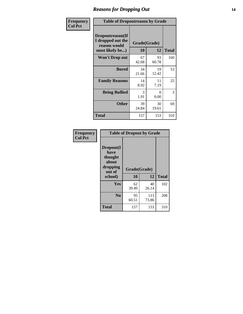### *Reasons for Dropping Out* **14**

| Frequency      | <b>Table of Dropoutreason by Grade</b>                                   |                    |             |              |
|----------------|--------------------------------------------------------------------------|--------------------|-------------|--------------|
| <b>Col Pct</b> | Dropoutreason(If<br>I dropped out the<br>reason would<br>most likely be) | Grade(Grade)<br>10 | 12          | <b>Total</b> |
|                | Won't Drop out                                                           | 67<br>42.68        | 93<br>60.78 | 160          |
|                | <b>Bored</b>                                                             | 34<br>21.66        | 19<br>12.42 | 53           |
|                | <b>Family Reasons</b>                                                    | 14<br>8.92         | 11<br>7.19  | 25           |
|                | <b>Being Bullied</b>                                                     | 3<br>1.91          | 0<br>0.00   | 3            |
|                | <b>Other</b>                                                             | 39<br>24.84        | 30<br>19.61 | 69           |
|                | <b>Total</b>                                                             | 157                | 153         | 310          |

| Frequency      | <b>Table of Dropout by Grade</b>                                       |                          |              |              |  |
|----------------|------------------------------------------------------------------------|--------------------------|--------------|--------------|--|
| <b>Col Pct</b> | Dropout(I<br>have<br>thought<br>about<br>dropping<br>out of<br>school) | Grade(Grade)<br>12<br>10 |              | <b>Total</b> |  |
|                | Yes                                                                    | 62<br>39.49              | 40<br>26.14  | 102          |  |
|                | N <sub>0</sub>                                                         | 95<br>60.51              | 113<br>73.86 | 208          |  |
|                | <b>Total</b>                                                           | 157                      | 153          | 310          |  |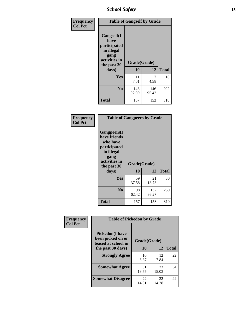*School Safety* **15**

| Frequency      | <b>Table of Gangself by Grade</b>                                                                 |                    |              |              |
|----------------|---------------------------------------------------------------------------------------------------|--------------------|--------------|--------------|
| <b>Col Pct</b> | Gangself(I<br>have<br>participated<br>in illegal<br>gang<br>activities in<br>the past 30<br>days) | Grade(Grade)<br>10 | 12           | <b>Total</b> |
|                | Yes                                                                                               | 11<br>7.01         | 7<br>4.58    | 18           |
|                | N <sub>0</sub>                                                                                    | 146<br>92.99       | 146<br>95.42 | 292          |
|                | <b>Total</b>                                                                                      | 157                | 153          | 310          |

| Frequency<br><b>Col Pct</b> | <b>Table of Gangpeers by Grade</b>                                                                                             |                    |              |              |
|-----------------------------|--------------------------------------------------------------------------------------------------------------------------------|--------------------|--------------|--------------|
|                             | <b>Gangpeers</b> (I<br>have friends<br>who have<br>participated<br>in illegal<br>gang<br>activities in<br>the past 30<br>days) | Grade(Grade)<br>10 | 12           | <b>Total</b> |
|                             | <b>Yes</b>                                                                                                                     | 59<br>37.58        | 21<br>13.73  | 80           |
|                             | N <sub>0</sub>                                                                                                                 | 98<br>62.42        | 132<br>86.27 | 230          |
|                             | <b>Total</b>                                                                                                                   | 157                | 153          | 310          |

| Frequency      | <b>Table of Pickedon by Grade</b>                                  |              |             |              |  |  |  |  |  |
|----------------|--------------------------------------------------------------------|--------------|-------------|--------------|--|--|--|--|--|
| <b>Col Pct</b> | <b>Pickedon(I have</b><br>been picked on or<br>teased at school in | Grade(Grade) |             |              |  |  |  |  |  |
|                | the past 30 days)                                                  | 10           | 12          | <b>Total</b> |  |  |  |  |  |
|                | <b>Strongly Agree</b>                                              | 10<br>6.37   | 12<br>7.84  | 22           |  |  |  |  |  |
|                | <b>Somewhat Agree</b>                                              | 31<br>19.75  | 23<br>15.03 | 54           |  |  |  |  |  |
|                | <b>Somewhat Disagree</b>                                           | 22<br>14.01  | 22<br>14.38 | 44           |  |  |  |  |  |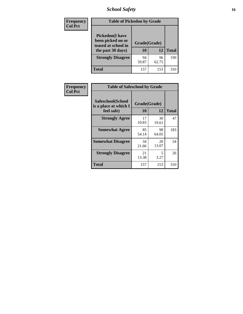# *School Safety* **16**

| Frequency      | <b>Table of Pickedon by Grade</b>                                                        |                    |             |              |
|----------------|------------------------------------------------------------------------------------------|--------------------|-------------|--------------|
| <b>Col Pct</b> | <b>Pickedon</b> (I have<br>been picked on or<br>teased at school in<br>the past 30 days) | Grade(Grade)<br>10 | 12          | <b>Total</b> |
|                | <b>Strongly Disagree</b>                                                                 | 94<br>59.87        | 96<br>62.75 | 190          |
|                | Total                                                                                    | 157                | 153         | 310          |

| Frequency      | <b>Table of Safeschool by Grade</b>                      |                    |              |     |
|----------------|----------------------------------------------------------|--------------------|--------------|-----|
| <b>Col Pct</b> | Safeschool(School<br>is a place at which I<br>feel safe) | Grade(Grade)<br>10 | <b>Total</b> |     |
|                | <b>Strongly Agree</b>                                    | 17<br>10.83        | 30<br>19.61  | 47  |
|                | <b>Somewhat Agree</b>                                    | 85<br>54.14        | 98<br>64.05  | 183 |
|                | <b>Somewhat Disagree</b>                                 | 34<br>21.66        | 20<br>13.07  | 54  |
|                | <b>Strongly Disagree</b>                                 | 21<br>13.38        | 5<br>3.27    | 26  |
|                | Total                                                    | 157                | 153          | 310 |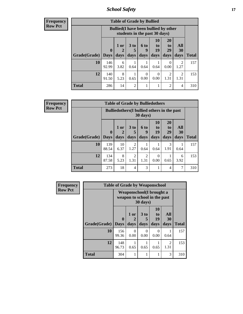*School Safety* **17**

**Frequency Row Pct**

| <b>Table of Grade by Bullied</b> |              |                                                                               |                              |                   |                        |                               |                                  |              |  |  |  |  |
|----------------------------------|--------------|-------------------------------------------------------------------------------|------------------------------|-------------------|------------------------|-------------------------------|----------------------------------|--------------|--|--|--|--|
|                                  |              | <b>Bullied</b> (I have been bullied by other<br>students in the past 30 days) |                              |                   |                        |                               |                                  |              |  |  |  |  |
| Grade(Grade)   Days              | $\mathbf 0$  | 1 or<br>2<br>days                                                             | 3 <sub>to</sub><br>5<br>days | 6 to<br>q<br>days | 10<br>to<br>19<br>days | <b>20</b><br>to<br>29<br>days | All<br><b>30</b><br>days         | <b>Total</b> |  |  |  |  |
| 10                               | 146<br>92.99 | 6<br>3.82                                                                     | 0.64                         | 0.64              | 0.64                   | $\theta$<br>0.00              | $\overline{\mathcal{L}}$<br>1.27 | 157          |  |  |  |  |
| 12                               | 140<br>91.50 | 8<br>5.23                                                                     | 0.65                         | 0<br>0.00         | 0<br>0.00              | 2<br>1.31                     | $\mathfrak{D}$<br>1.31           | 153          |  |  |  |  |
| <b>Total</b>                     | 286          | 14                                                                            | $\overline{2}$               |                   |                        | $\overline{2}$                | 4                                | 310          |  |  |  |  |

| <b>Frequency</b> |
|------------------|
| <b>Row Pct</b>   |

| <b>Table of Grade by Bulliedothers</b> |              |                                                                |                              |                       |                               |                        |                   |              |  |  |  |  |
|----------------------------------------|--------------|----------------------------------------------------------------|------------------------------|-----------------------|-------------------------------|------------------------|-------------------|--------------|--|--|--|--|
|                                        |              | <b>Bulliedothers</b> (I bullied others in the past<br>30 days) |                              |                       |                               |                        |                   |              |  |  |  |  |
| Grade(Grade)   Days                    | $\bf{0}$     | $1$ or<br>2<br>days                                            | 3 <sub>to</sub><br>5<br>days | 6 to<br>9<br>days     | <b>10</b><br>to<br>19<br>days | 20<br>to<br>29<br>days | All<br>30<br>days | <b>Total</b> |  |  |  |  |
| 10                                     | 139<br>88.54 | 10<br>6.37                                                     | $\overline{2}$<br>1.27       | 0.64                  | 0.64                          | 3<br>1.91              | 0.64              | 157          |  |  |  |  |
| 12                                     | 134<br>87.58 | 8<br>5.23                                                      | $\overline{2}$<br>1.31       | $\mathcal{D}$<br>1.31 | $\Omega$<br>0.00              | 0.65                   | 6<br>3.92         | 153          |  |  |  |  |
| <b>Total</b>                           | 273          | 18                                                             | $\overline{4}$               | 3                     |                               | $\overline{4}$         | 7                 | 310          |  |  |  |  |

| Frequency      |              | <b>Table of Grade by Weaponschool</b>                            |              |                              |                        |                   |              |
|----------------|--------------|------------------------------------------------------------------|--------------|------------------------------|------------------------|-------------------|--------------|
| <b>Row Pct</b> |              | <b>Weaponschool</b> (I brought a<br>weapon to school in the past |              |                              |                        |                   |              |
|                | Grade(Grade) | $\bf{0}$<br><b>Days</b>                                          | 1 or<br>days | 3 <sub>to</sub><br>5<br>days | 10<br>to<br>19<br>days | All<br>30<br>days | <b>Total</b> |
|                | 10           | 156<br>99.36                                                     | 0<br>0.00    | 0<br>0.00                    | 0<br>0.00              | 0.64              | 157          |
|                | 12           | 148<br>96.73                                                     | 0.65         | 0.65                         | 0.65                   | 2<br>1.31         | 153          |
|                | <b>Total</b> | 304                                                              |              |                              |                        | 3                 | 310          |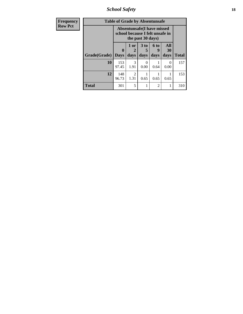*School Safety* **18**

| <b>Frequency</b> | <b>Table of Grade by Absentunsafe</b> |                                                                |                        |                         |                   |                   |              |
|------------------|---------------------------------------|----------------------------------------------------------------|------------------------|-------------------------|-------------------|-------------------|--------------|
| <b>Row Pct</b>   |                                       | Absentunsafe (I have missed<br>school because I felt unsafe in |                        |                         |                   |                   |              |
|                  | Grade(Grade)                          | $\bf{0}$<br><b>Days</b>                                        | 1 or<br>days           | 3 <sub>to</sub><br>days | 6 to<br>g<br>days | All<br>30<br>days | <b>Total</b> |
|                  | 10                                    | 153<br>97.45                                                   | 3<br>1.91              | 0.00                    | 0.64              | $\Omega$<br>0.00  | 157          |
|                  | 12                                    | 148<br>96.73                                                   | $\overline{2}$<br>1.31 | 0.65                    | 0.65              | 0.65              | 153          |
|                  | Total                                 | 301                                                            | 5                      |                         | 2                 |                   | 310          |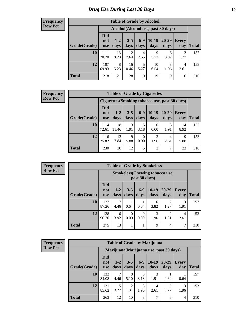# *Drug Use During Last 30 Days* **19**

#### **Frequency Row Pct**

| <b>Table of Grade by Alcohol</b> |                                 |                 |                 |               |                 |                                     |                        |       |  |  |  |
|----------------------------------|---------------------------------|-----------------|-----------------|---------------|-----------------|-------------------------------------|------------------------|-------|--|--|--|
|                                  |                                 |                 |                 |               |                 | Alcohol (Alcohol use, past 30 days) |                        |       |  |  |  |
| Grade(Grade)                     | <b>Did</b><br>not<br><b>use</b> | $1 - 2$<br>days | $3 - 5$<br>days | $6-9$<br>days | $10-19$<br>days | $20 - 29$<br>days                   | Every<br>day           | Total |  |  |  |
| 10                               | 111<br>70.70                    | 13<br>8.28      | 12<br>7.64      | 4<br>2.55     | 9<br>5.73       | 6<br>3.82                           | $\mathfrak{D}$<br>1.27 | 157   |  |  |  |
| 12                               | 107<br>69.93                    | 8<br>5.23       | 16<br>10.46     | 5<br>3.27     | 10<br>6.54      | 3<br>1.96                           | 4<br>2.61              | 153   |  |  |  |
| <b>Total</b>                     | 218                             | 21              | 28              | 9             | 19              | 9                                   | 6                      | 310   |  |  |  |

#### **Frequency Row Pct**

| <b>Table of Grade by Cigarettes</b> |                                                       |                 |                 |                 |                  |               |                     |              |  |  |  |
|-------------------------------------|-------------------------------------------------------|-----------------|-----------------|-----------------|------------------|---------------|---------------------|--------------|--|--|--|
|                                     | <b>Cigarettes (Smoking tobacco use, past 30 days)</b> |                 |                 |                 |                  |               |                     |              |  |  |  |
| Grade(Grade)                        | <b>Did</b><br>not<br><b>use</b>                       | $1 - 2$<br>days | $3 - 5$<br>days | $6 - 9$<br>days | 10-19<br>days    | 20-29<br>days | <b>Every</b><br>day | <b>Total</b> |  |  |  |
| 10                                  | 114<br>72.61                                          | 18<br>11.46     | 3<br>1.91       | 5<br>3.18       | $\Omega$<br>0.00 | 1.91          | 14<br>8.92          | 157          |  |  |  |
| 12                                  | 116<br>75.82                                          | 12<br>7.84      | 9<br>5.88       | 0<br>0.00       | 3<br>1.96        | 4<br>2.61     | 9<br>5.88           | 153          |  |  |  |
| Total                               | 230                                                   | 30              | 12              | 5               | 3                |               | 23                  | 310          |  |  |  |

**Frequency Row Pct**

| <b>Table of Grade by Smokeless</b> |                                 |                                                         |                  |                  |                 |                        |                     |              |  |  |  |
|------------------------------------|---------------------------------|---------------------------------------------------------|------------------|------------------|-----------------|------------------------|---------------------|--------------|--|--|--|
|                                    |                                 | <b>Smokeless</b> (Chewing tobacco use,<br>past 30 days) |                  |                  |                 |                        |                     |              |  |  |  |
| Grade(Grade)                       | <b>Did</b><br>not<br><b>use</b> | $1 - 2$<br>days                                         | $3 - 5$<br>days  | $6 - 9$<br>days  | $10-19$<br>days | $20 - 29$<br>days      | <b>Every</b><br>day | <b>Total</b> |  |  |  |
| 10                                 | 137<br>87.26                    | 7<br>4.46                                               | 0.64             | 0.64             | 6<br>3.82       | $\mathfrak{D}$<br>1.27 | 3<br>1.91           | 157          |  |  |  |
| 12                                 | 138<br>90.20                    | 6<br>3.92                                               | $\Omega$<br>0.00 | $\Omega$<br>0.00 | 3<br>1.96       | $\mathfrak{D}$<br>1.31 | 4<br>2.61           | 153          |  |  |  |
| <b>Total</b>                       | 275                             | 13                                                      |                  |                  | 9               | 4                      | 7                   | 310          |  |  |  |

**Frequency Row Pct**

| <b>Table of Grade by Marijuana</b> |                                 |                 |                 |               |                                         |               |                     |              |  |  |  |
|------------------------------------|---------------------------------|-----------------|-----------------|---------------|-----------------------------------------|---------------|---------------------|--------------|--|--|--|
|                                    |                                 |                 |                 |               | Marijuana (Marijuana use, past 30 days) |               |                     |              |  |  |  |
| Grade(Grade)                       | <b>Did</b><br>not<br><b>use</b> | $1 - 2$<br>days | $3 - 5$<br>days | $6-9$<br>days | $10-19$<br>days                         | 20-29<br>days | <b>Every</b><br>day | <b>Total</b> |  |  |  |
| 10                                 | 132<br>84.08                    | 4.46            | 8<br>5.10       | 5<br>3.18     | 3<br>1.91                               | 0.64          | 0.64                | 157          |  |  |  |
| 12                                 | 131<br>85.62                    | 5<br>3.27       | 2<br>1.31       | 3<br>1.96     | 4<br>2.61                               | 5<br>3.27     | 3<br>1.96           | 153          |  |  |  |
| <b>Total</b>                       | 263                             | 12              | 10              | 8             | 7                                       | 6             | 4                   | 310          |  |  |  |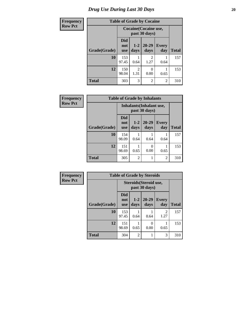# *Drug Use During Last 30 Days* 20

| <b>Frequency</b> |              |                          |                                        | <b>Table of Grade by Cocaine</b> |                     |              |  |
|------------------|--------------|--------------------------|----------------------------------------|----------------------------------|---------------------|--------------|--|
| <b>Row Pct</b>   |              |                          | Cocaine (Cocaine use,<br>past 30 days) |                                  |                     |              |  |
|                  | Grade(Grade) | Did<br>not<br><b>use</b> | $1-2$<br>days                          | 20-29<br>days                    | <b>Every</b><br>day | <b>Total</b> |  |
|                  | 10           | 153<br>97.45             | 0.64                                   | $\overline{2}$<br>1.27           | 0.64                | 157          |  |
|                  | 12           | 150<br>98.04             | $\mathfrak{D}$<br>1.31                 | 0<br>0.00                        | 0.65                | 153          |  |
|                  | <b>Total</b> | 303                      | 3                                      | $\overline{2}$                   | $\overline{2}$      | 310          |  |

| Frequency      | <b>Table of Grade by Inhalants</b> |                                 |                 |                                           |                |              |  |  |
|----------------|------------------------------------|---------------------------------|-----------------|-------------------------------------------|----------------|--------------|--|--|
| <b>Row Pct</b> |                                    |                                 |                 | Inhalants (Inhalant use,<br>past 30 days) |                |              |  |  |
|                | Grade(Grade)                       | <b>Did</b><br>not<br><b>use</b> | $1 - 2$<br>days | $20 - 29$<br>days                         | Every<br>day   | <b>Total</b> |  |  |
|                | 10                                 | 154<br>98.09                    | 0.64            | 0.64                                      | 0.64           | 157          |  |  |
|                | 12                                 | 151<br>98.69                    | 0.65            | 0<br>0.00                                 | 0.65           | 153          |  |  |
|                | <b>Total</b>                       | 305                             | $\overline{2}$  |                                           | $\mathfrak{D}$ | 310          |  |  |

| <b>Frequency</b> | <b>Table of Grade by Steroids</b> |                                 |                |                                         |                     |              |  |  |
|------------------|-----------------------------------|---------------------------------|----------------|-----------------------------------------|---------------------|--------------|--|--|
| <b>Row Pct</b>   |                                   |                                 |                | Steroids (Steroid use,<br>past 30 days) |                     |              |  |  |
|                  | Grade(Grade)                      | <b>Did</b><br>not<br><b>use</b> | $1-2$<br>days  | $20 - 29$<br>days                       | <b>Every</b><br>day | <b>Total</b> |  |  |
|                  | 10                                | 153<br>97.45                    | 0.64           | 0.64                                    | 2<br>1.27           | 157          |  |  |
|                  | 12                                | 151<br>98.69                    | 0.65           | 0.00                                    | 0.65                | 153          |  |  |
|                  | <b>Total</b>                      | 304                             | $\overline{2}$ |                                         | 3                   | 310          |  |  |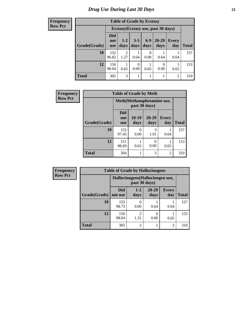**Frequency Row Pct**

| <b>Table of Grade by Ecstasy</b> |                                 |                                                                                                   |      |      |      |                |     |  |  |
|----------------------------------|---------------------------------|---------------------------------------------------------------------------------------------------|------|------|------|----------------|-----|--|--|
|                                  |                                 | Ecstasy (Ecstasy use, past 30 days)                                                               |      |      |      |                |     |  |  |
| Grade(Grade)                     | <b>Did</b><br>not<br><b>use</b> | $6 - 9$<br>$20 - 29$<br>$3 - 5$<br>$1 - 2$<br><b>Every</b><br>days<br>days<br>day<br>days<br>days |      |      |      |                |     |  |  |
| 10                               | 152<br>96.82                    | $\overline{2}$<br>1.27                                                                            | 0.64 | 0.00 | 0.64 | 0.64           | 157 |  |  |
| 12                               | 150<br>98.04                    | 0<br>0<br>0.00<br>0.00<br>0.65<br>0.65<br>0.65                                                    |      |      |      |                |     |  |  |
| <b>Total</b>                     | 302                             | 3                                                                                                 |      |      |      | $\overline{2}$ | 310 |  |  |

| <b>Frequency</b> | <b>Table of Grade by Meth</b> |                          |                                            |                   |                     |              |  |  |
|------------------|-------------------------------|--------------------------|--------------------------------------------|-------------------|---------------------|--------------|--|--|
| <b>Row Pct</b>   |                               |                          | Meth(Methamphetamine use,<br>past 30 days) |                   |                     |              |  |  |
|                  | Grade(Grade)                  | Did<br>not<br><b>use</b> | $10-19$<br>days                            | $20 - 29$<br>days | <b>Every</b><br>day | <b>Total</b> |  |  |
|                  | 10                            | 153<br>97.45             | 0<br>0.00                                  | 3<br>1.91         | 0.64                | 157          |  |  |
|                  | 12                            | 151<br>98.69             | 0.65                                       | 0.00              | 0.65                | 153          |  |  |
|                  | <b>Total</b>                  | 304                      | 1                                          | 3                 | $\overline{2}$      | 310          |  |  |

| Frequency      | <b>Table of Grade by Hallucinogens</b> |                                  |                 |                   |                     |              |  |  |
|----------------|----------------------------------------|----------------------------------|-----------------|-------------------|---------------------|--------------|--|--|
| <b>Row Pct</b> |                                        | Hallucinogens (Hallucinogen use, |                 |                   |                     |              |  |  |
|                | Grade(Grade)                           | <b>Did</b><br>not use            | $1 - 2$<br>days | $20 - 29$<br>days | <b>Every</b><br>day | <b>Total</b> |  |  |
|                | 10                                     | 155<br>98.73                     | 0.00            | 0.64              | 0.64                | 157          |  |  |
|                | 12                                     | 150<br>98.04                     | ↑<br>1.31       | 0.00              | 0.65                | 153          |  |  |
|                | <b>Total</b>                           | 305                              | $\mathfrak{D}$  |                   | 2                   | 310          |  |  |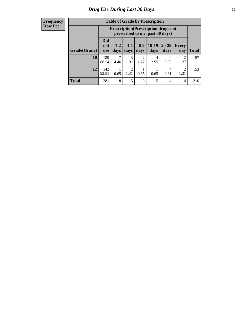#### **Frequency Row Pct**

| <b>Table of Grade by Prescription</b> |                                 |                                                                                                                             |           |                        |           |                  |                        |     |  |
|---------------------------------------|---------------------------------|-----------------------------------------------------------------------------------------------------------------------------|-----------|------------------------|-----------|------------------|------------------------|-----|--|
|                                       |                                 | <b>Prescription</b> (Prescription drugs not<br>prescribed to me, past 30 days)                                              |           |                        |           |                  |                        |     |  |
| Grade(Grade)                          | <b>Did</b><br>not<br><b>use</b> | $6-9$<br>$10-19$<br>$20 - 29$<br>$3 - 5$<br>$1 - 2$<br>Every<br>days<br><b>Total</b><br>days<br>days<br>day<br>days<br>days |           |                        |           |                  |                        |     |  |
| 10                                    | 139<br>88.54                    | 4.46                                                                                                                        | 3<br>1.91 | $\overline{c}$<br>1.27 | 4<br>2.55 | $\Omega$<br>0.00 | $\overline{2}$<br>1.27 | 157 |  |
| 12                                    | 142<br>92.81                    | $\overline{2}$<br>2<br>4<br>1.31<br>0.65<br>0.65<br>0.65<br>1.31<br>2.61                                                    |           |                        |           |                  |                        |     |  |
| <b>Total</b>                          | 281                             | 8                                                                                                                           | 5         | 3                      | 5         | $\overline{4}$   | 4                      | 310 |  |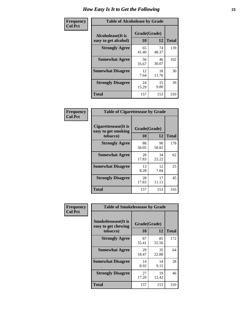| Frequency      | <b>Table of Alcoholease by Grade</b>              |                    |             |              |  |  |  |
|----------------|---------------------------------------------------|--------------------|-------------|--------------|--|--|--|
| <b>Col Pct</b> | <b>Alcoholease</b> (It is<br>easy to get alcohol) | Grade(Grade)<br>10 | 12          | <b>Total</b> |  |  |  |
|                | <b>Strongly Agree</b>                             | 65<br>41.40        | 74<br>48.37 | 139          |  |  |  |
|                | <b>Somewhat Agree</b>                             | 56<br>35.67        | 46<br>30.07 | 102          |  |  |  |
|                | <b>Somewhat Disagree</b>                          | 12<br>7.64         | 18<br>11.76 | 30           |  |  |  |
|                | <b>Strongly Disagree</b>                          | 24<br>15.29        | 15<br>9.80  | 39           |  |  |  |
|                | <b>Total</b>                                      | 157                | 153         | 310          |  |  |  |

| Frequency      | <b>Table of Cigarettesease by Grade</b>                  |                    |             |              |  |  |
|----------------|----------------------------------------------------------|--------------------|-------------|--------------|--|--|
| <b>Col Pct</b> | Cigarettesease (It is<br>easy to get smoking<br>tobacco) | Grade(Grade)<br>10 | 12          | <b>Total</b> |  |  |
|                | <b>Strongly Agree</b>                                    | 88<br>56.05        | 90<br>58.82 | 178          |  |  |
|                | <b>Somewhat Agree</b>                                    | 28<br>17.83        | 34<br>22.22 | 62           |  |  |
|                | <b>Somewhat Disagree</b>                                 | 13<br>8.28         | 12<br>7.84  | 25           |  |  |
|                | <b>Strongly Disagree</b>                                 | 28<br>17.83        | 17<br>11.11 | 45           |  |  |
|                | Total                                                    | 157                | 153         | 310          |  |  |

| Frequency      | <b>Table of Smokelessease by Grade</b>             |              |             |              |
|----------------|----------------------------------------------------|--------------|-------------|--------------|
| <b>Col Pct</b> | <b>Smokelessease</b> (It is<br>easy to get chewing | Grade(Grade) |             |              |
|                | tobacco)                                           | 10           | 12          | <b>Total</b> |
|                | <b>Strongly Agree</b>                              | 87<br>55.41  | 85<br>55.56 | 172          |
|                | <b>Somewhat Agree</b>                              | 29<br>18.47  | 35<br>22.88 | 64           |
|                | <b>Somewhat Disagree</b>                           | 14<br>8.92   | 14<br>9.15  | 28           |
|                | <b>Strongly Disagree</b>                           | 27<br>17.20  | 19<br>12.42 | 46           |
|                | <b>Total</b>                                       | 157          | 153         | 310          |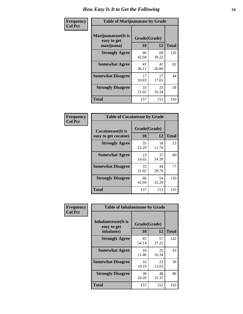| Frequency      | <b>Table of Marijuanaease by Grade</b>           |                    |             |              |  |  |
|----------------|--------------------------------------------------|--------------------|-------------|--------------|--|--|
| <b>Col Pct</b> | Marijuanaease(It is<br>easy to get<br>marijuana) | Grade(Grade)<br>10 | 12          | <b>Total</b> |  |  |
|                | <b>Strongly Agree</b>                            | 66<br>42.04        | 60<br>39.22 | 126          |  |  |
|                | <b>Somewhat Agree</b>                            | 41<br>26.11        | 41<br>26.80 | 82           |  |  |
|                | <b>Somewhat Disagree</b>                         | 17<br>10.83        | 27<br>17.65 | 44           |  |  |
|                | <b>Strongly Disagree</b>                         | 33<br>21.02        | 25<br>16.34 | 58           |  |  |
|                | <b>Total</b>                                     | 157                | 153         | 310          |  |  |

| <b>Table of Cocaineease by Grade</b>              |             |                    |     |  |  |  |  |
|---------------------------------------------------|-------------|--------------------|-----|--|--|--|--|
| <b>Cocaineease</b> (It is<br>easy to get cocaine) | 10          | Grade(Grade)<br>12 |     |  |  |  |  |
| <b>Strongly Agree</b>                             | 35<br>22.29 | 18<br>11.76        | 53  |  |  |  |  |
| <b>Somewhat Agree</b>                             | 23<br>14.65 | 37<br>24.18        | 60  |  |  |  |  |
| <b>Somewhat Disagree</b>                          | 33<br>21.02 | 44<br>28.76        | 77  |  |  |  |  |
| <b>Strongly Disagree</b>                          | 66<br>42.04 | 54<br>35.29        | 120 |  |  |  |  |
| <b>Total</b>                                      | 157         | 153                | 310 |  |  |  |  |

| Frequency      | <b>Table of Inhalantsease by Grade</b>                   |                           |              |     |
|----------------|----------------------------------------------------------|---------------------------|--------------|-----|
| <b>Col Pct</b> | <b>Inhalantsease</b> (It is<br>easy to get<br>inhalants) | Grade(Grade)<br><b>10</b> | <b>Total</b> |     |
|                | <b>Strongly Agree</b>                                    | 85<br>54.14               | 57<br>37.25  | 142 |
|                | <b>Somewhat Agree</b>                                    | 18<br>11.46               | 25<br>16.34  | 43  |
|                | <b>Somewhat Disagree</b>                                 | 16<br>10.19               | 23<br>15.03  | 39  |
|                | <b>Strongly Disagree</b>                                 | 38<br>24.20               | 48<br>31.37  | 86  |
|                | <b>Total</b>                                             | 157                       | 153          | 310 |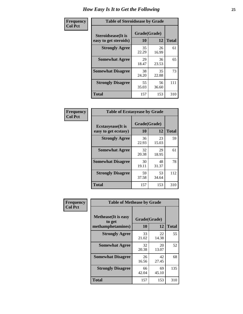| Frequency      | <b>Table of Steroidsease by Grade</b>               |                    |             |              |  |  |  |  |  |  |  |
|----------------|-----------------------------------------------------|--------------------|-------------|--------------|--|--|--|--|--|--|--|
| <b>Col Pct</b> | <b>Steroidsease</b> (It is<br>easy to get steroids) | Grade(Grade)<br>10 | 12          | <b>Total</b> |  |  |  |  |  |  |  |
|                | <b>Strongly Agree</b>                               | 35<br>22.29        | 26<br>16.99 | 61           |  |  |  |  |  |  |  |
|                | <b>Somewhat Agree</b>                               | 29<br>18.47        | 36<br>23.53 | 65           |  |  |  |  |  |  |  |
|                | <b>Somewhat Disagree</b>                            | 38<br>24.20        | 35<br>22.88 | 73           |  |  |  |  |  |  |  |
|                | <b>Strongly Disagree</b>                            | 55<br>35.03        | 56<br>36.60 | 111          |  |  |  |  |  |  |  |
|                | <b>Total</b>                                        | 157                | 153         | 310          |  |  |  |  |  |  |  |

| Frequency      | <b>Table of Ecstasyease by Grade</b>              |                    |              |     |  |  |  |  |  |  |  |  |  |
|----------------|---------------------------------------------------|--------------------|--------------|-----|--|--|--|--|--|--|--|--|--|
| <b>Col Pct</b> | <b>Ecstasyease</b> (It is<br>easy to get ecstasy) | Grade(Grade)<br>10 | <b>Total</b> |     |  |  |  |  |  |  |  |  |  |
|                | <b>Strongly Agree</b>                             | 36<br>22.93        | 23<br>15.03  | 59  |  |  |  |  |  |  |  |  |  |
|                | <b>Somewhat Agree</b>                             | 32<br>20.38        | 29<br>18.95  | 61  |  |  |  |  |  |  |  |  |  |
|                | <b>Somewhat Disagree</b>                          | 30<br>19.11        | 48<br>31.37  | 78  |  |  |  |  |  |  |  |  |  |
|                | <b>Strongly Disagree</b>                          | 59<br>37.58        | 53<br>34.64  | 112 |  |  |  |  |  |  |  |  |  |
|                | Total                                             | 157                | 153          | 310 |  |  |  |  |  |  |  |  |  |

| Frequency      | <b>Table of Methease by Grade</b>     |              |             |              |
|----------------|---------------------------------------|--------------|-------------|--------------|
| <b>Col Pct</b> | <b>Methease</b> (It is easy<br>to get | Grade(Grade) |             |              |
|                | methamphetamines)                     | 10           | 12          | <b>Total</b> |
|                | <b>Strongly Agree</b>                 | 33<br>21.02  | 22<br>14.38 | 55           |
|                | <b>Somewhat Agree</b>                 | 32<br>20.38  | 20<br>13.07 | 52           |
|                | <b>Somewhat Disagree</b>              | 26<br>16.56  | 42<br>27.45 | 68           |
|                | <b>Strongly Disagree</b>              | 66<br>42.04  | 69<br>45.10 | 135          |
|                | <b>Total</b>                          | 157          | 153         | 310          |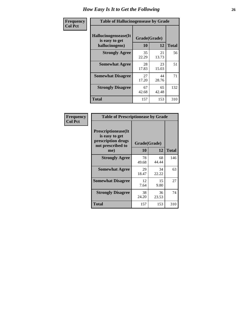| <b>Frequency</b> | <b>Table of Hallucinogensease by Grade</b>               |                    |              |     |  |  |  |  |  |  |  |  |
|------------------|----------------------------------------------------------|--------------------|--------------|-----|--|--|--|--|--|--|--|--|
| <b>Col Pct</b>   | Hallucinogensease(It<br>is easy to get<br>hallucinogens) | Grade(Grade)<br>10 | <b>Total</b> |     |  |  |  |  |  |  |  |  |
|                  | <b>Strongly Agree</b>                                    | 35<br>22.29        | 21<br>13.73  | 56  |  |  |  |  |  |  |  |  |
|                  | <b>Somewhat Agree</b>                                    | 28<br>17.83        | 23<br>15.03  | 51  |  |  |  |  |  |  |  |  |
|                  | <b>Somewhat Disagree</b>                                 | 27<br>17.20        | 44<br>28.76  | 71  |  |  |  |  |  |  |  |  |
|                  | <b>Strongly Disagree</b>                                 | 67<br>42.68        | 65<br>42.48  | 132 |  |  |  |  |  |  |  |  |
|                  | <b>Total</b>                                             | 157                | 153          | 310 |  |  |  |  |  |  |  |  |

| Frequency<br>Col Pct |
|----------------------|
|                      |

| <b>Table of Prescriptionease by Grade</b>                                                       |             |                    |              |  |  |  |  |  |  |
|-------------------------------------------------------------------------------------------------|-------------|--------------------|--------------|--|--|--|--|--|--|
| <b>Prescriptionease</b> (It<br>is easy to get<br>prescription drugs<br>not prescribed to<br>me) | 10          | Grade(Grade)<br>12 | <b>Total</b> |  |  |  |  |  |  |
| <b>Strongly Agree</b>                                                                           | 78<br>49.68 | 68<br>44.44        | 146          |  |  |  |  |  |  |
| <b>Somewhat Agree</b>                                                                           | 29<br>18.47 | 34<br>22.22        | 63           |  |  |  |  |  |  |
| <b>Somewhat Disagree</b>                                                                        | 12<br>7.64  | 15<br>9.80         | 27           |  |  |  |  |  |  |
| <b>Strongly Disagree</b>                                                                        | 38<br>24.20 | 36<br>23.53        | 74           |  |  |  |  |  |  |
| <b>Total</b>                                                                                    | 157         | 153                | 310          |  |  |  |  |  |  |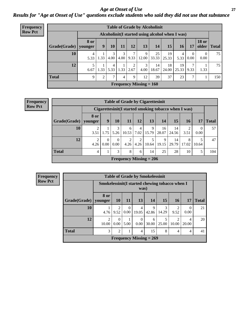*Age at Onset of Use* **27** *Results for "Age at Onset of Use" questions exclude students who said they did not use that substance*

| <b>Frequency</b> | <b>Table of Grade by Alcoholinit</b> |                        |                                                  |           |           |           |                           |                          |             |             |                        |                       |              |
|------------------|--------------------------------------|------------------------|--------------------------------------------------|-----------|-----------|-----------|---------------------------|--------------------------|-------------|-------------|------------------------|-----------------------|--------------|
| <b>Row Pct</b>   |                                      |                        | Alcoholinit (I started using alcohol when I was) |           |           |           |                           |                          |             |             |                        |                       |              |
|                  | Grade(Grade)                         | <b>8 or</b><br>younger | 9                                                | 10        | 11        | 12        | 13                        | 14                       | 15          | 16          | 17                     | <b>18 or</b><br>older | <b>Total</b> |
|                  | 10                                   | 4<br>5.33              | 1.33                                             | 3<br>4.00 | 3<br>4.00 | 7<br>9.33 | 9                         | 25<br>$12.00 \mid 33.33$ | 19<br>25.33 | 4<br>5.33   | $\overline{0}$<br>0.00 | $\Omega$<br>0.00      | 75           |
|                  | 12                                   | 5<br>6.67              | 1.33                                             | 4<br>5.33 | 1.33      | 2<br>2.67 | 3<br>4.00                 | 14<br>18.67              | 18<br>24.00 | 19<br>25.33 | 7<br>9.33              | 1.33                  | 75           |
|                  | <b>Total</b>                         | 9                      | $\mathfrak{2}$                                   | 7         | 4         | 9         | 12                        | 39                       | 37          | 23          | 7                      |                       | 150          |
|                  |                                      |                        |                                                  |           |           |           | Frequency Missing $= 160$ |                          |             |             |                        |                       |              |

| <b>Frequency</b> |
|------------------|
| <b>Row Pct</b>   |

|              | <b>Table of Grade by Cigarettesinit</b>                                                     |                  |                  |                           |                        |            |             |             |            |                  |     |  |  |
|--------------|---------------------------------------------------------------------------------------------|------------------|------------------|---------------------------|------------------------|------------|-------------|-------------|------------|------------------|-----|--|--|
|              | Cigarettesinit (I started smoking tobacco when I was)                                       |                  |                  |                           |                        |            |             |             |            |                  |     |  |  |
| Grade(Grade) | 8 or<br>9<br>14<br>15<br><b>Total</b><br>10<br>12<br>13<br>11<br><b>16</b><br>17<br>younger |                  |                  |                           |                        |            |             |             |            |                  |     |  |  |
| 10           | 3.51                                                                                        | 1.75             | 3<br>5.26        | 6<br>10.53                | $\overline{4}$<br>7.02 | 9<br>15.79 | 16<br>28.07 | 14<br>24.56 | 3.51       | $\Omega$<br>0.00 | 57  |  |  |
| 12           | $\overline{2}$<br>4.26                                                                      | $\Omega$<br>0.00 | $\Omega$<br>0.00 | $\mathcal{D}$<br>4.26     | $\overline{2}$<br>4.26 | 5<br>10.64 | 9<br>19.15  | 14<br>29.79 | 8<br>17.02 | 10.64            | 47  |  |  |
| <b>Total</b> | 4                                                                                           |                  | 3                | 8                         | 6                      | 14         | 25          | 28          | 10         | 5                | 104 |  |  |
|              |                                                                                             |                  |                  | Frequency Missing $= 206$ |                        |            |             |             |            |                  |     |  |  |

| <b>Frequency</b> | <b>Table of Grade by Smokelessinit</b> |                                                         |                        |                  |                         |                           |            |           |                  |              |  |  |  |
|------------------|----------------------------------------|---------------------------------------------------------|------------------------|------------------|-------------------------|---------------------------|------------|-----------|------------------|--------------|--|--|--|
| <b>Row Pct</b>   |                                        | Smokelessinit (I started chewing tobacco when I<br>was) |                        |                  |                         |                           |            |           |                  |              |  |  |  |
|                  | Grade(Grade)                           | 8 or<br>vounger                                         | 10 <sup>1</sup>        | 11               | 13                      | <b>14</b>                 | 15         | <b>16</b> | <b>17</b>        | <b>Total</b> |  |  |  |
|                  | 10                                     | 4.76                                                    | $\mathfrak{D}$<br>9.52 | $\Omega$<br>0.00 | $\overline{4}$<br>19.05 | 9<br>42.86                | 3<br>14.29 | 9.52      | $\theta$<br>0.00 | 21           |  |  |  |
|                  | 12                                     | $\mathfrak{D}$<br>10.00                                 | $\Omega$<br>0.00       | 5.00             | $\theta$<br>0.00        | 6<br>30.00                | 5<br>25.00 | 10.00     | 4<br>20.00       | 20           |  |  |  |
|                  | <b>Total</b>                           | 3                                                       | 2                      | 1                | 4                       | 15                        | 8          | 4         | 4                | 41           |  |  |  |
|                  |                                        |                                                         |                        |                  |                         | Frequency Missing $= 269$ |            |           |                  |              |  |  |  |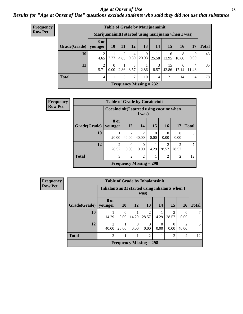#### *Age at Onset of Use* **28**

*Results for "Age at Onset of Use" questions exclude students who said they did not use that substance*

| <b>Frequency</b> | <b>Table of Grade by Marijuanainit</b> |                                                      |                  |           |                        |                           |             |             |            |            |              |  |
|------------------|----------------------------------------|------------------------------------------------------|------------------|-----------|------------------------|---------------------------|-------------|-------------|------------|------------|--------------|--|
| <b>Row Pct</b>   |                                        | Marijuanainit (I started using marijuana when I was) |                  |           |                        |                           |             |             |            |            |              |  |
|                  | Grade(Grade)                           | 8 or<br>younger                                      | <b>10</b>        | <b>11</b> | 12                     | 13                        | 14          | 15          | 16         | 17         | <b>Total</b> |  |
|                  | 10                                     | 2<br>4.65                                            | 2.33             | 2<br>4.65 | $\overline{4}$<br>9.30 | 9<br>20.93                | 11<br>25.58 | 6<br>13.95  | 8<br>18.60 | 0<br>0.00  | 43           |  |
|                  | 12                                     | 2<br>5.71                                            | $\theta$<br>0.00 | 2.86      | 3<br>8.57              | 2.86                      | 3<br>8.57   | 15<br>42.86 | 6<br>17.14 | 4<br>11.43 | 35           |  |
|                  | <b>Total</b>                           | $\overline{4}$                                       |                  | 3         | 7                      | 10                        | 14          | 21          | 14         | 4          | 78           |  |
|                  |                                        |                                                      |                  |           |                        | Frequency Missing $= 232$ |             |             |            |            |              |  |

| <b>Frequency</b> | <b>Table of Grade by Cocaineinit</b> |                         |                                                    |                           |                  |                         |                         |              |
|------------------|--------------------------------------|-------------------------|----------------------------------------------------|---------------------------|------------------|-------------------------|-------------------------|--------------|
| <b>Row Pct</b>   |                                      |                         | Cocaineinit(I started using cocaine when<br>I was) |                           |                  |                         |                         |              |
|                  | Grade(Grade)                         | <b>8 or</b><br>vounger  | <b>12</b>                                          | 14                        | 15               | 16                      | 17                      | <b>Total</b> |
|                  | 10                                   | 20.00                   | 2<br>40.00                                         | $\overline{c}$<br>40.00   | $\Omega$<br>0.00 | 0<br>0.00               | $\Omega$<br>0.00        | 5            |
|                  | 12                                   | $\overline{2}$<br>28.57 | $\theta$<br>0.00                                   | $\Omega$<br>0.00          | 14.29            | $\overline{2}$<br>28.57 | $\mathfrak{D}$<br>28.57 | 7            |
|                  | <b>Total</b>                         | 3                       | $\overline{2}$                                     | $\overline{c}$            |                  | $\overline{2}$          | $\overline{2}$          | 12           |
|                  |                                      |                         |                                                    | Frequency Missing $= 298$ |                  |                         |                         |              |

**Frequency Row Pct**

| <b>Table of Grade by Inhalantsinit</b> |                           |                                                         |           |                  |                  |       |                         |              |
|----------------------------------------|---------------------------|---------------------------------------------------------|-----------|------------------|------------------|-------|-------------------------|--------------|
|                                        |                           | Inhalantsinit (I started using inhalants when I<br>was) |           |                  |                  |       |                         |              |
| Grade(Grade)   younger                 | 8 or                      | <b>10</b>                                               | <b>12</b> | 13               | 14               | 15    | <b>16</b>               | <b>Total</b> |
| 10                                     | 14.29                     | $\Omega$<br>0.00                                        | 14.29     | 28.57            | 14.29            | 28.57 | $\Omega$<br>0.00        |              |
| 12                                     | $\mathfrak{D}$<br>40.00   | 20.00                                                   | 0<br>0.00 | $\theta$<br>0.00 | $\Omega$<br>0.00 | 0.00  | $\mathfrak{D}$<br>40.00 | 5            |
| <b>Total</b>                           | 3                         |                                                         |           | $\overline{2}$   |                  | 2     | 2                       | 12           |
|                                        | Frequency Missing $= 298$ |                                                         |           |                  |                  |       |                         |              |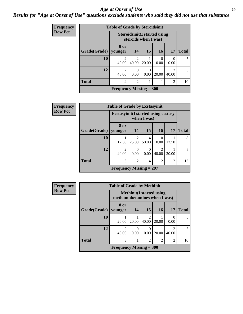#### *Age at Onset of Use* **29**

### *Results for "Age at Onset of Use" questions exclude students who said they did not use that substance*

| <b>Frequency</b> |              | <b>Table of Grade by Steroidsinit</b> |                                                             |           |           |                        |              |  |  |  |  |
|------------------|--------------|---------------------------------------|-------------------------------------------------------------|-----------|-----------|------------------------|--------------|--|--|--|--|
| <b>Row Pct</b>   |              |                                       | <b>Steroidsinit(I started using</b><br>steroids when I was) |           |           |                        |              |  |  |  |  |
|                  | Grade(Grade) | 8 or<br>younger                       | 14                                                          | 15        | <b>16</b> | 17                     | <b>Total</b> |  |  |  |  |
|                  | 10           | $\mathcal{D}_{\mathcal{A}}$<br>40.00  | $\overline{c}$<br>40.00                                     | 20.00     | 0<br>0.00 | $\Omega$<br>0.00       | 5            |  |  |  |  |
|                  | 12           | $\mathfrak{D}$<br>40.00               | 0<br>0.00                                                   | 0<br>0.00 | 20.00     | $\mathcal{L}$<br>40.00 | 5            |  |  |  |  |
|                  | <b>Total</b> | 4                                     | $\overline{c}$                                              |           |           | 2                      | 10           |  |  |  |  |
|                  |              | Frequency Missing $= 300$             |                                                             |           |           |                        |              |  |  |  |  |

| <b>Frequency</b> |              | <b>Table of Grade by Ecstasyinit</b>        |                         |                       |                                      |                |              |  |  |
|------------------|--------------|---------------------------------------------|-------------------------|-----------------------|--------------------------------------|----------------|--------------|--|--|
| <b>Row Pct</b>   |              | <b>Ecstasyinit</b> (I started using ecstasy |                         | when I was)           |                                      |                |              |  |  |
|                  | Grade(Grade) | 8 or<br>younger                             | 14                      | 15                    | <b>16</b>                            | 17             | <b>Total</b> |  |  |
|                  | 10           | 12.50                                       | $\mathfrak{D}$<br>25.00 | 4<br>50.00            | 0.00                                 | 12.50          | 8            |  |  |
|                  | 12           | $\mathcal{D}_{\mathcal{L}}$<br>40.00        | $\Omega$<br>0.00        | $\mathcal{O}$<br>0.00 | $\mathcal{D}_{\mathcal{A}}$<br>40.00 | 20.00          | 5            |  |  |
|                  | <b>Total</b> | 3                                           | $\overline{2}$          | 4                     | $\overline{2}$                       | $\overline{2}$ | 13           |  |  |
|                  |              | Frequency Missing $= 297$                   |                         |                       |                                      |                |              |  |  |

| <b>Frequency</b> | <b>Table of Grade by Methinit</b> |                              |                  |                                  |               |                         |              |
|------------------|-----------------------------------|------------------------------|------------------|----------------------------------|---------------|-------------------------|--------------|
| <b>Row Pct</b>   |                                   | methamphetamines when I was) |                  | <b>Methinit</b> (I started using |               |                         |              |
|                  | Grade(Grade)                      | 8 or<br>vounger              | 14               | 15                               | <b>16</b>     | 17                      | <b>Total</b> |
|                  | 10                                | 20.00                        | 20.00            | $\overline{2}$<br>40.00          | 20.00         | $\Omega$<br>0.00        |              |
|                  | 12                                | $\mathfrak{D}$<br>40.00      | $\Omega$<br>0.00 | 0<br>0.00                        | 20.00         | $\mathfrak{D}$<br>40.00 | 5            |
|                  | <b>Total</b>                      | 3                            |                  | $\overline{2}$                   | $\mathcal{D}$ | 2                       | 10           |
|                  |                                   | Frequency Missing $= 300$    |                  |                                  |               |                         |              |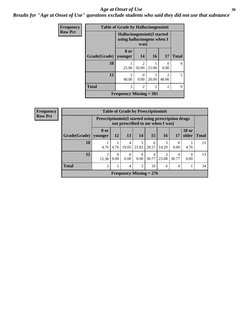#### Age at Onset of Use **30**

*Results for "Age at Onset of Use" questions exclude students who said they did not use that substance*

| Frequency      |              | <b>Table of Grade by Hallucinogensinit</b>                 |                         |           |                        |                        |  |  |  |
|----------------|--------------|------------------------------------------------------------|-------------------------|-----------|------------------------|------------------------|--|--|--|
| <b>Row Pct</b> |              | Hallucinogensinit (I started<br>using hallucinogens when I | was)                    |           |                        | <b>Total</b><br>4<br>5 |  |  |  |
|                | Grade(Grade) | 8 or<br>younger                                            | 14                      | <b>16</b> | 17                     |                        |  |  |  |
|                | 10           | 25.00                                                      | $\mathfrak{D}$<br>50.00 | 25.00     | 0.00                   |                        |  |  |  |
|                | 12           | $\mathfrak{D}$<br>40.00                                    | $\mathcal{O}$<br>0.00   | 20.00     | $\mathcal{D}$<br>40.00 |                        |  |  |  |
|                | <b>Total</b> | 3                                                          | $\overline{c}$          | 2         | 2                      | 9                      |  |  |  |
|                |              | <b>Frequency Missing = 301</b>                             |                         |           |                        |                        |  |  |  |

| <b>Frequency</b> |                        | <b>Table of Grade by Prescriptioninit</b> |                                                                                          |                  |                           |            |                        |            |                       |              |
|------------------|------------------------|-------------------------------------------|------------------------------------------------------------------------------------------|------------------|---------------------------|------------|------------------------|------------|-----------------------|--------------|
| <b>Row Pct</b>   |                        |                                           | Prescriptioninit (I started using prescription drugs<br>not prescribed to me when I was) |                  |                           |            |                        |            |                       |              |
|                  | Grade(Grade)   younger | 8 or                                      | 12                                                                                       | 13               | 14                        | 15         | <b>16</b>              | 17         | <b>18 or</b><br>older | <b>Total</b> |
|                  | 10                     | 4.76                                      | 4.76                                                                                     | 4<br>19.05       | 5<br>23.81                | 6<br>28.57 | 3<br>14.29             | 0<br>0.00  | 4.76                  | 21           |
|                  | 12                     | $\mathfrak{D}$<br>15.38                   | $\Omega$<br>0.00                                                                         | $\Omega$<br>0.00 | $\Omega$<br>0.00          | 4<br>30.77 | $\mathcal{F}$<br>23.08 | 4<br>30.77 | 0<br>0.00             | 13           |
|                  | <b>Total</b>           | 3                                         |                                                                                          | 4                | 5                         | 10         | 6                      | 4          |                       | 34           |
|                  |                        |                                           |                                                                                          |                  | Frequency Missing $= 276$ |            |                        |            |                       |              |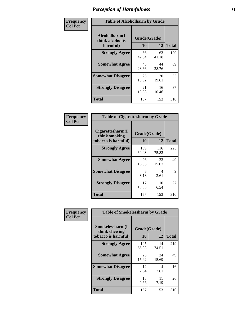| Frequency      | <b>Table of Alcoholharm by Grade</b>          |                    |             |              |  |  |
|----------------|-----------------------------------------------|--------------------|-------------|--------------|--|--|
| <b>Col Pct</b> | Alcoholharm(I<br>think alcohol is<br>harmful) | Grade(Grade)<br>10 | 12          | <b>Total</b> |  |  |
|                | <b>Strongly Agree</b>                         | 66<br>42.04        | 63<br>41.18 | 129          |  |  |
|                | <b>Somewhat Agree</b>                         | 45<br>28.66        | 44<br>28.76 | 89           |  |  |
|                | <b>Somewhat Disagree</b>                      | 25<br>15.92        | 30<br>19.61 | 55           |  |  |
|                | <b>Strongly Disagree</b>                      | 21<br>13.38        | 16<br>10.46 | 37           |  |  |
|                | <b>Total</b>                                  | 157                | 153         | 310          |  |  |

| <b>Table of Cigarettesharm by Grade</b>                  |                    |              |              |  |  |  |  |  |
|----------------------------------------------------------|--------------------|--------------|--------------|--|--|--|--|--|
| Cigarettesharm(I<br>think smoking<br>tobacco is harmful) | Grade(Grade)<br>10 | 12           | <b>Total</b> |  |  |  |  |  |
| <b>Strongly Agree</b>                                    | 109<br>69.43       | 116<br>75.82 | 225          |  |  |  |  |  |
| <b>Somewhat Agree</b>                                    | 26<br>16.56        | 23<br>15.03  | 49           |  |  |  |  |  |
| <b>Somewhat Disagree</b>                                 | 5<br>3.18          | 4<br>2.61    | 9            |  |  |  |  |  |
| <b>Strongly Disagree</b>                                 | 17<br>10.83        | 10<br>6.54   | 27           |  |  |  |  |  |
| <b>Total</b>                                             | 157                | 153          | 310          |  |  |  |  |  |

| Frequency      | <b>Table of Smokelessharm by Grade</b>                  |                           |              |              |  |  |  |  |  |
|----------------|---------------------------------------------------------|---------------------------|--------------|--------------|--|--|--|--|--|
| <b>Col Pct</b> | Smokelessharm(I<br>think chewing<br>tobacco is harmful) | Grade(Grade)<br><b>10</b> | 12           | <b>Total</b> |  |  |  |  |  |
|                | <b>Strongly Agree</b>                                   | 105<br>66.88              | 114<br>74.51 | 219          |  |  |  |  |  |
|                | <b>Somewhat Agree</b>                                   | 25<br>15.92               | 24<br>15.69  | 49           |  |  |  |  |  |
|                | <b>Somewhat Disagree</b>                                | 12<br>7.64                | 4<br>2.61    | 16           |  |  |  |  |  |
|                | <b>Strongly Disagree</b>                                | 15<br>9.55                | 11<br>7.19   | 26           |  |  |  |  |  |
|                | Total                                                   | 157                       | 153          | 310          |  |  |  |  |  |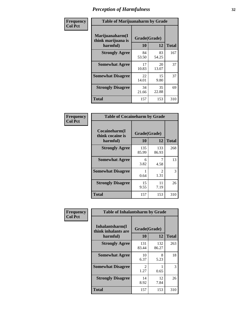| Frequency      |                                                   | <b>Table of Marijuanaharm by Grade</b> |             |              |  |  |  |  |
|----------------|---------------------------------------------------|----------------------------------------|-------------|--------------|--|--|--|--|
| <b>Col Pct</b> | Marijuanaharm(I<br>think marijuana is<br>harmful) | Grade(Grade)<br>10                     | 12          | <b>Total</b> |  |  |  |  |
|                | <b>Strongly Agree</b>                             | 84<br>53.50                            | 83<br>54.25 | 167          |  |  |  |  |
|                | <b>Somewhat Agree</b>                             | 17<br>10.83                            | 20<br>13.07 | 37           |  |  |  |  |
|                | <b>Somewhat Disagree</b>                          | 22<br>14.01                            | 15<br>9.80  | 37           |  |  |  |  |
|                | <b>Strongly Disagree</b>                          | 34<br>21.66                            | 35<br>22.88 | 69           |  |  |  |  |
|                | <b>Total</b>                                      | 157                                    | 153         | 310          |  |  |  |  |

| <b>Table of Cocaineharm by Grade</b>          |                    |                        |     |  |  |  |  |  |
|-----------------------------------------------|--------------------|------------------------|-----|--|--|--|--|--|
| Cocaineharm(I<br>think cocaine is<br>harmful) | Grade(Grade)<br>10 | <b>Total</b>           |     |  |  |  |  |  |
| <b>Strongly Agree</b>                         | 135<br>85.99       | 133<br>86.93           | 268 |  |  |  |  |  |
| <b>Somewhat Agree</b>                         | 6<br>3.82          | 4.58                   | 13  |  |  |  |  |  |
| <b>Somewhat Disagree</b>                      | 1<br>0.64          | $\mathfrak{D}$<br>1.31 | 3   |  |  |  |  |  |
| <b>Strongly Disagree</b>                      | 15<br>9.55         | 11<br>7.19             | 26  |  |  |  |  |  |
| <b>Total</b>                                  | 157                | 153                    | 310 |  |  |  |  |  |

| Frequency      | <b>Table of Inhalantsharm by Grade</b>             |                        |              |              |
|----------------|----------------------------------------------------|------------------------|--------------|--------------|
| <b>Col Pct</b> | Inhalantsharm(I<br>think inhalants are<br>harmful) | Grade(Grade)<br>10     | 12           | <b>Total</b> |
|                | <b>Strongly Agree</b>                              | 131<br>83.44           | 132<br>86.27 | 263          |
|                | <b>Somewhat Agree</b>                              | 10<br>6.37             | 8<br>5.23    | 18           |
|                | <b>Somewhat Disagree</b>                           | $\mathfrak{D}$<br>1.27 | 0.65         | 3            |
|                | <b>Strongly Disagree</b>                           | 14<br>8.92             | 12<br>7.84   | 26           |
|                | <b>Total</b>                                       | 157                    | 153          | 310          |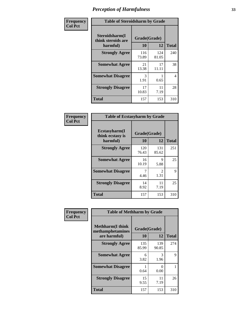| Frequency      | <b>Table of Steroidsharm by Grade</b>            |                    |              |              |
|----------------|--------------------------------------------------|--------------------|--------------|--------------|
| <b>Col Pct</b> | Steroidsharm(I<br>think steroids are<br>harmful) | Grade(Grade)<br>10 | 12           | <b>Total</b> |
|                | <b>Strongly Agree</b>                            | 116<br>73.89       | 124<br>81.05 | 240          |
|                | <b>Somewhat Agree</b>                            | 21<br>13.38        | 17<br>11.11  | 38           |
|                | <b>Somewhat Disagree</b>                         | 3<br>1.91          | 0.65         | 4            |
|                | <b>Strongly Disagree</b>                         | 17<br>10.83        | 11<br>7.19   | 28           |
|                | <b>Total</b>                                     | 157                | 153          | 310          |

| <b>Table of Ecstasyharm by Grade</b>          |                    |                        |     |  |  |  |
|-----------------------------------------------|--------------------|------------------------|-----|--|--|--|
| Ecstasyharm(I<br>think ecstasy is<br>harmful) | Grade(Grade)<br>10 | <b>Total</b>           |     |  |  |  |
| <b>Strongly Agree</b>                         | 120<br>76.43       | 131<br>85.62           | 251 |  |  |  |
| <b>Somewhat Agree</b>                         | 16<br>10.19        | 9<br>5.88              | 25  |  |  |  |
| <b>Somewhat Disagree</b>                      | 4.46               | $\mathfrak{D}$<br>1.31 | 9   |  |  |  |
| <b>Strongly Disagree</b>                      | 14<br>8.92         | 11<br>7.19             | 25  |  |  |  |
| Total                                         | 157                | 153                    | 310 |  |  |  |

| Frequency      | <b>Table of Methharm by Grade</b>                            |                           |              |              |  |
|----------------|--------------------------------------------------------------|---------------------------|--------------|--------------|--|
| <b>Col Pct</b> | <b>Methharm</b> (I think<br>methamphetamines<br>are harmful) | Grade(Grade)<br><b>10</b> | 12           | <b>Total</b> |  |
|                | <b>Strongly Agree</b>                                        | 135<br>85.99              | 139<br>90.85 | 274          |  |
|                | <b>Somewhat Agree</b>                                        | 6<br>3.82                 | 3<br>1.96    | 9            |  |
|                | <b>Somewhat Disagree</b>                                     | 0.64                      | 0<br>0.00    |              |  |
|                | <b>Strongly Disagree</b>                                     | 15<br>9.55                | 11<br>7.19   | 26           |  |
|                | <b>Total</b>                                                 | 157                       | 153          | 310          |  |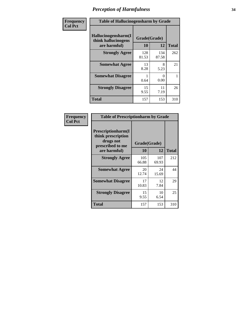| Frequency | <b>Table of Hallucinogensharm by Grade</b>                 |                    |              |              |
|-----------|------------------------------------------------------------|--------------------|--------------|--------------|
| Col Pct   | Hallucinogensharm(I<br>think hallucinogens<br>are harmful) | Grade(Grade)<br>10 | 12           | <b>Total</b> |
|           | <b>Strongly Agree</b>                                      | 128<br>81.53       | 134<br>87.58 | 262          |
|           | <b>Somewhat Agree</b>                                      | 13<br>8.28         | 8<br>5.23    | 21           |
|           | <b>Somewhat Disagree</b>                                   | 0.64               | 0<br>0.00    | 1            |
|           | <b>Strongly Disagree</b>                                   | 15<br>9.55         | 11<br>7.19   | 26           |
|           | <b>Total</b>                                               | 157                | 153          | 310          |

| <b>Table of Prescriptionharm by Grade</b>                                         |              |              |              |  |  |
|-----------------------------------------------------------------------------------|--------------|--------------|--------------|--|--|
| <b>Prescriptionharm</b> (I<br>think prescription<br>drugs not<br>prescribed to me | Grade(Grade) |              |              |  |  |
| are harmful)                                                                      | 10           | 12           | <b>Total</b> |  |  |
| <b>Strongly Agree</b>                                                             | 105<br>66.88 | 107<br>69.93 | 212          |  |  |
| <b>Somewhat Agree</b>                                                             | 20<br>12.74  | 24<br>15.69  | 44           |  |  |
| <b>Somewhat Disagree</b>                                                          | 17<br>10.83  | 12<br>7.84   | 29           |  |  |
| <b>Strongly Disagree</b>                                                          | 15<br>9.55   | 10<br>6.54   | 25           |  |  |
| <b>Total</b>                                                                      | 157          | 153          | 310          |  |  |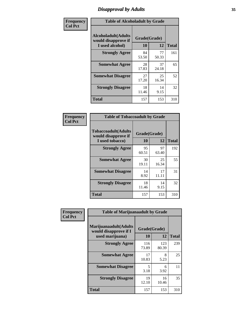# *Disapproval by Adults* **35**

| Frequency      | <b>Table of Alcoholadult by Grade</b>                                 |                    |             |              |
|----------------|-----------------------------------------------------------------------|--------------------|-------------|--------------|
| <b>Col Pct</b> | <b>Alcoholadult</b> (Adults<br>would disapprove if<br>I used alcohol) | Grade(Grade)<br>10 | 12          | <b>Total</b> |
|                | <b>Strongly Agree</b>                                                 | 84<br>53.50        | 77<br>50.33 | 161          |
|                | <b>Somewhat Agree</b>                                                 | 28<br>17.83        | 37<br>24.18 | 65           |
|                | <b>Somewhat Disagree</b>                                              | 27<br>17.20        | 25<br>16.34 | 52           |
|                | <b>Strongly Disagree</b>                                              | 18<br>11.46        | 14<br>9.15  | 32           |
|                | <b>Total</b>                                                          | 157                | 153         | 310          |

| <b>Table of Tobaccoadult by Grade</b>                                |                    |             |              |  |
|----------------------------------------------------------------------|--------------------|-------------|--------------|--|
| <b>Tobaccoadult(Adults</b><br>would disapprove if<br>I used tobacco) | Grade(Grade)<br>10 | 12          | <b>Total</b> |  |
| <b>Strongly Agree</b>                                                | 95<br>60.51        | 97<br>63.40 | 192          |  |
| <b>Somewhat Agree</b>                                                | 30<br>19.11        | 25<br>16.34 | 55           |  |
| <b>Somewhat Disagree</b>                                             | 14<br>8.92         | 17<br>11.11 | 31           |  |
| <b>Strongly Disagree</b>                                             | 18<br>11.46        | 14<br>9.15  | 32           |  |
| <b>Total</b>                                                         | 157                | 153         | 310          |  |

| Frequency      | <b>Table of Marijuanaadult by Grade</b>                           |                    |              |              |
|----------------|-------------------------------------------------------------------|--------------------|--------------|--------------|
| <b>Col Pct</b> | Marijuanaadult(Adults<br>would disapprove if I<br>used marijuana) | Grade(Grade)<br>10 | 12           | <b>Total</b> |
|                | <b>Strongly Agree</b>                                             | 116<br>73.89       | 123<br>80.39 | 239          |
|                | <b>Somewhat Agree</b>                                             | 17<br>10.83        | 8<br>5.23    | 25           |
|                | <b>Somewhat Disagree</b>                                          | 5<br>3.18          | 6<br>3.92    | 11           |
|                | <b>Strongly Disagree</b>                                          | 19<br>12.10        | 16<br>10.46  | 35           |
|                | <b>Total</b>                                                      | 157                | 153          | 310          |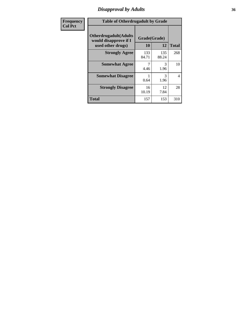### *Disapproval by Adults* **36**

| <b>Frequency</b> | <b>Table of Otherdrugadult by Grade</b>                                     |                    |              |                |
|------------------|-----------------------------------------------------------------------------|--------------------|--------------|----------------|
| <b>Col Pct</b>   | <b>Otherdrugadult</b> (Adults<br>would disapprove if I<br>used other drugs) | Grade(Grade)<br>10 | 12           | <b>Total</b>   |
|                  | <b>Strongly Agree</b>                                                       | 133<br>84.71       | 135<br>88.24 | 268            |
|                  | <b>Somewhat Agree</b>                                                       | 4.46               | 3<br>1.96    | 10             |
|                  | <b>Somewhat Disagree</b>                                                    | 0.64               | 3<br>1.96    | $\overline{4}$ |
|                  | <b>Strongly Disagree</b>                                                    | 16<br>10.19        | 12<br>7.84   | 28             |
|                  | <b>Total</b>                                                                | 157                | 153          | 310            |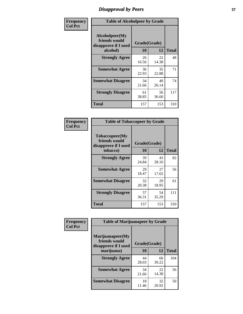# *Disapproval by Peers* **37**

| Frequency      | <b>Table of Alcoholpeer by Grade</b>                    |              |             |              |  |
|----------------|---------------------------------------------------------|--------------|-------------|--------------|--|
| <b>Col Pct</b> | Alcoholpeer(My<br>friends would<br>disapprove if I used | Grade(Grade) |             |              |  |
|                | alcohol)                                                | 10           | 12          | <b>Total</b> |  |
|                | <b>Strongly Agree</b>                                   | 26<br>16.56  | 22<br>14.38 | 48           |  |
|                | <b>Somewhat Agree</b>                                   | 36<br>22.93  | 35<br>22.88 | 71           |  |
|                | <b>Somewhat Disagree</b>                                | 34<br>21.66  | 40<br>26.14 | 74           |  |
|                | <b>Strongly Disagree</b>                                | 61<br>38.85  | 56<br>36.60 | 117          |  |
|                | Total                                                   | 157          | 153         | 310          |  |

| Frequency      | <b>Table of Tobaccopeer by Grade</b>                                |                    |             |              |
|----------------|---------------------------------------------------------------------|--------------------|-------------|--------------|
| <b>Col Pct</b> | Tobaccopeer(My<br>friends would<br>disapprove if I used<br>tobacco) | Grade(Grade)<br>10 | 12          | <b>Total</b> |
|                | <b>Strongly Agree</b>                                               | 39                 | 43          | 82           |
|                |                                                                     | 24.84              | 28.10       |              |
|                | <b>Somewhat Agree</b>                                               | 29<br>18.47        | 27<br>17.65 | 56           |
|                | <b>Somewhat Disagree</b>                                            | 32<br>20.38        | 29<br>18.95 | 61           |
|                | <b>Strongly Disagree</b>                                            | 57<br>36.31        | 54<br>35.29 | 111          |
|                | Total                                                               | 157                | 153         | 310          |

| Frequency      | <b>Table of Marijuanapeer by Grade</b>                    |              |             |              |
|----------------|-----------------------------------------------------------|--------------|-------------|--------------|
| <b>Col Pct</b> | Marijuanapeer(My<br>friends would<br>disapprove if I used | Grade(Grade) |             |              |
|                | marijuana)                                                | <b>10</b>    | 12          | <b>Total</b> |
|                | <b>Strongly Agree</b>                                     | 44<br>28.03  | 60<br>39.22 | 104          |
|                | <b>Somewhat Agree</b>                                     | 34<br>21.66  | 22<br>14.38 | 56           |
|                | <b>Somewhat Disagree</b>                                  | 18<br>11.46  | 32<br>20.92 | 50           |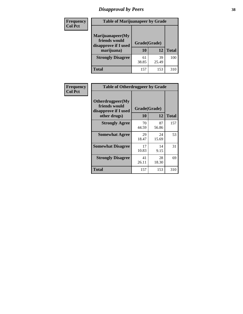# *Disapproval by Peers* **38**

| Frequency<br><b>Col Pct</b> | <b>Table of Marijuanapeer by Grade</b>                                  |                    |             |              |
|-----------------------------|-------------------------------------------------------------------------|--------------------|-------------|--------------|
|                             | Marijuanapeer(My<br>friends would<br>disapprove if I used<br>marijuana) | Grade(Grade)<br>10 | 12          | <b>Total</b> |
|                             | <b>Strongly Disagree</b>                                                | 61<br>38.85        | 39<br>25.49 | 100          |
|                             | Total                                                                   | 157                | 153         | 310          |

| Frequency      | <b>Table of Otherdrugpeer by Grade</b>                                    |                    |             |              |
|----------------|---------------------------------------------------------------------------|--------------------|-------------|--------------|
| <b>Col Pct</b> | Otherdrugpeer(My<br>friends would<br>disapprove if I used<br>other drugs) | Grade(Grade)<br>10 | 12          | <b>Total</b> |
|                | <b>Strongly Agree</b>                                                     | 70<br>44.59        | 87<br>56.86 | 157          |
|                | <b>Somewhat Agree</b>                                                     | 29<br>18.47        | 24<br>15.69 | 53           |
|                | <b>Somewhat Disagree</b>                                                  | 17<br>10.83        | 14<br>9.15  | 31           |
|                | <b>Strongly Disagree</b>                                                  | 41<br>26.11        | 28<br>18.30 | 69           |
|                | Total                                                                     | 157                | 153         | 310          |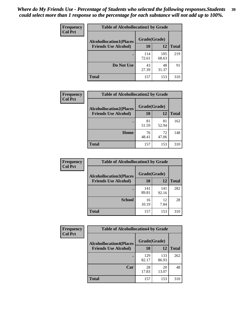| Frequency      | <b>Table of Alcohollocation1 by Grade</b> |              |              |              |
|----------------|-------------------------------------------|--------------|--------------|--------------|
| <b>Col Pct</b> | <b>Alcohollocation1(Places</b>            | Grade(Grade) |              |              |
|                | <b>Friends Use Alcohol)</b>               | 10           | 12           | <b>Total</b> |
|                |                                           | 114<br>72.61 | 105<br>68.63 | 219          |
|                | Do Not Use                                | 43<br>27.39  | 48<br>31.37  | 91           |
|                | <b>Total</b>                              | 157          | 153          | 310          |

| Frequency      | <b>Table of Alcohollocation2 by Grade</b>                     |                    |             |              |
|----------------|---------------------------------------------------------------|--------------------|-------------|--------------|
| <b>Col Pct</b> | <b>Alcohollocation2(Places</b><br><b>Friends Use Alcohol)</b> | Grade(Grade)<br>10 | <b>12</b>   | <b>Total</b> |
|                |                                                               | 81<br>51.59        | 81<br>52.94 | 162          |
|                | Home                                                          | 76<br>48.41        | 72<br>47.06 | 148          |
|                | <b>Total</b>                                                  | 157                | 153         | 310          |

| Frequency<br><b>Col Pct</b> | <b>Table of Alcohollocation 3 by Grade</b>                    |                    |              |              |  |
|-----------------------------|---------------------------------------------------------------|--------------------|--------------|--------------|--|
|                             | <b>Alcohollocation3(Places</b><br><b>Friends Use Alcohol)</b> | Grade(Grade)<br>10 | 12           | <b>Total</b> |  |
|                             |                                                               |                    |              |              |  |
|                             |                                                               | 141<br>89.81       | 141<br>92.16 | 282          |  |
|                             | <b>School</b>                                                 | 16<br>10.19        | 12<br>7.84   | 28           |  |
|                             | <b>Total</b>                                                  | 157                | 153          | 310          |  |

| Frequency      | <b>Table of Alcohollocation4 by Grade</b> |              |              |              |  |
|----------------|-------------------------------------------|--------------|--------------|--------------|--|
| <b>Col Pct</b> | <b>Alcohollocation4(Places</b>            | Grade(Grade) |              |              |  |
|                | <b>Friends Use Alcohol)</b>               | 10           | 12           | <b>Total</b> |  |
|                |                                           | 129<br>82.17 | 133<br>86.93 | 262          |  |
|                | Car                                       | 28<br>17.83  | 20<br>13.07  | 48           |  |
|                | <b>Total</b>                              | 157          | 153          | 310          |  |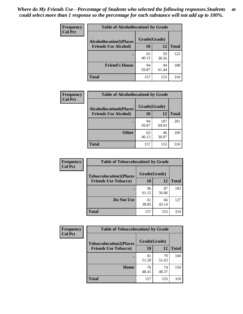| Frequency<br><b>Col Pct</b> | <b>Table of Alcohollocation5 by Grade</b> |             |             |              |  |
|-----------------------------|-------------------------------------------|-------------|-------------|--------------|--|
|                             | <b>Alcohollocation5(Places</b>            |             |             |              |  |
|                             | <b>Friends Use Alcohol)</b>               | 10          | 12          | <b>Total</b> |  |
|                             |                                           | 63<br>40.13 | 59<br>38.56 | 122          |  |
|                             | <b>Friend's House</b>                     | 94<br>59.87 | 94<br>61.44 | 188          |  |
|                             | <b>Total</b>                              | 157         | 153         | 310          |  |

| Frequency      | <b>Table of Alcohollocation6 by Grade</b>                     |                    |              |              |
|----------------|---------------------------------------------------------------|--------------------|--------------|--------------|
| <b>Col Pct</b> | <b>Alcohollocation6(Places</b><br><b>Friends Use Alcohol)</b> | Grade(Grade)<br>10 | 12           | <b>Total</b> |
|                |                                                               | 94<br>59.87        | 107<br>69.93 | 201          |
|                | <b>Other</b>                                                  | 63<br>40.13        | 46<br>30.07  | 109          |
|                | <b>Total</b>                                                  | 157                | 153          | 310          |

| Frequency      | <b>Table of Tobaccolocation1 by Grade</b> |              |             |              |
|----------------|-------------------------------------------|--------------|-------------|--------------|
| <b>Col Pct</b> | <b>Tobaccolocation1(Places</b>            | Grade(Grade) |             |              |
|                | <b>Friends Use Tobacco)</b>               | 10           | <b>12</b>   | <b>Total</b> |
|                |                                           | 96<br>61.15  | 87<br>56.86 | 183          |
|                | Do Not Use                                | 61<br>38.85  | 66<br>43.14 | 127          |
|                | <b>Total</b>                              | 157          | 153         | 310          |

| <b>Frequency</b> | <b>Table of Tobaccolocation2 by Grade</b> |              |             |              |  |
|------------------|-------------------------------------------|--------------|-------------|--------------|--|
| <b>Col Pct</b>   | <b>Tobaccolocation2(Places</b>            | Grade(Grade) |             |              |  |
|                  | <b>Friends Use Tobacco)</b>               | 10           | 12          | <b>Total</b> |  |
|                  |                                           | 81<br>51.59  | 79<br>51.63 | 160          |  |
|                  | Home                                      | 76<br>48.41  | 74<br>48.37 | 150          |  |
|                  | <b>Total</b>                              | 157          | 153         | 310          |  |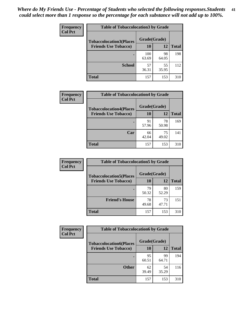| Frequency      | <b>Table of Tobaccolocation 3 by Grade</b> |              |             |              |  |
|----------------|--------------------------------------------|--------------|-------------|--------------|--|
| <b>Col Pct</b> | <b>Tobaccolocation3(Places</b>             | Grade(Grade) |             |              |  |
|                | <b>Friends Use Tobacco)</b>                | 10           | 12          | <b>Total</b> |  |
|                |                                            | 100<br>63.69 | 98<br>64.05 | 198          |  |
|                | <b>School</b>                              | 57<br>36.31  | 55<br>35.95 | 112          |  |
|                | <b>Total</b>                               | 157          | 153         | 310          |  |

| Frequency      | <b>Table of Tobaccolocation4 by Grade</b>                     |                    |             |              |
|----------------|---------------------------------------------------------------|--------------------|-------------|--------------|
| <b>Col Pct</b> | <b>Tobaccolocation4(Places</b><br><b>Friends Use Tobacco)</b> | Grade(Grade)<br>10 | 12          | <b>Total</b> |
|                |                                                               | 91                 | 78          | 169          |
|                |                                                               | 57.96              | 50.98       |              |
|                | Car                                                           | 66<br>42.04        | 75<br>49.02 | 141          |
|                | <b>Total</b>                                                  | 157                | 153         | 310          |

| Frequency      | <b>Table of Tobaccolocation5 by Grade</b> |              |             |              |
|----------------|-------------------------------------------|--------------|-------------|--------------|
| <b>Col Pct</b> | <b>Tobaccolocation5(Places</b>            | Grade(Grade) |             |              |
|                | <b>Friends Use Tobacco)</b>               | 10           | <b>12</b>   | <b>Total</b> |
|                |                                           | 79<br>50.32  | 80<br>52.29 | 159          |
|                | <b>Friend's House</b>                     | 78<br>49.68  | 73<br>47.71 | 151          |
|                | <b>Total</b>                              | 157          | 153         | 310          |

| Frequency      | <b>Table of Tobaccolocation6 by Grade</b> |              |             |              |  |
|----------------|-------------------------------------------|--------------|-------------|--------------|--|
| <b>Col Pct</b> | <b>Tobaccolocation6(Places</b>            | Grade(Grade) |             |              |  |
|                | <b>Friends Use Tobacco)</b>               | 10           | 12          | <b>Total</b> |  |
|                |                                           | 95<br>60.51  | 99<br>64.71 | 194          |  |
|                | <b>Other</b>                              | 62<br>39.49  | 54<br>35.29 | 116          |  |
|                | <b>Total</b>                              | 157          | 153         | 310          |  |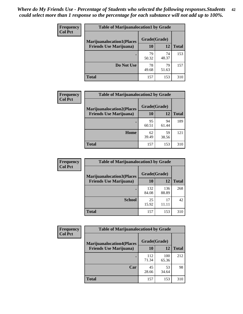| <b>Frequency</b> | <b>Table of Marijuanalocation1 by Grade</b> |              |             |              |
|------------------|---------------------------------------------|--------------|-------------|--------------|
| <b>Col Pct</b>   | <b>Marijuanalocation1(Places</b>            | Grade(Grade) |             |              |
|                  | <b>Friends Use Marijuana</b> )              | <b>10</b>    | 12          | <b>Total</b> |
|                  |                                             | 79<br>50.32  | 74<br>48.37 | 153          |
|                  | Do Not Use                                  | 78<br>49.68  | 79<br>51.63 | 157          |
|                  | <b>Total</b>                                | 157          | 153         | 310          |

| <b>Frequency</b> | <b>Table of Marijuanalocation2 by Grade</b>                        |                           |             |              |
|------------------|--------------------------------------------------------------------|---------------------------|-------------|--------------|
| <b>Col Pct</b>   | <b>Marijuanalocation2(Places</b><br><b>Friends Use Marijuana</b> ) | Grade(Grade)<br><b>10</b> | 12          | <b>Total</b> |
|                  |                                                                    | 95<br>60.51               | 94<br>61.44 | 189          |
|                  | Home                                                               | 62<br>39.49               | 59<br>38.56 | 121          |
|                  | <b>Total</b>                                                       | 157                       | 153         | 310          |

| Frequency<br><b>Col Pct</b> | <b>Table of Marijuanalocation3 by Grade</b> |              |              |              |
|-----------------------------|---------------------------------------------|--------------|--------------|--------------|
|                             | <b>Marijuanalocation3(Places</b>            | Grade(Grade) |              |              |
|                             | <b>Friends Use Marijuana</b> )              | 10           | 12           | <b>Total</b> |
|                             |                                             | 132<br>84.08 | 136<br>88.89 | 268          |
|                             | <b>School</b>                               | 25<br>15.92  | 17<br>11.11  | 42           |
|                             | <b>Total</b>                                | 157          | 153          | 310          |

| Frequency      | <b>Table of Marijuanalocation4 by Grade</b> |              |              |              |
|----------------|---------------------------------------------|--------------|--------------|--------------|
| <b>Col Pct</b> | <b>Marijuanalocation4(Places</b>            | Grade(Grade) |              |              |
|                | <b>Friends Use Marijuana</b> )              | <b>10</b>    | 12           | <b>Total</b> |
|                |                                             | 112<br>71.34 | 100<br>65.36 | 212          |
|                | Car                                         | 45<br>28.66  | 53<br>34.64  | 98           |
|                | <b>Total</b>                                | 157          | 153          | 310          |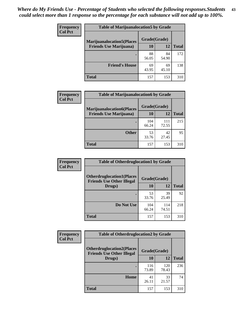| <b>Frequency</b> | <b>Table of Marijuanalocation5 by Grade</b> |              |             |              |
|------------------|---------------------------------------------|--------------|-------------|--------------|
| <b>Col Pct</b>   | <b>Marijuanalocation5</b> (Places           | Grade(Grade) |             |              |
|                  | <b>Friends Use Marijuana</b> )              | 10           | 12          | <b>Total</b> |
|                  |                                             | 88<br>56.05  | 84<br>54.90 | 172          |
|                  | <b>Friend's House</b>                       | 69<br>43.95  | 69<br>45.10 | 138          |
|                  | <b>Total</b>                                | 157          | 153         | 310          |

| <b>Frequency</b> | <b>Table of Marijuanalocation6 by Grade</b>                        |                    |              |              |
|------------------|--------------------------------------------------------------------|--------------------|--------------|--------------|
| <b>Col Pct</b>   | <b>Marijuanalocation6(Places</b><br><b>Friends Use Marijuana</b> ) | Grade(Grade)<br>10 | 12           | <b>Total</b> |
|                  |                                                                    | 104<br>66.24       | 111<br>72.55 | 215          |
|                  | <b>Other</b>                                                       | 53<br>33.76        | 42<br>27.45  | 95           |
|                  | <b>Total</b>                                                       | 157                | 153          | 310          |

| <b>Frequency</b> | <b>Table of Otherdruglocation1 by Grade</b>                          |              |              |              |
|------------------|----------------------------------------------------------------------|--------------|--------------|--------------|
| <b>Col Pct</b>   | <b>Otherdruglocation1(Places</b><br><b>Friends Use Other Illegal</b> | Grade(Grade) |              |              |
|                  | Drugs)                                                               | 10           | 12           | <b>Total</b> |
|                  |                                                                      | 53<br>33.76  | 39<br>25.49  | 92           |
|                  | Do Not Use                                                           | 104<br>66.24 | 114<br>74.51 | 218          |
|                  | <b>Total</b>                                                         | 157          | 153          | 310          |

| Frequency      | <b>Table of Otherdruglocation2 by Grade</b>                          |              |              |              |
|----------------|----------------------------------------------------------------------|--------------|--------------|--------------|
| <b>Col Pct</b> | <b>Otherdruglocation2(Places</b><br><b>Friends Use Other Illegal</b> | Grade(Grade) |              |              |
|                | Drugs)                                                               | 10           | 12           | <b>Total</b> |
|                |                                                                      | 116<br>73.89 | 120<br>78.43 | 236          |
|                | <b>Home</b>                                                          | 41<br>26.11  | 33<br>21.57  | 74           |
|                | <b>Total</b>                                                         | 157          | 153          | 310          |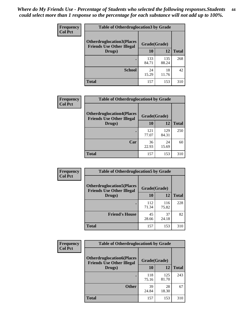| <b>Frequency</b> | <b>Table of Otherdruglocation3 by Grade</b>                          |              |              |              |
|------------------|----------------------------------------------------------------------|--------------|--------------|--------------|
| <b>Col Pct</b>   | <b>Otherdruglocation3(Places</b><br><b>Friends Use Other Illegal</b> | Grade(Grade) |              |              |
|                  | Drugs)                                                               | <b>10</b>    | 12           | <b>Total</b> |
|                  |                                                                      | 133<br>84.71 | 135<br>88.24 | 268          |
|                  | <b>School</b>                                                        | 24<br>15.29  | 18<br>11.76  | 42           |
|                  | <b>Total</b>                                                         | 157          | 153          | 310          |

| <b>Frequency</b> | <b>Table of Otherdruglocation4 by Grade</b>                          |              |              |              |
|------------------|----------------------------------------------------------------------|--------------|--------------|--------------|
| <b>Col Pct</b>   | <b>Otherdruglocation4(Places</b><br><b>Friends Use Other Illegal</b> | Grade(Grade) |              |              |
|                  | Drugs)                                                               | 10           | 12           | <b>Total</b> |
|                  |                                                                      | 121<br>77.07 | 129<br>84.31 | 250          |
|                  | Car                                                                  | 36<br>22.93  | 24<br>15.69  | 60           |
|                  | <b>Total</b>                                                         | 157          | 153          | 310          |

| Frequency      | <b>Table of Otherdruglocation5 by Grade</b>                          |              |              |              |
|----------------|----------------------------------------------------------------------|--------------|--------------|--------------|
| <b>Col Pct</b> | <b>Otherdruglocation5(Places</b><br><b>Friends Use Other Illegal</b> | Grade(Grade) |              |              |
|                | Drugs)                                                               | 10           | 12           | <b>Total</b> |
|                |                                                                      | 112<br>71.34 | 116<br>75.82 | 228          |
|                | <b>Friend's House</b>                                                | 45<br>28.66  | 37<br>24.18  | 82           |
|                | <b>Total</b>                                                         | 157          | 153          | 310          |

| <b>Frequency</b> | <b>Table of Otherdruglocation6 by Grade</b>                          |              |              |              |
|------------------|----------------------------------------------------------------------|--------------|--------------|--------------|
| <b>Col Pct</b>   | <b>Otherdruglocation6(Places</b><br><b>Friends Use Other Illegal</b> | Grade(Grade) |              |              |
|                  | Drugs)                                                               | 10           | 12           | <b>Total</b> |
|                  |                                                                      | 118<br>75.16 | 125<br>81.70 | 243          |
|                  | <b>Other</b>                                                         | 39<br>24.84  | 28<br>18.30  | 67           |
|                  | <b>Total</b>                                                         | 157          | 153          | 310          |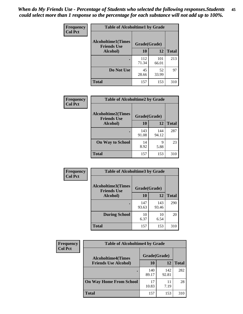| Frequency      | <b>Table of Alcoholtime1 by Grade</b>           |              |              |              |
|----------------|-------------------------------------------------|--------------|--------------|--------------|
| <b>Col Pct</b> | <b>Alcoholtime1(Times</b><br><b>Friends Use</b> | Grade(Grade) |              |              |
|                | Alcohol)                                        | 10           | 12           | <b>Total</b> |
|                |                                                 | 112<br>71.34 | 101<br>66.01 | 213          |
|                | Do Not Use                                      | 45<br>28.66  | 52<br>33.99  | 97           |
|                | <b>Total</b>                                    | 157          | 153          | 310          |

| Frequency      |                                                 | <b>Table of Alcoholtime2 by Grade</b> |              |              |  |
|----------------|-------------------------------------------------|---------------------------------------|--------------|--------------|--|
| <b>Col Pct</b> | <b>Alcoholtime2(Times</b><br><b>Friends Use</b> | Grade(Grade)                          |              |              |  |
|                | Alcohol)                                        | 10                                    | 12           | <b>Total</b> |  |
|                |                                                 | 143<br>91.08                          | 144<br>94.12 | 287          |  |
|                | <b>On Way to School</b>                         | 14<br>8.92                            | 9<br>5.88    | 23           |  |
|                | <b>Total</b>                                    | 157                                   | 153          | 310          |  |

| Frequency<br><b>Col Pct</b> | <b>Table of Alcoholtime3 by Grade</b>                           |              |              |              |
|-----------------------------|-----------------------------------------------------------------|--------------|--------------|--------------|
|                             | <b>Alcoholtime3(Times</b><br>Grade(Grade)<br><b>Friends Use</b> |              |              |              |
|                             | Alcohol)                                                        | 10           | 12           | <b>Total</b> |
|                             |                                                                 | 147<br>93.63 | 143<br>93.46 | 290          |
|                             | <b>During School</b>                                            | 10<br>6.37   | 10<br>6.54   | 20           |
|                             | Total                                                           | 157          | 153          | 310          |

| <b>Frequency</b> | <b>Table of Alcoholtime4 by Grade</b> |              |              |              |  |
|------------------|---------------------------------------|--------------|--------------|--------------|--|
| <b>Col Pct</b>   | <b>Alcoholtime4(Times</b>             | Grade(Grade) |              |              |  |
|                  | <b>Friends Use Alcohol)</b>           | 10           | 12           | <b>Total</b> |  |
|                  |                                       | 140<br>89.17 | 142<br>92.81 | 282          |  |
|                  | <b>On Way Home From School</b>        | 17<br>10.83  | 11<br>7.19   | 28           |  |
|                  | <b>Total</b>                          | 157          | 153          | 310          |  |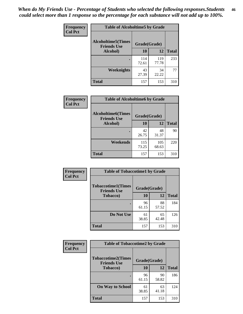*When do My Friends Use - Percentage of Students who selected the following responses.Students could select more than 1 response so the percentage for each substance will not add up to 100%.* **46**

| <b>Frequency</b> | <b>Table of Alcoholtime5 by Grade</b>           |              |              |              |
|------------------|-------------------------------------------------|--------------|--------------|--------------|
| <b>Col Pct</b>   | <b>Alcoholtime5(Times</b><br><b>Friends Use</b> | Grade(Grade) |              |              |
|                  | Alcohol)                                        | 10           | 12           | <b>Total</b> |
|                  |                                                 | 114<br>72.61 | 119<br>77.78 | 233          |
|                  | Weeknights                                      | 43<br>27.39  | 34<br>22.22  | 77           |
|                  | <b>Total</b>                                    | 157          | 153          | 310          |

| Frequency      | <b>Table of Alcoholtime6 by Grade</b>           |              |              |              |
|----------------|-------------------------------------------------|--------------|--------------|--------------|
| <b>Col Pct</b> | <b>Alcoholtime6(Times</b><br><b>Friends Use</b> | Grade(Grade) |              |              |
|                | Alcohol)                                        | 10           | 12           | <b>Total</b> |
|                | ٠                                               | 42<br>26.75  | 48<br>31.37  | 90           |
|                | Weekends                                        | 115<br>73.25 | 105<br>68.63 | 220          |
|                | <b>Total</b>                                    | 157          | 153          | 310          |

| Frequency<br><b>Col Pct</b> | <b>Table of Tobaccotime1 by Grade</b>           |              |             |              |
|-----------------------------|-------------------------------------------------|--------------|-------------|--------------|
|                             | <b>Tobaccotime1(Times</b><br><b>Friends Use</b> | Grade(Grade) |             |              |
|                             | <b>Tobacco</b> )                                | 10           | 12          | <b>Total</b> |
|                             |                                                 | 96<br>61.15  | 88<br>57.52 | 184          |
|                             | Do Not Use                                      | 61<br>38.85  | 65<br>42.48 | 126          |
|                             | <b>Total</b>                                    | 157          | 153         | 310          |

| <b>Frequency</b> | <b>Table of Tobaccotime2 by Grade</b>           |              |             |              |  |
|------------------|-------------------------------------------------|--------------|-------------|--------------|--|
| <b>Col Pct</b>   | <b>Tobaccotime2(Times</b><br><b>Friends Use</b> | Grade(Grade) |             |              |  |
|                  | <b>Tobacco</b> )                                | 10           | 12          | <b>Total</b> |  |
|                  |                                                 | 96<br>61.15  | 90<br>58.82 | 186          |  |
|                  | <b>On Way to School</b>                         | 61<br>38.85  | 63<br>41.18 | 124          |  |
|                  | Total                                           | 157          | 153         | 310          |  |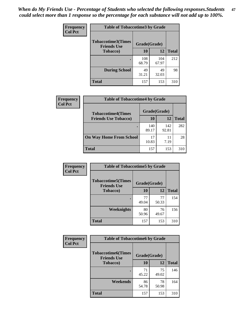*When do My Friends Use - Percentage of Students who selected the following responses.Students could select more than 1 response so the percentage for each substance will not add up to 100%.* **47**

| <b>Frequency</b> | <b>Table of Tobaccotime3 by Grade</b>           |              |              |              |  |
|------------------|-------------------------------------------------|--------------|--------------|--------------|--|
| <b>Col Pct</b>   | <b>Tobaccotime3(Times</b><br><b>Friends Use</b> |              | Grade(Grade) |              |  |
|                  | <b>Tobacco</b> )                                | 10           | 12           | <b>Total</b> |  |
|                  |                                                 | 108<br>68.79 | 104<br>67.97 | 212          |  |
|                  | <b>During School</b>                            | 49<br>31.21  | 49<br>32.03  | 98           |  |
|                  | <b>Total</b>                                    | 157          | 153          | 310          |  |

| Frequency      | <b>Table of Tobaccotime4 by Grade</b> |              |              |              |
|----------------|---------------------------------------|--------------|--------------|--------------|
| <b>Col Pct</b> | <b>Tobaccotime4(Times</b>             | Grade(Grade) |              |              |
|                | <b>Friends Use Tobacco)</b>           | 10           | 12           | <b>Total</b> |
|                |                                       | 140<br>89.17 | 142<br>92.81 | 282          |
|                | <b>On Way Home From School</b>        | 17<br>10.83  | 11<br>7.19   | 28           |
|                | <b>Total</b>                          | 157          | 153          | 310          |

| Frequency      | <b>Table of Tobaccotime5 by Grade</b>            |              |             |              |
|----------------|--------------------------------------------------|--------------|-------------|--------------|
| <b>Col Pct</b> | <b>Tobaccotime5</b> (Times<br><b>Friends Use</b> | Grade(Grade) |             |              |
|                | <b>Tobacco</b> )                                 | 10           | 12          | <b>Total</b> |
|                | $\bullet$                                        | 77<br>49.04  | 77<br>50.33 | 154          |
|                | Weeknights                                       | 80<br>50.96  | 76<br>49.67 | 156          |
|                | <b>Total</b>                                     | 157          | 153         | 310          |

| Frequency<br><b>Col Pct</b> | <b>Table of Tobaccotime6 by Grade</b>           |              |             |              |
|-----------------------------|-------------------------------------------------|--------------|-------------|--------------|
|                             | <b>Tobaccotime6(Times</b><br><b>Friends Use</b> | Grade(Grade) |             |              |
|                             | <b>Tobacco</b> )                                | 10           | 12          | <b>Total</b> |
|                             |                                                 | 71<br>45.22  | 75<br>49.02 | 146          |
|                             | Weekends                                        | 86<br>54.78  | 78<br>50.98 | 164          |
|                             | Total                                           | 157          | 153         | 310          |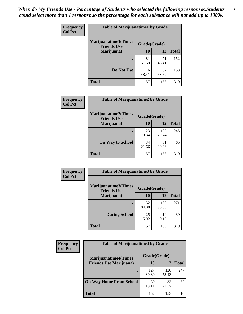| Frequency      | <b>Table of Marijuanatime1 by Grade</b>           |              |             |              |  |
|----------------|---------------------------------------------------|--------------|-------------|--------------|--|
| <b>Col Pct</b> | <b>Marijuanatime1(Times</b><br><b>Friends Use</b> | Grade(Grade) |             |              |  |
|                | Marijuana)                                        | 10           | 12          | <b>Total</b> |  |
|                |                                                   | 81<br>51.59  | 71<br>46.41 | 152          |  |
|                | Do Not Use                                        | 76<br>48.41  | 82<br>53.59 | 158          |  |
|                | <b>Total</b>                                      | 157          | 153         | 310          |  |

| Frequency      | <b>Table of Marijuanatime2 by Grade</b>           |              |              |              |
|----------------|---------------------------------------------------|--------------|--------------|--------------|
| <b>Col Pct</b> | <b>Marijuanatime2(Times</b><br><b>Friends Use</b> | Grade(Grade) |              |              |
|                | Marijuana)                                        | 10           | 12           | <b>Total</b> |
|                |                                                   | 123<br>78.34 | 122<br>79.74 | 245          |
|                | <b>On Way to School</b>                           | 34<br>21.66  | 31<br>20.26  | 65           |
|                | <b>Total</b>                                      | 157          | 153          | 310          |

| Frequency      | <b>Table of Marijuanatime3 by Grade</b>    |              |              |              |
|----------------|--------------------------------------------|--------------|--------------|--------------|
| <b>Col Pct</b> | Marijuanatime3(Times<br><b>Friends Use</b> | Grade(Grade) |              |              |
|                | Marijuana)                                 | 10           | 12           | <b>Total</b> |
|                |                                            | 132<br>84.08 | 139<br>90.85 | 271          |
|                | <b>During School</b>                       | 25<br>15.92  | 14<br>9.15   | 39           |
|                | Total                                      | 157          | 153          | 310          |

| <b>Frequency</b> | <b>Table of Marijuanatime4 by Grade</b> |              |              |              |
|------------------|-----------------------------------------|--------------|--------------|--------------|
| <b>Col Pct</b>   | <b>Marijuanatime4(Times</b>             | Grade(Grade) |              |              |
|                  | <b>Friends Use Marijuana</b> )          | 10           | 12           | <b>Total</b> |
|                  | ٠                                       | 127<br>80.89 | 120<br>78.43 | 247          |
|                  | <b>On Way Home From School</b>          | 30<br>19.11  | 33<br>21.57  | 63           |
|                  | <b>Total</b>                            | 157          | 153          | 310          |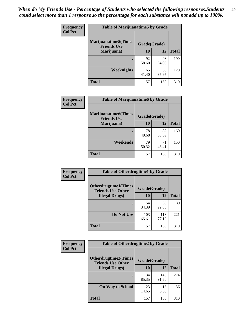| Frequency      | <b>Table of Marijuanatime5 by Grade</b>            |              |             |              |  |
|----------------|----------------------------------------------------|--------------|-------------|--------------|--|
| <b>Col Pct</b> | <b>Marijuanatime5</b> (Times<br><b>Friends Use</b> | Grade(Grade) |             |              |  |
|                | Marijuana)                                         | 10           | 12          | <b>Total</b> |  |
|                |                                                    | 92<br>58.60  | 98<br>64.05 | 190          |  |
|                | Weeknights                                         | 65<br>41.40  | 55<br>35.95 | 120          |  |
|                | <b>Total</b>                                       | 157          | 153         | 310          |  |

| Frequency      | <b>Table of Marijuanatime6 by Grade</b>    |              |             |              |
|----------------|--------------------------------------------|--------------|-------------|--------------|
| <b>Col Pct</b> | Marijuanatime6(Times<br><b>Friends Use</b> | Grade(Grade) |             |              |
|                | Marijuana)                                 | 10           | 12          | <b>Total</b> |
|                |                                            | 78<br>49.68  | 82<br>53.59 | 160          |
|                | Weekends                                   | 79<br>50.32  | 71<br>46.41 | 150          |
|                | <b>Total</b>                               | 157          | 153         | 310          |

| <b>Frequency</b> | <b>Table of Otherdrugtime1 by Grade</b>                  |              |              |              |
|------------------|----------------------------------------------------------|--------------|--------------|--------------|
| <b>Col Pct</b>   | <b>Otherdrugtime1</b> (Times<br><b>Friends Use Other</b> | Grade(Grade) |              |              |
|                  | <b>Illegal Drugs</b> )                                   | 10           | 12           | <b>Total</b> |
|                  |                                                          | 54<br>34.39  | 35<br>22.88  | 89           |
|                  | Do Not Use                                               | 103<br>65.61 | 118<br>77.12 | 221          |
|                  | <b>Total</b>                                             | 157          | 153          | 310          |

| Frequency      | <b>Table of Otherdrugtime2 by Grade</b>                 |              |              |              |  |  |
|----------------|---------------------------------------------------------|--------------|--------------|--------------|--|--|
| <b>Col Pct</b> | <b>Otherdrugtime2(Times</b><br><b>Friends Use Other</b> | Grade(Grade) |              |              |  |  |
|                | <b>Illegal Drugs</b> )                                  | 10           | 12           | <b>Total</b> |  |  |
|                |                                                         | 134<br>85.35 | 140<br>91.50 | 274          |  |  |
|                | <b>On Way to School</b>                                 | 23<br>14.65  | 13<br>8.50   | 36           |  |  |
|                | Total                                                   | 157          | 153          | 310          |  |  |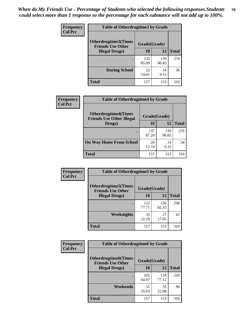| <b>Frequency</b> | <b>Table of Otherdrugtime3 by Grade</b>                 |              |              |              |  |  |
|------------------|---------------------------------------------------------|--------------|--------------|--------------|--|--|
| <b>Col Pct</b>   | <b>Otherdrugtime3(Times</b><br><b>Friends Use Other</b> | Grade(Grade) |              |              |  |  |
|                  | <b>Illegal Drugs</b> )                                  | 10           | 12           | <b>Total</b> |  |  |
|                  |                                                         | 135<br>85.99 | 139<br>90.85 | 274          |  |  |
|                  | <b>During School</b>                                    | 22<br>14.01  | 14<br>9.15   | 36           |  |  |
|                  | Total                                                   | 157          | 153          | 310          |  |  |

| <b>Frequency</b> | <b>Table of Otherdrugtime4 by Grade</b>                         |              |              |              |  |  |  |
|------------------|-----------------------------------------------------------------|--------------|--------------|--------------|--|--|--|
| <b>Col Pct</b>   | <b>Otherdrugtime4(Times</b><br><b>Friends Use Other Illegal</b> | Grade(Grade) |              |              |  |  |  |
|                  | Drugs)                                                          | 10           | 12           | <b>Total</b> |  |  |  |
|                  | $\bullet$                                                       | 137<br>87.26 | 139<br>90.85 | 276          |  |  |  |
|                  | <b>On Way Home From School</b>                                  | 20<br>12.74  | 14<br>9.15   | 34           |  |  |  |
|                  | <b>Total</b>                                                    | 157          | 153          | 310          |  |  |  |

| <b>Frequency</b> | <b>Table of Otherdrugtime5 by Grade</b>                  |              |              |              |  |  |  |
|------------------|----------------------------------------------------------|--------------|--------------|--------------|--|--|--|
| <b>Col Pct</b>   | <b>Otherdrugtime5</b> (Times<br><b>Friends Use Other</b> | Grade(Grade) |              |              |  |  |  |
|                  | <b>Illegal Drugs</b> )                                   | 10           | 12           | <b>Total</b> |  |  |  |
|                  |                                                          | 122<br>77.71 | 126<br>82.35 | 248          |  |  |  |
|                  | Weeknights                                               | 35<br>22.29  | 27<br>17.65  | 62           |  |  |  |
|                  | Total                                                    | 157          | 153          | 310          |  |  |  |

| <b>Frequency</b><br><b>Col Pct</b> | <b>Table of Otherdrugtime6 by Grade</b>                 |              |              |              |  |  |  |
|------------------------------------|---------------------------------------------------------|--------------|--------------|--------------|--|--|--|
|                                    | <b>Otherdrugtime6(Times</b><br><b>Friends Use Other</b> | Grade(Grade) |              |              |  |  |  |
|                                    | <b>Illegal Drugs)</b>                                   | 10           | 12           | <b>Total</b> |  |  |  |
|                                    |                                                         | 102<br>64.97 | 118<br>77.12 | 220          |  |  |  |
|                                    | Weekends                                                | 55<br>35.03  | 35<br>22.88  | 90           |  |  |  |
|                                    | <b>Total</b>                                            | 157          | 153          | 310          |  |  |  |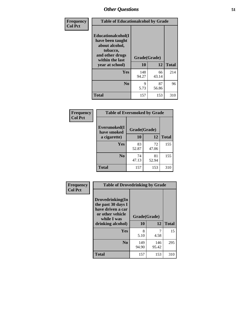| Frequency      | <b>Table of Educationalcohol by Grade</b>                                                                  |              |             |              |  |
|----------------|------------------------------------------------------------------------------------------------------------|--------------|-------------|--------------|--|
| <b>Col Pct</b> | Educationalcohol(I<br>have been taught<br>about alcohol,<br>tobacco,<br>and other drugs<br>within the last | Grade(Grade) |             |              |  |
|                | year at school)                                                                                            | 10           | 12          | <b>Total</b> |  |
|                | Yes                                                                                                        | 148<br>94.27 | 66<br>43.14 | 214          |  |
|                | N <sub>0</sub>                                                                                             | 9<br>5.73    | 87<br>56.86 | 96           |  |
|                | <b>Total</b>                                                                                               | 157          | 153         | 310          |  |

| Frequency      | <b>Table of Eversmoked by Grade</b> |              |             |              |  |  |
|----------------|-------------------------------------|--------------|-------------|--------------|--|--|
| <b>Col Pct</b> | Eversmoked(I<br>have smoked         | Grade(Grade) |             |              |  |  |
|                | a cigarette)                        | 10           | 12          | <b>Total</b> |  |  |
|                | <b>Yes</b>                          | 83<br>52.87  | 72<br>47.06 | 155          |  |  |
|                | N <sub>0</sub>                      | 74<br>47.13  | 81<br>52.94 | 155          |  |  |
|                | <b>Total</b>                        | 157          | 153         | 310          |  |  |

| Frequency<br><b>Col Pct</b> | <b>Table of Drovedrinking by Grade</b>                                                                              |                    |              |              |  |
|-----------------------------|---------------------------------------------------------------------------------------------------------------------|--------------------|--------------|--------------|--|
|                             | Drovedrinking(In<br>the past 30 days I<br>have driven a car<br>or other vehicle<br>while I was<br>drinking alcohol) | Grade(Grade)<br>10 | 12           | <b>Total</b> |  |
|                             | <b>Yes</b>                                                                                                          | 8<br>5.10          | 4.58         | 15           |  |
|                             | N <sub>0</sub>                                                                                                      | 149<br>94.90       | 146<br>95.42 | 295          |  |
|                             | <b>Total</b>                                                                                                        | 157                | 153          | 310          |  |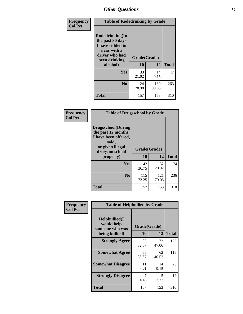| Frequency<br><b>Col Pct</b> | <b>Table of Rodedrinking by Grade</b>                                                                                  |                    |              |              |  |
|-----------------------------|------------------------------------------------------------------------------------------------------------------------|--------------------|--------------|--------------|--|
|                             | Rodedrinking(In<br>the past 30 days<br>I have ridden in<br>a car with a<br>driver who had<br>been drinking<br>alcohol) | Grade(Grade)<br>10 | 12           | <b>Total</b> |  |
|                             | <b>Yes</b>                                                                                                             | 33<br>21.02        | 14<br>9.15   | 47           |  |
|                             | N <sub>0</sub>                                                                                                         | 124<br>78.98       | 139<br>90.85 | 263          |  |
|                             | <b>Total</b>                                                                                                           | 157                | 153          | 310          |  |

#### **Frequency Col Pct**

| <b>Table of Drugsschool by Grade</b>                                                                                      |              |              |              |  |  |  |
|---------------------------------------------------------------------------------------------------------------------------|--------------|--------------|--------------|--|--|--|
| <b>Drugsschool</b> (During<br>the past 12 months,<br>I have been offered,<br>sold,<br>or given illegal<br>drugs on school | Grade(Grade) |              |              |  |  |  |
| property)                                                                                                                 | 10           | 12           | <b>Total</b> |  |  |  |
| Yes                                                                                                                       | 42<br>26.75  | 32<br>20.92  | 74           |  |  |  |
| N <sub>0</sub>                                                                                                            | 115<br>73.25 | 121<br>79.08 | 236          |  |  |  |
| <b>Total</b>                                                                                                              | 157          | 153          | 310          |  |  |  |

| Frequency      | <b>Table of Helpbullied by Grade</b>                 |                          |             |              |  |  |  |
|----------------|------------------------------------------------------|--------------------------|-------------|--------------|--|--|--|
| <b>Col Pct</b> | $Helpb$ ullied $(I$<br>would help<br>someone who was | Grade(Grade)<br>10<br>12 |             |              |  |  |  |
|                | being bullied)                                       |                          |             | <b>Total</b> |  |  |  |
|                | <b>Strongly Agree</b>                                | 83<br>52.87              | 72<br>47.06 | 155          |  |  |  |
|                | <b>Somewhat Agree</b>                                | 56<br>35.67              | 62<br>40.52 | 118          |  |  |  |
|                | <b>Somewhat Disagree</b>                             | 11<br>7.01               | 14<br>9.15  | 25           |  |  |  |
|                | <b>Strongly Disagree</b>                             | 4.46                     | 5<br>3.27   | 12           |  |  |  |
|                | <b>Total</b>                                         | 157                      | 153         | 310          |  |  |  |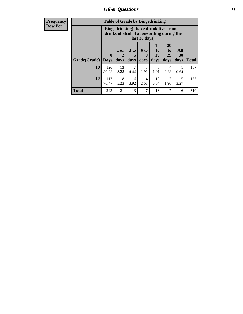8 5.23

6 3.92

**Total** 243 21 13 7 13 7 6 310

4 2.61

10 6.54

3 1.96

| <b>Frequency</b> | <b>Table of Grade by Bingedrinking</b> |                                                                                                                 |             |      |           |                |                |                       |
|------------------|----------------------------------------|-----------------------------------------------------------------------------------------------------------------|-------------|------|-----------|----------------|----------------|-----------------------|
| <b>Row Pct</b>   |                                        | <b>Bingedrinking</b> (I have drunk five or more<br>drinks of alcohol at one sitting during the<br>last 30 days) |             |      |           |                |                |                       |
|                  |                                        | 0                                                                                                               | $1$ or<br>2 | 3 to | 6 to      | 10<br>to<br>19 | 20<br>to<br>29 | All<br>3 <sub>0</sub> |
|                  | <b>Grade(Grade)</b>                    | <b>Days</b>                                                                                                     | days        | days | days      | days           | days           | days                  |
|                  | <b>10</b>                              | 126<br>80.25                                                                                                    | 13<br>8.28  | 4.46 | 3<br>1.91 | 1.91           | 4<br>2.55      | 0.64                  |

**12** 117 76.47 **Total**

157

153

**All 30 days**

> 1 0.64

> > 5 3.27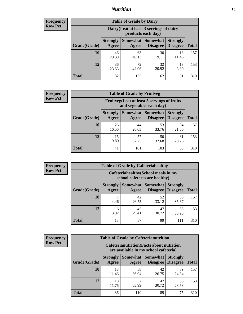### *Nutrition* **54**

| <b>Frequency</b><br>Row Pct |  |
|-----------------------------|--|
|                             |  |

| <b>Table of Grade by Dairy</b> |                          |                                                                 |                             |                                    |              |  |
|--------------------------------|--------------------------|-----------------------------------------------------------------|-----------------------------|------------------------------------|--------------|--|
|                                |                          | Dairy (I eat at least 3 servings of dairy<br>products each day) |                             |                                    |              |  |
| Grade(Grade)                   | <b>Strongly</b><br>Agree | <b>Somewhat</b><br>Agree                                        | <b>Somewhat</b><br>Disagree | <b>Strongly</b><br><b>Disagree</b> | <b>Total</b> |  |
| 10                             | 46<br>29.30              | 63<br>40.13                                                     | 30<br>19.11                 | 18<br>11.46                        | 157          |  |
| 12                             | 36<br>23.53              | 72<br>47.06                                                     | 32<br>20.92                 | 13<br>8.50                         | 153          |  |
| <b>Total</b>                   | 82                       | 135                                                             | 62                          | 31                                 | 310          |  |

| <b>Frequency</b> |  |
|------------------|--|
| <b>Row Pct</b>   |  |

| <b>Table of Grade by Fruitveg</b> |                          |                                                                          |                                 |                                    |              |
|-----------------------------------|--------------------------|--------------------------------------------------------------------------|---------------------------------|------------------------------------|--------------|
|                                   |                          | Fruitveg(I eat at least 5 servings of fruits<br>and vegetables each day) |                                 |                                    |              |
| Grade(Grade)                      | <b>Strongly</b><br>Agree | Agree                                                                    | Somewhat   Somewhat<br>Disagree | <b>Strongly</b><br><b>Disagree</b> | <b>Total</b> |
| 10                                | 26<br>16.56              | 44<br>28.03                                                              | 53<br>33.76                     | 34<br>21.66                        | 157          |
| 12                                | 15<br>9.80               | 57<br>37.25                                                              | 50<br>32.68                     | 31<br>20.26                        | 153          |
| <b>Total</b>                      | 41                       | 101                                                                      | 103                             | 65                                 | 310          |

| <b>Frequency</b> |              | <b>Table of Grade by Cafeteriahealthy</b>                             |             |                                          |                                    |              |
|------------------|--------------|-----------------------------------------------------------------------|-------------|------------------------------------------|------------------------------------|--------------|
| <b>Row Pct</b>   |              | Cafeteriahealthy (School meals in my<br>school cafeteria are healthy) |             |                                          |                                    |              |
|                  | Grade(Grade) | <b>Strongly</b><br>Agree                                              | Agree       | Somewhat   Somewhat  <br><b>Disagree</b> | <b>Strongly</b><br><b>Disagree</b> | <b>Total</b> |
|                  | 10           | 4.46                                                                  | 42<br>26.75 | 52<br>33.12                              | 56<br>35.67                        | 157          |
|                  | 12           | 6<br>3.92                                                             | 45<br>29.41 | 47<br>30.72                              | 55<br>35.95                        | 153          |
|                  | <b>Total</b> | 13                                                                    | 87          | 99                                       | 111                                | 310          |

| <b>Frequency</b> |
|------------------|
| <b>Row Pct</b>   |

| <b>Table of Grade by Cafeterianutrition</b> |                          |                                                                                           |                                    |                                    |              |  |
|---------------------------------------------|--------------------------|-------------------------------------------------------------------------------------------|------------------------------------|------------------------------------|--------------|--|
|                                             |                          | <b>Cafeterianutrition</b> (Facts about nutrition<br>are available in my school cafeteria) |                                    |                                    |              |  |
| Grade(Grade)                                | <b>Strongly</b><br>Agree | Somewhat<br>Agree                                                                         | <b>Somewhat</b><br><b>Disagree</b> | <b>Strongly</b><br><b>Disagree</b> | <b>Total</b> |  |
| 10                                          | 18<br>11.46              | 58<br>36.94                                                                               | 42<br>26.75                        | 39<br>24.84                        | 157          |  |
| 12                                          | 18<br>11.76              | 52<br>33.99                                                                               | 47<br>30.72                        | 36<br>23.53                        | 153          |  |
| Total                                       | 36                       | 110                                                                                       | 89                                 | 75                                 | 310          |  |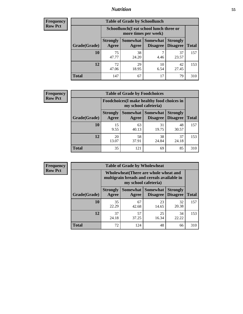### *Nutrition* **55**

| Frequency |
|-----------|
| Row Pct   |

| <b>Table of Grade by Schoollunch</b> |                          |                                                                 |                                 |                                    |              |  |
|--------------------------------------|--------------------------|-----------------------------------------------------------------|---------------------------------|------------------------------------|--------------|--|
|                                      |                          | Schoollunch(I eat school lunch three or<br>more times per week) |                                 |                                    |              |  |
| Grade(Grade)                         | <b>Strongly</b><br>Agree | Agree                                                           | Somewhat   Somewhat<br>Disagree | <b>Strongly</b><br><b>Disagree</b> | <b>Total</b> |  |
| 10                                   | 75<br>47.77              | 38<br>24.20                                                     | 4.46                            | 37<br>23.57                        | 157          |  |
| 12                                   | 72<br>47.06              | 29<br>18.95                                                     | 10<br>6.54                      | 42<br>27.45                        | 153          |  |
| <b>Total</b>                         | 147                      | 67                                                              | 17                              | 79                                 | 310          |  |

| <b>Frequency</b> |  |
|------------------|--|
| <b>Row Pct</b>   |  |

| <b>Table of Grade by Foodchoices</b> |                          |                                                                     |                               |                                    |              |  |
|--------------------------------------|--------------------------|---------------------------------------------------------------------|-------------------------------|------------------------------------|--------------|--|
|                                      |                          | Foodchoices (I make healthy food choices in<br>my school cafeteria) |                               |                                    |              |  |
| Grade(Grade)                         | <b>Strongly</b><br>Agree | Agree                                                               | Somewhat Somewhat<br>Disagree | <b>Strongly</b><br><b>Disagree</b> | <b>Total</b> |  |
| 10                                   | 15<br>9.55               | 63<br>40.13                                                         | 31<br>19.75                   | 48<br>30.57                        | 157          |  |
| 12                                   | 20<br>13.07              | 58<br>37.91                                                         | 38<br>24.84                   | 37<br>24.18                        | 153          |  |
| <b>Total</b>                         | 35                       | 121                                                                 | 69                            | 85                                 | 310          |  |

| <b>Frequency</b> |
|------------------|
| <b>Row Pct</b>   |

| y | <b>Table of Grade by Wholewheat</b> |                                                                                                             |             |                                      |                                    |              |  |
|---|-------------------------------------|-------------------------------------------------------------------------------------------------------------|-------------|--------------------------------------|------------------------------------|--------------|--|
|   |                                     | Wholewheat (There are whole wheat and<br>multigrain breads and cereals available in<br>my school cafeteria) |             |                                      |                                    |              |  |
|   | Grade(Grade)                        | <b>Strongly</b><br>Agree                                                                                    | Agree       | Somewhat Somewhat<br><b>Disagree</b> | <b>Strongly</b><br><b>Disagree</b> | <b>Total</b> |  |
|   | 10                                  | 35<br>22.29                                                                                                 | 67<br>42.68 | 23<br>14.65                          | 32<br>20.38                        | 157          |  |
|   | 12                                  | 37<br>24.18                                                                                                 | 57<br>37.25 | 25<br>16.34                          | 34<br>22.22                        | 153          |  |
|   | <b>Total</b>                        | 72                                                                                                          | 124         | 48                                   | 66                                 | 310          |  |

E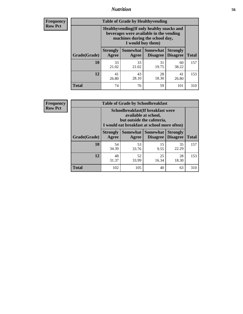### *Nutrition* **56**

**Frequency Row Pct**

| <b>Table of Grade by Healthyvending</b> |                                                                                                                                               |                          |                                    |                                    |              |  |  |
|-----------------------------------------|-----------------------------------------------------------------------------------------------------------------------------------------------|--------------------------|------------------------------------|------------------------------------|--------------|--|--|
|                                         | Healthyvending (If only healthy snacks and<br>beverages were available in the vending<br>machines during the school day,<br>I would buy them) |                          |                                    |                                    |              |  |  |
| Grade(Grade)                            | <b>Strongly</b><br>Agree                                                                                                                      | <b>Somewhat</b><br>Agree | <b>Somewhat</b><br><b>Disagree</b> | <b>Strongly</b><br><b>Disagree</b> | <b>Total</b> |  |  |
| 10                                      | 33<br>21.02                                                                                                                                   | 33<br>21.02              | 31<br>19.75                        | 60<br>38.22                        | 157          |  |  |
| 12                                      | 41<br>26.80                                                                                                                                   | 43<br>28.10              | 28<br>18.30                        | 41<br>26.80                        | 153          |  |  |
| <b>Total</b>                            | 74                                                                                                                                            | 76                       | 59                                 | 101                                | 310          |  |  |

**Frequency Row Pct**

| <b>Table of Grade by Schoolbreakfast</b> |                                                                                                                                         |             |             |             |              |  |  |
|------------------------------------------|-----------------------------------------------------------------------------------------------------------------------------------------|-------------|-------------|-------------|--------------|--|--|
|                                          | Schoolbreakfast (If breakfast were<br>available at school,<br>but outside the cafeteria,<br>I would eat breakfast at school more often) |             |             |             |              |  |  |
| Grade(Grade)                             | Somewhat   Somewhat<br><b>Strongly</b><br><b>Strongly</b><br><b>Disagree</b><br>Agree<br><b>Disagree</b><br>Agree                       |             |             |             | <b>Total</b> |  |  |
| 10                                       | 54<br>34.39                                                                                                                             | 53<br>33.76 | 15<br>9.55  | 35<br>22.29 | 157          |  |  |
| 12                                       | 48<br>31.37                                                                                                                             | 52<br>33.99 | 25<br>16.34 | 28<br>18.30 | 153          |  |  |
| <b>Total</b>                             | 102                                                                                                                                     | 105         | 40          | 63          | 310          |  |  |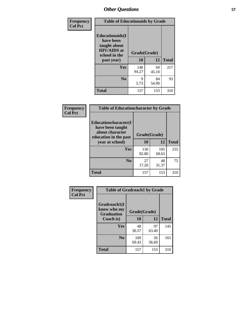| Frequency<br><b>Col Pct</b> | <b>Table of Educationaids by Grade</b>                                                                    |                    |             |              |
|-----------------------------|-----------------------------------------------------------------------------------------------------------|--------------------|-------------|--------------|
|                             | <b>Educationaids</b> (I<br>have been<br>taught about<br><b>HIV/AIDS</b> at<br>school in the<br>past year) | Grade(Grade)<br>10 | 12          | <b>Total</b> |
|                             | Yes                                                                                                       | 148<br>94.27       | 69<br>45.10 | 217          |
|                             | N <sub>0</sub>                                                                                            | 9<br>5.73          | 84<br>54.90 | 93           |
|                             | <b>Total</b>                                                                                              | 157                | 153         | 310          |

| Frequency      | <b>Table of Educationcharacter by Grade</b>                                                  |              |              |              |  |
|----------------|----------------------------------------------------------------------------------------------|--------------|--------------|--------------|--|
| <b>Col Pct</b> | <b>Educationcharacter(I)</b><br>have been taught<br>about character<br>education in the past | Grade(Grade) |              |              |  |
|                | year at school)                                                                              | 10           | 12           | <b>Total</b> |  |
|                | Yes                                                                                          | 130<br>82.80 | 105<br>68.63 | 235          |  |
|                | N <sub>0</sub>                                                                               | 27<br>17.20  | 48<br>31.37  | 75           |  |
|                | <b>Total</b>                                                                                 | 157          | 153          | 310          |  |

| Frequency      | <b>Table of Gradcoach1 by Grade</b>              |              |             |              |
|----------------|--------------------------------------------------|--------------|-------------|--------------|
| <b>Col Pct</b> | Gradcoach1(I<br>know who my<br><b>Graduation</b> | Grade(Grade) |             |              |
|                | Coach is)                                        | 10           | 12          | <b>Total</b> |
|                | Yes                                              | 48<br>30.57  | 97<br>63.40 | 145          |
|                | N <sub>0</sub>                                   | 109<br>69.43 | 56<br>36.60 | 165          |
|                | <b>Total</b>                                     | 157          | 153         | 310          |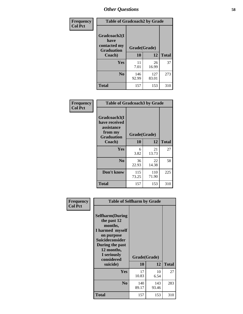| Frequency      |                                             | <b>Table of Gradcoach2 by Grade</b> |              |              |  |
|----------------|---------------------------------------------|-------------------------------------|--------------|--------------|--|
| <b>Col Pct</b> | Gradcoach2(I<br>have                        |                                     |              |              |  |
|                | contacted my<br><b>Graduation</b><br>Coach) | Grade(Grade)                        |              |              |  |
|                |                                             | 10                                  | 12           | <b>Total</b> |  |
|                | Yes                                         | 11<br>7.01                          | 26<br>16.99  | 37           |  |
|                | N <sub>0</sub>                              | 146<br>92.99                        | 127<br>83.01 | 273          |  |
|                | <b>Total</b>                                | 157                                 | 153          | 310          |  |

| Frequency<br><b>Col Pct</b> | <b>Table of Gradcoach3 by Grade</b>                                         |              |              |              |
|-----------------------------|-----------------------------------------------------------------------------|--------------|--------------|--------------|
|                             | Gradcoach3(I<br>have received<br>assistance<br>from my<br><b>Graduation</b> | Grade(Grade) |              |              |
|                             | Coach)                                                                      | 10           | 12           | <b>Total</b> |
|                             | Yes                                                                         | 6<br>3.82    | 21<br>13.73  | 27           |
|                             | N <sub>0</sub>                                                              | 36<br>22.93  | 22<br>14.38  | 58           |
|                             | Don't know                                                                  | 115<br>73.25 | 110<br>71.90 | 225          |
|                             | <b>Total</b>                                                                | 157          | 153          | 310          |

| Frequency      | <b>Table of Selfharm by Grade</b>                                                                                                                                                      |              |                    |              |
|----------------|----------------------------------------------------------------------------------------------------------------------------------------------------------------------------------------|--------------|--------------------|--------------|
| <b>Col Pct</b> | <b>Selfharm</b> (During<br>the past 12<br>months,<br>I harmed myself<br>on purpose<br><b>Suicideconsider</b><br>During the past<br>12 months,<br>I seriously<br>considered<br>suicide) | 10           | Grade(Grade)<br>12 | <b>Total</b> |
|                | Yes                                                                                                                                                                                    | 17<br>10.83  | 10<br>6.54         | 27           |
|                | N <sub>0</sub>                                                                                                                                                                         | 140<br>89.17 | 143<br>93.46       | 283          |
|                | <b>Total</b>                                                                                                                                                                           | 157          | 153                | 310          |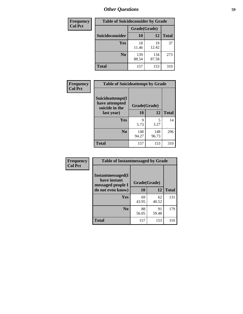| <b>Frequency</b> | <b>Table of Suicideconsider by Grade</b> |              |              |              |
|------------------|------------------------------------------|--------------|--------------|--------------|
| <b>Col Pct</b>   |                                          | Grade(Grade) |              |              |
|                  | <b>Suicideconsider</b>                   | <b>10</b>    | 12           | <b>Total</b> |
|                  | <b>Yes</b>                               | 18<br>11.46  | 19<br>12.42  | 37           |
|                  | N <sub>0</sub>                           | 139<br>88.54 | 134<br>87.58 | 273          |
|                  | <b>Total</b>                             | 157          | 153          | 310          |

| Frequency      | <b>Table of Suicideattempt by Grade</b>              |              |              |              |
|----------------|------------------------------------------------------|--------------|--------------|--------------|
| <b>Col Pct</b> | Suicideattempt(I<br>have attempted<br>suicide in the | Grade(Grade) |              |              |
|                | last year)                                           | 10           | 12           | <b>Total</b> |
|                | Yes                                                  | 9<br>5.73    | 5<br>3.27    | 14           |
|                | N <sub>0</sub>                                       | 148<br>94.27 | 148<br>96.73 | 296          |
|                | <b>Total</b>                                         | 157          | 153          | 310          |

| Frequency      | <b>Table of Instantmessaged by Grade</b>                       |              |             |              |  |
|----------------|----------------------------------------------------------------|--------------|-------------|--------------|--|
| <b>Col Pct</b> | <b>Instantmessaged</b> (I<br>have instant<br>messaged people I | Grade(Grade) |             |              |  |
|                | do not even know)                                              | 10           | 12          | <b>Total</b> |  |
|                | Yes                                                            | 69<br>43.95  | 62<br>40.52 | 131          |  |
|                | N <sub>0</sub>                                                 | 88<br>56.05  | 91<br>59.48 | 179          |  |
|                | <b>Total</b>                                                   | 157          | 153         | 310          |  |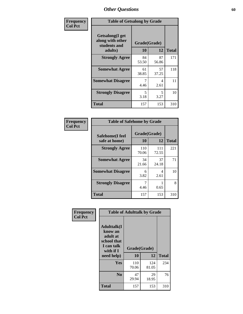| Frequency      | <b>Table of Getsalong by Grade</b>                          |             |              |              |  |  |
|----------------|-------------------------------------------------------------|-------------|--------------|--------------|--|--|
| <b>Col Pct</b> | <b>Getsalong</b> (I get<br>along with other<br>students and |             | Grade(Grade) |              |  |  |
|                | adults)                                                     | 10          | 12           | <b>Total</b> |  |  |
|                | <b>Strongly Agree</b>                                       | 84<br>53.50 | 87<br>56.86  | 171          |  |  |
|                | <b>Somewhat Agree</b>                                       | 61<br>38.85 | 57<br>37.25  | 118          |  |  |
|                | <b>Somewhat Disagree</b>                                    | 7<br>4.46   | 4<br>2.61    | 11           |  |  |
|                | <b>Strongly Disagree</b>                                    | 5<br>3.18   | 5<br>3.27    | 10           |  |  |
|                | <b>Total</b>                                                | 157         | 153          | 310          |  |  |

| Frequency      | <b>Table of Safehome by Grade</b> |              |              |              |  |  |  |  |
|----------------|-----------------------------------|--------------|--------------|--------------|--|--|--|--|
| <b>Col Pct</b> | Safehome(I feel                   | Grade(Grade) |              |              |  |  |  |  |
|                | safe at home)                     | 10           | 12           | <b>Total</b> |  |  |  |  |
|                | <b>Strongly Agree</b>             | 110<br>70.06 | 111<br>72.55 | 221          |  |  |  |  |
|                | <b>Somewhat Agree</b>             | 34<br>21.66  | 37<br>24.18  | 71           |  |  |  |  |
|                | <b>Somewhat Disagree</b>          | 6<br>3.82    | 4<br>2.61    | 10           |  |  |  |  |
|                | <b>Strongly Disagree</b>          | 4.46         | 0.65         | 8            |  |  |  |  |
|                | <b>Total</b>                      | 157          | 153          | 310          |  |  |  |  |

| Frequency      |                                                                                      | <b>Table of Adulttalk by Grade</b> |              |              |
|----------------|--------------------------------------------------------------------------------------|------------------------------------|--------------|--------------|
| <b>Col Pct</b> | <b>Adulttalk</b> (I<br>know an<br>adult at<br>school that<br>I can talk<br>with if I | Grade(Grade)                       |              |              |
|                | need help)                                                                           | 10                                 | 12           | <b>Total</b> |
|                | <b>Yes</b>                                                                           | 110<br>70.06                       | 124<br>81.05 | 234          |
|                | N <sub>0</sub>                                                                       | 47<br>29.94                        | 29<br>18.95  | 76           |
|                | <b>Total</b>                                                                         | 157                                | 153          | 310          |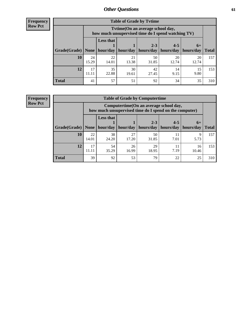**Frequency Row Pct**

| <b>Table of Grade by Tytime</b> |             |                                                                                        |             |             |             |             |              |  |  |  |
|---------------------------------|-------------|----------------------------------------------------------------------------------------|-------------|-------------|-------------|-------------|--------------|--|--|--|
|                                 |             | Tvtime(On an average school day,<br>how much unsupervised time do I spend watching TV) |             |             |             |             |              |  |  |  |
|                                 |             | <b>Less that</b>                                                                       |             | $2 - 3$     | $4 - 5$     | $6+$        |              |  |  |  |
| Grade(Grade)   None             |             | hour/day                                                                               | hour/day    | hours/day   | hours/day   | hours/day   | <b>Total</b> |  |  |  |
| 10                              | 24<br>15.29 | 22<br>14.01                                                                            | 21<br>13.38 | 50<br>31.85 | 20<br>12.74 | 20<br>12.74 | 157          |  |  |  |
| 12                              | 17<br>11.11 | 35<br>22.88                                                                            | 30<br>19.61 | 42<br>27.45 | 14<br>9.15  | 15<br>9.80  | 153          |  |  |  |
| <b>Total</b>                    | 41          | 57                                                                                     | 51          | 92          | 34          | 35          | 310          |  |  |  |

**Frequency Row Pct**

| <b>Table of Grade by Computertime</b> |             |                                                                                                   |                     |                      |                      |                   |              |  |  |  |
|---------------------------------------|-------------|---------------------------------------------------------------------------------------------------|---------------------|----------------------|----------------------|-------------------|--------------|--|--|--|
|                                       |             | Computertime (On an average school day,<br>how much unsupervised time do I spend on the computer) |                     |                      |                      |                   |              |  |  |  |
| Grade(Grade)                          | None        | <b>Less that</b>                                                                                  | hour/day   hour/day | $2 - 3$<br>hours/day | $4 - 5$<br>hours/day | $6+$<br>hours/day | <b>Total</b> |  |  |  |
| 10                                    | 22          | 38                                                                                                | 27                  | 50                   | 11                   | 9                 | 157          |  |  |  |
|                                       | 14.01       | 24.20                                                                                             | 17.20               | 31.85                | 7.01                 | 5.73              |              |  |  |  |
| 12                                    | 17<br>11.11 | 54<br>29<br>26<br>11<br>16<br>18.95<br>7.19<br>35.29<br>16.99<br>10.46                            |                     |                      |                      |                   |              |  |  |  |
| <b>Total</b>                          | 39          | 92                                                                                                | 53                  | 79                   | 22                   | 25                | 310          |  |  |  |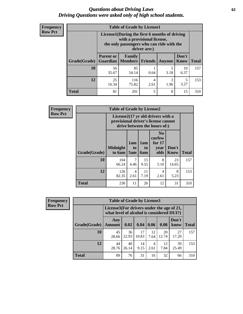#### *Questions about Driving Laws* **62** *Driving Questions were asked only of high school students.*

| <b>Frequency</b> |
|------------------|
| <b>Row Pct</b>   |

| <b>Table of Grade by License1</b> |                                                                    |                                                                                                                                           |                |           |               |              |  |  |  |
|-----------------------------------|--------------------------------------------------------------------|-------------------------------------------------------------------------------------------------------------------------------------------|----------------|-----------|---------------|--------------|--|--|--|
|                                   |                                                                    | License1(During the first 6 months of driving<br>with a provisional license,<br>the only passengers who can ride with the<br>driver are:) |                |           |               |              |  |  |  |
| Grade(Grade)                      | <b>Parent or</b><br><b>Guardian</b>                                | Family<br><b>Members</b>                                                                                                                  | <b>Friends</b> | Anyone    | Don't<br>Know | <b>Total</b> |  |  |  |
| 10                                | 56<br>35.67                                                        | 85<br>54.14                                                                                                                               | 0.64           | 5<br>3.18 | 10<br>6.37    | 157          |  |  |  |
| 12                                | 25<br>116<br>3<br>5<br>4<br>75.82<br>1.96<br>3.27<br>16.34<br>2.61 |                                                                                                                                           |                |           |               |              |  |  |  |
| <b>Total</b>                      | 81                                                                 | 201                                                                                                                                       | 5              | 8         | 15            | 310          |  |  |  |

| <b>Frequency</b> | <b>Table of Grade by License2</b> |                                                                                                          |                        |                                     |                                                      |                      |              |  |
|------------------|-----------------------------------|----------------------------------------------------------------------------------------------------------|------------------------|-------------------------------------|------------------------------------------------------|----------------------|--------------|--|
| <b>Row Pct</b>   |                                   | License2(17 yr old drivers with a<br>provisional driver's license cannot<br>drive between the hours of:) |                        |                                     |                                                      |                      |              |  |
|                  | Grade(Grade)                      | <b>Midnight</b><br>to 6am                                                                                | 1am<br>to<br>5am       | 1am<br>t <sub>0</sub><br><b>6am</b> | N <sub>0</sub><br>curfew<br>for $17$<br>vear<br>olds | Don't<br><b>Know</b> | <b>Total</b> |  |
|                  | 10                                | 104<br>66.24                                                                                             | 7<br>4.46              | 15<br>9.55                          | 8<br>5.10                                            | 23<br>14.65          | 157          |  |
|                  | 12                                | 126<br>82.35                                                                                             | $\overline{4}$<br>2.61 | 11<br>7.19                          | $\overline{4}$<br>2.61                               | 8<br>5.23            | 153          |  |
|                  | <b>Total</b>                      | 230                                                                                                      | 11                     | 26                                  | 12                                                   | 31                   | 310          |  |

| Frequency      |              | <b>Table of Grade by License3</b>                                                      |             |             |            |             |               |              |  |
|----------------|--------------|----------------------------------------------------------------------------------------|-------------|-------------|------------|-------------|---------------|--------------|--|
| <b>Row Pct</b> |              | License3(For drivers under the age of 21,<br>what level of alcohol is considered DUI?) |             |             |            |             |               |              |  |
|                | Grade(Grade) | Any<br><b>Amount</b>                                                                   | 0.02        | 0.04        | 0.06       | 0.08        | Don't<br>know | <b>Total</b> |  |
|                | <b>10</b>    | 45<br>28.66                                                                            | 36<br>22.93 | 17<br>10.83 | 12<br>7.64 | 20<br>12.74 | 27<br>17.20   | 157          |  |
|                | 12           | 44<br>28.76                                                                            | 40<br>26.14 | 14<br>9.15  | 4<br>2.61  | 12<br>7.84  | 39<br>25.49   | 153          |  |
|                | <b>Total</b> | 89                                                                                     | 76          | 31          | 16         | 32          | 66            | 310          |  |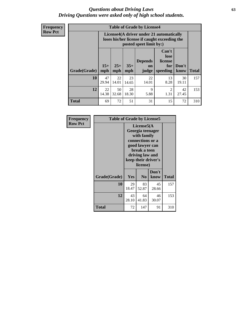#### *Questions about Driving Laws* **63** *Driving Questions were asked only of high school students.*

**Frequency Row Pct**

| <b>Table of Grade by License4</b> |             |                                                                                                                                                                                                                                                                                |             |             |            |             |     |  |  |
|-----------------------------------|-------------|--------------------------------------------------------------------------------------------------------------------------------------------------------------------------------------------------------------------------------------------------------------------------------|-------------|-------------|------------|-------------|-----|--|--|
|                                   |             | License4(A driver under 21 automatically<br>loses his/her license if caught exceeding the<br>posted speet limit by:)<br>Can't<br>lose<br><b>Depends</b><br>license<br>$15+$<br>$25+$<br>$35+$<br>Don't<br>for<br>on<br>speeding<br><b>Total</b><br>mph<br>mph<br>know<br>judge |             |             |            |             |     |  |  |
| Grade(Grade)                      | mph         |                                                                                                                                                                                                                                                                                |             |             |            |             |     |  |  |
| 10                                | 47<br>29.94 | 22<br>14.01                                                                                                                                                                                                                                                                    | 23<br>14.65 | 22<br>14.01 | 13<br>8.28 | 30<br>19.11 | 157 |  |  |
| 12                                | 22<br>14.38 | 50<br>28<br>$\mathbf Q$<br>$\mathfrak{D}$<br>42<br>18.30<br>5.88<br>1.31<br>27.45<br>32.68                                                                                                                                                                                     |             |             |            |             |     |  |  |
| <b>Total</b>                      | 69          | 72                                                                                                                                                                                                                                                                             | 51          | 31          | 15         | 72          | 310 |  |  |

| Frequency      | <b>Table of Grade by License5</b> |                                                                                                                                                             |                |               |              |
|----------------|-----------------------------------|-------------------------------------------------------------------------------------------------------------------------------------------------------------|----------------|---------------|--------------|
| <b>Row Pct</b> |                                   | License5(A)<br>Georgia teenager<br>with family<br>connections or a<br>good lawyer can<br>break a teen<br>driving law and<br>keep their driver's<br>license) |                |               |              |
|                | Grade(Grade)                      | Yes                                                                                                                                                         | N <sub>0</sub> | Don't<br>know | <b>Total</b> |
|                | 10                                | 29<br>18.47                                                                                                                                                 | 83<br>52.87    | 45<br>28.66   | 157          |
|                | 12                                | 43<br>28.10                                                                                                                                                 | 64<br>41.83    | 46<br>30.07   | 153          |
|                | Total                             | 72                                                                                                                                                          | 147            | 91            | 310          |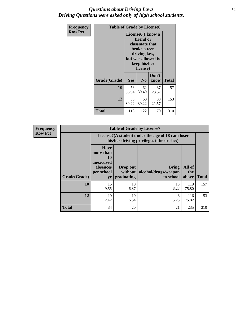#### *Questions about Driving Laws* **64** *Driving Questions were asked only of high school students.*

| <b>Frequency</b> | <b>Table of Grade by License6</b> |                                           |                                                                                                                                                 |               |              |
|------------------|-----------------------------------|-------------------------------------------|-------------------------------------------------------------------------------------------------------------------------------------------------|---------------|--------------|
| <b>Row Pct</b>   |                                   |                                           | License <sub>6</sub> (I know a<br>friend or<br>classmate that<br>broke a teen<br>driving law,<br>but was allowed to<br>keep his/her<br>license) |               |              |
|                  | Grade(Grade)                      | Yes                                       | N <sub>0</sub>                                                                                                                                  | Don't<br>know | <b>Total</b> |
|                  | 10                                | 58<br>36.94                               | 62<br>37<br>39.49<br>23.57                                                                                                                      |               |              |
|                  | 12                                | 60<br>60<br>33<br>39.22<br>39.22<br>21.57 |                                                                                                                                                 |               | 153          |
|                  | Total                             | 118                                       | 122                                                                                                                                             | 70            | 310          |

| <b>Frequency</b> |              |                                                                             | <b>Table of Grade by License7</b>                                                             |                                                   |                        |              |  |
|------------------|--------------|-----------------------------------------------------------------------------|-----------------------------------------------------------------------------------------------|---------------------------------------------------|------------------------|--------------|--|
| <b>Row Pct</b>   |              |                                                                             | License7(A student under the age of 18 cam loser<br>his/her driving privileges if he or she:) |                                                   |                        |              |  |
|                  | Grade(Grade) | <b>Have</b><br>more than<br>10<br>unexcused<br>absences<br>per school<br>yr | Drop out<br>without  <br>graduating                                                           | <b>Bring</b><br>alcohol/drugs/weapon<br>to school | All of<br>the<br>above | <b>Total</b> |  |
|                  | 10           | 15<br>9.55                                                                  | 10<br>6.37                                                                                    | 13<br>8.28                                        | 119<br>75.80           | 157          |  |
|                  | 12           | 19<br>12.42                                                                 | 10<br>6.54                                                                                    | 8<br>5.23                                         | 116<br>75.82           | 153          |  |
|                  | <b>Total</b> | 34                                                                          | 20                                                                                            | 21                                                | 235                    | 310          |  |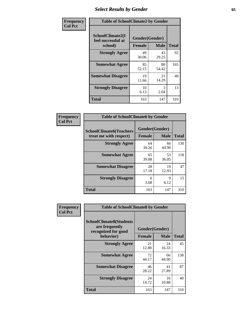# *Select Results by Gender* **65**

| Frequency      | <b>Table of SchoolClimate2 by Gender</b>          |                                 |             |              |
|----------------|---------------------------------------------------|---------------------------------|-------------|--------------|
| <b>Col Pct</b> | SchoolClimate2(I<br>feel successful at<br>school) | Gender(Gender)<br><b>Female</b> | <b>Male</b> | <b>Total</b> |
|                | <b>Strongly Agree</b>                             | 49<br>30.06                     | 43<br>29.25 | 92           |
|                | <b>Somewhat Agree</b>                             | 85<br>52.15                     | 80<br>54.42 | 165          |
|                | <b>Somewhat Disagree</b>                          | 19<br>11.66                     | 21<br>14.29 | 40           |
|                | <b>Strongly Disagree</b>                          | 10<br>6.13                      | 3<br>2.04   | 13           |
|                | <b>Total</b>                                      | 163                             | 147         | 310          |

| <b>Frequency</b> | <b>Table of SchoolClimate6 by Gender</b>                 |               |                               |              |  |
|------------------|----------------------------------------------------------|---------------|-------------------------------|--------------|--|
| <b>Col Pct</b>   | <b>SchoolClimate6(Teachers</b><br>treat me with respect) | <b>Female</b> | Gender(Gender)<br><b>Male</b> | <b>Total</b> |  |
|                  | <b>Strongly Agree</b>                                    | 64<br>39.26   | 66<br>44.90                   | 130          |  |
|                  | <b>Somewhat Agree</b>                                    | 65<br>39.88   | 53<br>36.05                   | 118          |  |
|                  | <b>Somewhat Disagree</b>                                 | 28<br>17.18   | 19<br>12.93                   | 47           |  |
|                  | <b>Strongly Disagree</b>                                 | 6<br>3.68     | 9<br>6.12                     | 15           |  |
|                  | <b>Total</b>                                             | 163           | 147                           | 310          |  |

| Frequency      | <b>Table of SchoolClimate8 by Gender</b>                                             |                                 |             |              |
|----------------|--------------------------------------------------------------------------------------|---------------------------------|-------------|--------------|
| <b>Col Pct</b> | <b>SchoolClimate8(Students</b><br>are frequently<br>recognized for good<br>behavior) | Gender(Gender)<br><b>Female</b> | <b>Male</b> | <b>Total</b> |
|                | <b>Strongly Agree</b>                                                                | 21<br>12.88                     | 24<br>16.33 | 45           |
|                | <b>Somewhat Agree</b>                                                                | 72<br>44.17                     | 66<br>44.90 | 138          |
|                | <b>Somewhat Disagree</b>                                                             | 46<br>28.22                     | 41<br>27.89 | 87           |
|                | <b>Strongly Disagree</b>                                                             | 24<br>14.72                     | 16<br>10.88 | 40           |
|                | Total                                                                                | 163                             | 147         | 310          |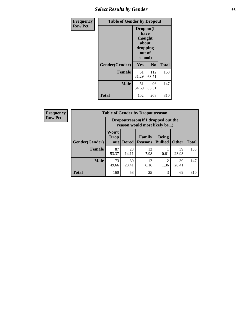# *Select Results by Gender* **66**

| Frequency      | <b>Table of Gender by Dropout</b> |                                                                        |                |              |
|----------------|-----------------------------------|------------------------------------------------------------------------|----------------|--------------|
| <b>Row Pct</b> |                                   | Dropout(I<br>have<br>thought<br>about<br>dropping<br>out of<br>school) |                |              |
|                | Gender(Gender)                    | Yes                                                                    | N <sub>0</sub> | <b>Total</b> |
|                | <b>Female</b>                     | 51<br>31.29                                                            | 112<br>68.71   | 163          |
|                | <b>Male</b>                       | 51<br>34.69                                                            | 96<br>65.31    | 147          |
|                | <b>Total</b>                      | 102                                                                    | 208            | 310          |

| <b>Frequency</b> | <b>Table of Gender by Dropoutreason</b> |                                                                    |              |                          |                                |              |              |
|------------------|-----------------------------------------|--------------------------------------------------------------------|--------------|--------------------------|--------------------------------|--------------|--------------|
| <b>Row Pct</b>   |                                         | Dropoutreason(If I dropped out the<br>reason would most likely be) |              |                          |                                |              |              |
|                  | Gender(Gender)                          | Won't<br><b>Drop</b><br>out                                        | <b>Bored</b> | Family<br><b>Reasons</b> | <b>Being</b><br><b>Bullied</b> | <b>Other</b> | <b>Total</b> |
|                  | <b>Female</b>                           | 87<br>53.37                                                        | 23<br>14.11  | 13<br>7.98               | 0.61                           | 39<br>23.93  | 163          |
|                  | <b>Male</b>                             | 73<br>49.66                                                        | 30<br>20.41  | 12<br>8.16               | $\mathfrak{D}$<br>1.36         | 30<br>20.41  | 147          |
|                  | <b>Total</b>                            | 160                                                                | 53           | 25                       | 3                              | 69           | 310          |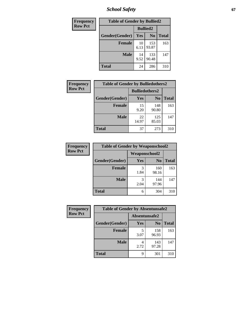*School Safety* **67**

| Frequency      | <b>Table of Gender by Bullied2</b> |                 |                |              |
|----------------|------------------------------------|-----------------|----------------|--------------|
| <b>Row Pct</b> |                                    | <b>Bullied2</b> |                |              |
|                | Gender(Gender)                     | Yes             | N <sub>0</sub> | <b>Total</b> |
|                | <b>Female</b>                      | 10<br>6.13      | 153<br>93.87   | 163          |
|                | <b>Male</b>                        | 14<br>9.52      | 133<br>90.48   | 147          |
|                | <b>Total</b>                       | 24              | 286            | 310          |

| Frequency      | <b>Table of Gender by Bulliedothers2</b> |                       |                |              |  |
|----------------|------------------------------------------|-----------------------|----------------|--------------|--|
| <b>Row Pct</b> |                                          | <b>Bulliedothers2</b> |                |              |  |
|                | Gender(Gender)                           | <b>Yes</b>            | N <sub>0</sub> | <b>Total</b> |  |
|                | <b>Female</b>                            | 15<br>9.20            | 148<br>90.80   | 163          |  |
|                | <b>Male</b>                              | 22<br>14.97           | 125<br>85.03   | 147          |  |
|                | <b>Total</b>                             | 37                    | 273            | 310          |  |

| Frequency      | <b>Table of Gender by Weaponschool2</b> |                      |                |              |
|----------------|-----------------------------------------|----------------------|----------------|--------------|
| <b>Row Pct</b> |                                         | <b>Weaponschool2</b> |                |              |
|                | Gender(Gender)                          | Yes                  | N <sub>0</sub> | <b>Total</b> |
|                | <b>Female</b>                           | 1.84                 | 160<br>98.16   | 163          |
|                | <b>Male</b>                             | 3<br>2.04            | 144<br>97.96   | 147          |
|                | <b>Total</b>                            | 6                    | 304            | 310          |

| Frequency      | <b>Table of Gender by Absentunsafe2</b> |               |                |              |
|----------------|-----------------------------------------|---------------|----------------|--------------|
| <b>Row Pct</b> |                                         | Absentunsafe2 |                |              |
|                | Gender(Gender)                          | Yes           | N <sub>0</sub> | <b>Total</b> |
|                | <b>Female</b>                           | 3.07          | 158<br>96.93   | 163          |
|                | <b>Male</b>                             | 2.72          | 143<br>97.28   | 147          |
|                | <b>Total</b>                            | q             | 301            | 310          |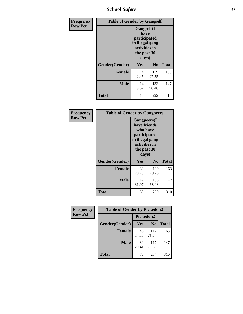*School Safety* **68**

| Frequency      | <b>Table of Gender by Gangself</b> |                                                                                                |                |              |
|----------------|------------------------------------|------------------------------------------------------------------------------------------------|----------------|--------------|
| <b>Row Pct</b> |                                    | Gangself(I<br>have<br>participated<br>in illegal gang<br>activities in<br>the past 30<br>days) |                |              |
|                | Gender(Gender)                     | Yes                                                                                            | N <sub>0</sub> | <b>Total</b> |
|                | <b>Female</b>                      | 4<br>2.45                                                                                      | 159<br>97.55   | 163          |
|                | <b>Male</b>                        | 14<br>9.52                                                                                     | 133<br>90.48   | 147          |
|                | <b>Total</b>                       | 18                                                                                             | 292            | 310          |

| Frequency      |                | <b>Table of Gender by Gangpeers</b>                                                                                         |                |       |
|----------------|----------------|-----------------------------------------------------------------------------------------------------------------------------|----------------|-------|
| <b>Row Pct</b> |                | <b>Gangpeers</b> (I<br>have friends<br>who have<br>participated<br>in illegal gang<br>activities in<br>the past 30<br>days) |                |       |
|                | Gender(Gender) | Yes                                                                                                                         | N <sub>0</sub> | Total |
|                | <b>Female</b>  | 33<br>20.25                                                                                                                 | 130<br>79.75   | 163   |
|                | <b>Male</b>    | 47<br>31.97                                                                                                                 | 100<br>68.03   | 147   |
|                | <b>Total</b>   | 80                                                                                                                          | 230            | 310   |

| Frequency      | <b>Table of Gender by Pickedon2</b> |             |                |              |
|----------------|-------------------------------------|-------------|----------------|--------------|
| <b>Row Pct</b> |                                     | Pickedon2   |                |              |
|                | Gender(Gender)                      | <b>Yes</b>  | N <sub>0</sub> | <b>Total</b> |
|                | <b>Female</b>                       | 46<br>28.22 | 117<br>71.78   | 163          |
|                | <b>Male</b>                         | 30<br>20.41 | 117<br>79.59   | 147          |
|                | <b>Total</b>                        | 76          | 234            | 310          |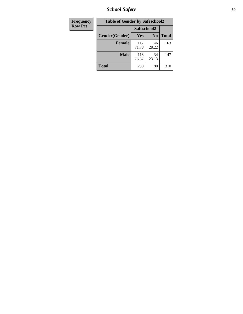*School Safety* **69**

| Frequency      | <b>Table of Gender by Safeschool2</b> |              |                |              |
|----------------|---------------------------------------|--------------|----------------|--------------|
| <b>Row Pct</b> |                                       | Safeschool2  |                |              |
|                | Gender(Gender)                        | Yes          | N <sub>0</sub> | <b>Total</b> |
|                | <b>Female</b>                         | 117<br>71.78 | 46<br>28.22    | 163          |
|                | <b>Male</b>                           | 113<br>76.87 | 34<br>23.13    | 147          |
|                | <b>Total</b>                          | 230          | 80             | 310          |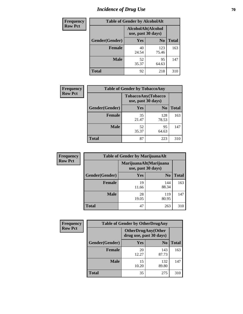# *Incidence of Drug Use* **70**

| <b>Frequency</b> | <b>Table of Gender by AlcoholAlt</b> |                                          |                |              |
|------------------|--------------------------------------|------------------------------------------|----------------|--------------|
| <b>Row Pct</b>   |                                      | AlcoholAlt(Alcohol<br>use, past 30 days) |                |              |
|                  | Gender(Gender)                       | Yes                                      | N <sub>0</sub> | <b>Total</b> |
|                  | <b>Female</b>                        | 40<br>24.54                              | 123<br>75.46   | 163          |
|                  | <b>Male</b>                          | 52<br>35.37                              | 95<br>64.63    | 147          |
|                  | <b>Total</b>                         | 92                                       | 218            | 310          |

| Frequency      | <b>Table of Gender by TobaccoAny</b> |                                          |                |              |  |
|----------------|--------------------------------------|------------------------------------------|----------------|--------------|--|
| <b>Row Pct</b> |                                      | TobaccoAny(Tobacco<br>use, past 30 days) |                |              |  |
|                | Gender(Gender)                       | Yes                                      | N <sub>0</sub> | <b>Total</b> |  |
|                | <b>Female</b>                        | 35<br>21.47                              | 128<br>78.53   | 163          |  |
|                | <b>Male</b>                          | 52<br>35.37                              | 95<br>64.63    | 147          |  |
|                | <b>Total</b>                         | 87                                       | 223            | 310          |  |

| <b>Frequency</b> | <b>Table of Gender by MarijuanaAlt</b> |             |                                              |              |
|------------------|----------------------------------------|-------------|----------------------------------------------|--------------|
| <b>Row Pct</b>   |                                        |             | MarijuanaAlt(Marijuana<br>use, past 30 days) |              |
|                  | Gender(Gender)                         | <b>Yes</b>  | N <sub>0</sub>                               | <b>Total</b> |
|                  | <b>Female</b>                          | 19<br>11.66 | 144<br>88.34                                 | 163          |
|                  | <b>Male</b>                            | 28<br>19.05 | 119<br>80.95                                 | 147          |
|                  | <b>Total</b>                           | 47          | 263                                          | 310          |

| <b>Frequency</b> | <b>Table of Gender by OtherDrugAny</b> |                         |                           |              |
|------------------|----------------------------------------|-------------------------|---------------------------|--------------|
| <b>Row Pct</b>   |                                        | drug use, past 30 days) | <b>OtherDrugAny(Other</b> |              |
|                  | Gender(Gender)                         | <b>Yes</b>              | N <sub>0</sub>            | <b>Total</b> |
|                  | <b>Female</b>                          | 20<br>12.27             | 143<br>87.73              | 163          |
|                  | <b>Male</b>                            | 15<br>10.20             | 132<br>89.80              | 147          |
|                  | <b>Total</b>                           | 35                      | 275                       | 310          |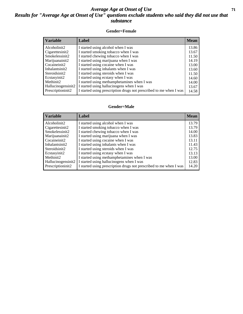#### *Average Age at Onset of Use* **71** *Results for "Average Age at Onset of Use" questions exclude students who said they did not use that substance*

#### **Gender=Female**

| <b>Variable</b>                 | Label                                                              | <b>Mean</b> |
|---------------------------------|--------------------------------------------------------------------|-------------|
| Alcoholinit2                    | I started using alcohol when I was                                 | 13.86       |
| Cigarettesinit2                 | I started smoking tobacco when I was                               | 13.67       |
| Smokelessinit2                  | I started chewing tobacco when I was                               | 11.50       |
| Marijuanainit2                  | I started using marijuana when I was                               | 14.19       |
| Cocaineinit2                    | I started using cocaine when I was                                 | 13.00       |
| Inhalantsinit2                  | I started using inhalants when I was                               | 13.60       |
| Steroidsinit2                   | I started using steroids when I was                                | 11.50       |
| Ecstasyinit2                    | I started using ecstasy when I was                                 | 14.60       |
| Methinit2                       | I started using methamphetamines when I was                        | 14.00       |
| Hallucinogensinit2              | I started using hallucinogens when I was                           | 13.67       |
| Prescription in it <sub>2</sub> | I started using prescription drugs not prescribed to me when I was | 14.58       |

#### **Gender=Male**

| <b>Variable</b>                 | Label                                                              | <b>Mean</b> |
|---------------------------------|--------------------------------------------------------------------|-------------|
| Alcoholinit2                    | I started using alcohol when I was                                 | 13.79       |
| Cigarettesinit2                 | I started smoking tobacco when I was                               | 13.79       |
| Smokelessinit2                  | I started chewing tobacco when I was                               | 14.00       |
| Marijuanainit2                  | I started using marijuana when I was                               | 13.83       |
| Cocaineinit2                    | I started using cocaine when I was                                 | 13.11       |
| Inhalantsinit2                  | I started using inhalants when I was                               | 11.43       |
| Steroidsinit2                   | I started using steroids when I was                                | 12.75       |
| Ecstasyinit2                    | I started using ecstasy when I was                                 | 13.13       |
| Methinit2                       | I started using methamphetamines when I was                        | 13.00       |
| Hallucinogensinit2              | I started using hallucinogens when I was                           | 12.83       |
| Prescription in it <sub>2</sub> | I started using prescription drugs not prescribed to me when I was | 14.20       |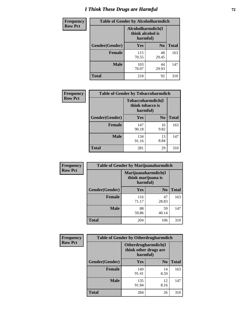# *I Think These Drugs are Harmful* **72**

| <b>Frequency</b> | <b>Table of Gender by Alcoholharmdich</b> |                                                   |                |              |
|------------------|-------------------------------------------|---------------------------------------------------|----------------|--------------|
| <b>Row Pct</b>   |                                           | Alcoholharmdich(I<br>think alcohol is<br>harmful) |                |              |
|                  | Gender(Gender)                            | <b>Yes</b>                                        | N <sub>0</sub> | <b>Total</b> |
|                  | <b>Female</b>                             | 115<br>70.55                                      | 48<br>29.45    | 163          |
|                  | <b>Male</b>                               | 103<br>70.07                                      | 44<br>29.93    | 147          |
|                  | Total                                     | 218                                               | 92             | 310          |

| Frequency      | <b>Table of Gender by Tobaccoharmdich</b> |                  |                               |              |
|----------------|-------------------------------------------|------------------|-------------------------------|--------------|
| <b>Row Pct</b> |                                           | think tobacco is | Tobaccoharmdich(I<br>harmful) |              |
|                | Gender(Gender)                            | <b>Yes</b>       | N <sub>0</sub>                | <b>Total</b> |
|                | <b>Female</b>                             | 147<br>90.18     | 16<br>9.82                    | 163          |
|                | <b>Male</b>                               | 134<br>91.16     | 13<br>8.84                    | 147          |
|                | <b>Total</b>                              | 281              | 29                            | 310          |

| Frequency      | <b>Table of Gender by Marijuanaharmdich</b> |                                                       |                |              |  |
|----------------|---------------------------------------------|-------------------------------------------------------|----------------|--------------|--|
| <b>Row Pct</b> |                                             | Marijuanaharmdich(I<br>think marijuana is<br>harmful) |                |              |  |
|                | Gender(Gender)                              | <b>Yes</b>                                            | N <sub>0</sub> | <b>Total</b> |  |
|                | <b>Female</b>                               | 116<br>71.17                                          | 47<br>28.83    | 163          |  |
|                | <b>Male</b>                                 | 88<br>59.86                                           | 59<br>40.14    | 147          |  |
|                | <b>Total</b>                                | 204                                                   | 106            | 310          |  |

| Frequency      | <b>Table of Gender by Otherdrugharmdich</b> |                                                          |                |              |  |
|----------------|---------------------------------------------|----------------------------------------------------------|----------------|--------------|--|
| <b>Row Pct</b> |                                             | Otherdrugharmdich(I<br>think other drugs are<br>harmful) |                |              |  |
|                | Gender(Gender)                              | <b>Yes</b>                                               | N <sub>0</sub> | <b>Total</b> |  |
|                | <b>Female</b>                               | 149<br>91.41                                             | 14<br>8.59     | 163          |  |
|                | <b>Male</b>                                 | 135<br>91.84                                             | 12<br>8.16     | 147          |  |
|                | <b>Total</b>                                | 284                                                      | 26             | 310          |  |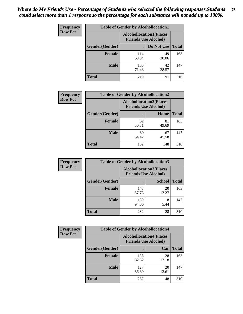| <b>Frequency</b> | <b>Table of Gender by Alcohollocation1</b> |              |                                                               |              |
|------------------|--------------------------------------------|--------------|---------------------------------------------------------------|--------------|
| <b>Row Pct</b>   |                                            |              | <b>Alcohollocation1(Places</b><br><b>Friends Use Alcohol)</b> |              |
|                  | Gender(Gender)                             |              | Do Not Use                                                    | <b>Total</b> |
|                  | <b>Female</b>                              | 114<br>69.94 | 49<br>30.06                                                   | 163          |
|                  | <b>Male</b>                                | 105<br>71.43 | 42<br>28.57                                                   | 147          |
|                  | <b>Total</b>                               | 219          | 91                                                            | 310          |

| <b>Frequency</b> | <b>Table of Gender by Alcohollocation2</b> |             |                                                               |              |
|------------------|--------------------------------------------|-------------|---------------------------------------------------------------|--------------|
| <b>Row Pct</b>   |                                            |             | <b>Alcohollocation2(Places</b><br><b>Friends Use Alcohol)</b> |              |
|                  | Gender(Gender)                             |             | Home                                                          | <b>Total</b> |
|                  | <b>Female</b>                              | 82<br>50.31 | 81<br>49.69                                                   | 163          |
|                  | <b>Male</b>                                | 80<br>54.42 | 67<br>45.58                                                   | 147          |
|                  | <b>Total</b>                               | 162         | 148                                                           | 310          |

| Frequency      | <b>Table of Gender by Alcohollocation3</b> |              |                                                               |              |
|----------------|--------------------------------------------|--------------|---------------------------------------------------------------|--------------|
| <b>Row Pct</b> |                                            |              | <b>Alcohollocation3(Places</b><br><b>Friends Use Alcohol)</b> |              |
|                | Gender(Gender)                             |              | <b>School</b>                                                 | <b>Total</b> |
|                | <b>Female</b>                              | 143<br>87.73 | 20<br>12.27                                                   | 163          |
|                | <b>Male</b>                                | 139<br>94.56 | 8<br>5.44                                                     | 147          |
|                | <b>Total</b>                               | 282          | 28                                                            | 310          |

| <b>Frequency</b> | <b>Table of Gender by Alcohollocation4</b> |                                                               |             |              |
|------------------|--------------------------------------------|---------------------------------------------------------------|-------------|--------------|
| <b>Row Pct</b>   |                                            | <b>Alcohollocation4(Places</b><br><b>Friends Use Alcohol)</b> |             |              |
|                  | Gender(Gender)                             |                                                               | Car         | <b>Total</b> |
|                  | <b>Female</b>                              | 135<br>82.82                                                  | 28<br>17.18 | 163          |
|                  | <b>Male</b>                                | 127<br>86.39                                                  | 20<br>13.61 | 147          |
|                  | <b>Total</b>                               | 262                                                           | 48          | 310          |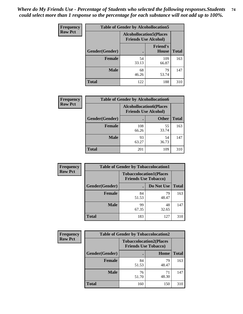| <b>Frequency</b> |                | <b>Table of Gender by Alcohollocation5</b>                    |                                 |              |
|------------------|----------------|---------------------------------------------------------------|---------------------------------|--------------|
| <b>Row Pct</b>   |                | <b>Alcohollocation5(Places</b><br><b>Friends Use Alcohol)</b> |                                 |              |
|                  | Gender(Gender) | $\bullet$                                                     | <b>Friend's</b><br><b>House</b> | <b>Total</b> |
|                  | <b>Female</b>  | 54<br>33.13                                                   | 109<br>66.87                    | 163          |
|                  | <b>Male</b>    | 68<br>46.26                                                   | 79<br>53.74                     | 147          |
|                  | <b>Total</b>   | 122                                                           | 188                             | 310          |

| Frequency      |                        | <b>Table of Gender by Alcohollocation6</b>                    |              |              |  |  |
|----------------|------------------------|---------------------------------------------------------------|--------------|--------------|--|--|
| <b>Row Pct</b> |                        | <b>Alcohollocation6(Places</b><br><b>Friends Use Alcohol)</b> |              |              |  |  |
|                | <b>Gender</b> (Gender) |                                                               | <b>Other</b> | <b>Total</b> |  |  |
|                | <b>Female</b>          | 108<br>66.26                                                  | 55<br>33.74  | 163          |  |  |
|                | <b>Male</b>            | 93<br>63.27                                                   | 54<br>36.73  | 147          |  |  |
|                | <b>Total</b>           | 201                                                           | 109          | 310          |  |  |

| Frequency      | <b>Table of Gender by Tobaccolocation1</b> |                                                               |             |              |  |
|----------------|--------------------------------------------|---------------------------------------------------------------|-------------|--------------|--|
| <b>Row Pct</b> |                                            | <b>Tobaccolocation1(Places</b><br><b>Friends Use Tobacco)</b> |             |              |  |
|                | Gender(Gender)                             |                                                               | Do Not Use  | <b>Total</b> |  |
|                | <b>Female</b>                              | 84<br>51.53                                                   | 79<br>48.47 | 163          |  |
|                | <b>Male</b>                                | 99<br>67.35                                                   | 48<br>32.65 | 147          |  |
|                | <b>Total</b>                               | 183                                                           | 127         | 310          |  |

| <b>Frequency</b> | <b>Table of Gender by Tobaccolocation2</b> |                                                               |             |              |
|------------------|--------------------------------------------|---------------------------------------------------------------|-------------|--------------|
| <b>Row Pct</b>   |                                            | <b>Tobaccolocation2(Places</b><br><b>Friends Use Tobacco)</b> |             |              |
|                  | Gender(Gender)                             |                                                               | Home        | <b>Total</b> |
|                  | Female                                     | 84<br>51.53                                                   | 79<br>48.47 | 163          |
|                  | <b>Male</b>                                | 76<br>51.70                                                   | 71<br>48.30 | 147          |
|                  | <b>Total</b>                               | 160                                                           | 150         | 310          |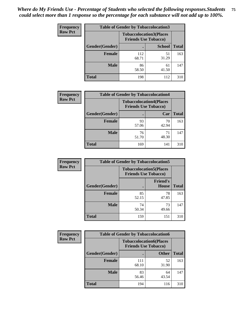| <b>Frequency</b> | <b>Table of Gender by Tobaccolocation3</b> |              |                                                               |              |
|------------------|--------------------------------------------|--------------|---------------------------------------------------------------|--------------|
| <b>Row Pct</b>   |                                            |              | <b>Tobaccolocation3(Places</b><br><b>Friends Use Tobacco)</b> |              |
|                  | Gender(Gender)                             |              | <b>School</b>                                                 | <b>Total</b> |
|                  | <b>Female</b>                              | 112<br>68.71 | 51<br>31.29                                                   | 163          |
|                  | <b>Male</b>                                | 86<br>58.50  | 61<br>41.50                                                   | 147          |
|                  | Total                                      | 198          | 112                                                           | 310          |

| <b>Frequency</b> | <b>Table of Gender by Tobaccolocation4</b> |                                                               |             |              |
|------------------|--------------------------------------------|---------------------------------------------------------------|-------------|--------------|
| <b>Row Pct</b>   |                                            | <b>Tobaccolocation4(Places</b><br><b>Friends Use Tobacco)</b> |             |              |
|                  | Gender(Gender)                             |                                                               | Car         | <b>Total</b> |
|                  | <b>Female</b>                              | 93<br>57.06                                                   | 70<br>42.94 | 163          |
|                  | <b>Male</b>                                | 76<br>51.70                                                   | 71<br>48.30 | 147          |
|                  | <b>Total</b>                               | 169                                                           | 141         | 310          |

| <b>Frequency</b> | <b>Table of Gender by Tobaccolocation5</b> |                                                               |                                 |              |
|------------------|--------------------------------------------|---------------------------------------------------------------|---------------------------------|--------------|
| <b>Row Pct</b>   |                                            | <b>Tobaccolocation5(Places</b><br><b>Friends Use Tobacco)</b> |                                 |              |
|                  | Gender(Gender)                             |                                                               | <b>Friend's</b><br><b>House</b> | <b>Total</b> |
|                  | Female                                     | 85<br>52.15                                                   | 78<br>47.85                     | 163          |
|                  | <b>Male</b>                                | 74<br>50.34                                                   | 73<br>49.66                     | 147          |
|                  | <b>Total</b>                               | 159                                                           | 151                             | 310          |

| <b>Frequency</b> | <b>Table of Gender by Tobaccolocation6</b> |                                                               |              |              |  |
|------------------|--------------------------------------------|---------------------------------------------------------------|--------------|--------------|--|
| <b>Row Pct</b>   |                                            | <b>Tobaccolocation6(Places</b><br><b>Friends Use Tobacco)</b> |              |              |  |
|                  | Gender(Gender)                             |                                                               | <b>Other</b> | <b>Total</b> |  |
|                  | Female                                     | 111<br>68.10                                                  | 52<br>31.90  | 163          |  |
|                  | <b>Male</b>                                | 83<br>56.46                                                   | 64<br>43.54  | 147          |  |
|                  | <b>Total</b>                               | 194                                                           | 116          | 310          |  |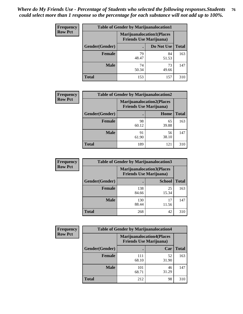| <b>Frequency</b> | <b>Table of Gender by Marijuanalocation1</b> |                                                                    |             |              |  |
|------------------|----------------------------------------------|--------------------------------------------------------------------|-------------|--------------|--|
| <b>Row Pct</b>   |                                              | <b>Marijuanalocation1(Places</b><br><b>Friends Use Marijuana</b> ) |             |              |  |
|                  | Gender(Gender)                               |                                                                    | Do Not Use  | <b>Total</b> |  |
|                  | <b>Female</b>                                | 79<br>48.47                                                        | 84<br>51.53 | 163          |  |
|                  | <b>Male</b>                                  | 74<br>50.34                                                        | 73<br>49.66 | 147          |  |
|                  | <b>Total</b>                                 | 153                                                                | 157         | 310          |  |

| <b>Frequency</b> | <b>Table of Gender by Marijuanalocation2</b> |                                                                    |             |              |  |
|------------------|----------------------------------------------|--------------------------------------------------------------------|-------------|--------------|--|
| <b>Row Pct</b>   |                                              | <b>Marijuanalocation2(Places</b><br><b>Friends Use Marijuana</b> ) |             |              |  |
|                  | Gender(Gender)                               |                                                                    | Home        | <b>Total</b> |  |
|                  | Female                                       | 98<br>60.12                                                        | 65<br>39.88 | 163          |  |
|                  | <b>Male</b>                                  | 91<br>61.90                                                        | 56<br>38.10 | 147          |  |
|                  | <b>Total</b>                                 | 189                                                                | 121         | 310          |  |

| Frequency      | <b>Table of Gender by Marijuanalocation3</b> |                                                                    |               |              |
|----------------|----------------------------------------------|--------------------------------------------------------------------|---------------|--------------|
| <b>Row Pct</b> |                                              | <b>Marijuanalocation3(Places</b><br><b>Friends Use Marijuana</b> ) |               |              |
|                | Gender(Gender)                               |                                                                    | <b>School</b> | <b>Total</b> |
|                | Female                                       | 138<br>84.66                                                       | 25<br>15.34   | 163          |
|                | <b>Male</b>                                  | 130<br>88.44                                                       | 17<br>11.56   | 147          |
|                | <b>Total</b>                                 | 268                                                                | 42            | 310          |

| <b>Frequency</b> | <b>Table of Gender by Marijuanalocation4</b> |                                                                    |             |              |  |
|------------------|----------------------------------------------|--------------------------------------------------------------------|-------------|--------------|--|
| <b>Row Pct</b>   |                                              | <b>Marijuanalocation4(Places</b><br><b>Friends Use Marijuana</b> ) |             |              |  |
|                  | Gender(Gender)                               |                                                                    | Car         | <b>Total</b> |  |
|                  | <b>Female</b>                                | 111<br>68.10                                                       | 52<br>31.90 | 163          |  |
|                  | <b>Male</b>                                  | 101<br>68.71                                                       | 46<br>31.29 | 147          |  |
|                  | <b>Total</b>                                 | 212                                                                | 98          | 310          |  |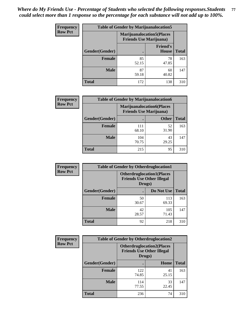| <b>Frequency</b> | <b>Table of Gender by Marijuanalocation5</b> |                                                                     |                                 |              |
|------------------|----------------------------------------------|---------------------------------------------------------------------|---------------------------------|--------------|
| <b>Row Pct</b>   |                                              | <b>Marijuanalocation5</b> (Places<br><b>Friends Use Marijuana</b> ) |                                 |              |
|                  | Gender(Gender)                               |                                                                     | <b>Friend's</b><br><b>House</b> | <b>Total</b> |
|                  | <b>Female</b>                                | 85<br>52.15                                                         | 78<br>47.85                     | 163          |
|                  | <b>Male</b>                                  | 87<br>59.18                                                         | 60<br>40.82                     | 147          |
|                  | <b>Total</b>                                 | 172                                                                 | 138                             | 310          |

| <b>Frequency</b> | <b>Table of Gender by Marijuanalocation6</b> |                                |                                  |              |
|------------------|----------------------------------------------|--------------------------------|----------------------------------|--------------|
| <b>Row Pct</b>   |                                              | <b>Friends Use Marijuana</b> ) | <b>Marijuanalocation6(Places</b> |              |
|                  | <b>Gender</b> (Gender)                       |                                | <b>Other</b>                     | <b>Total</b> |
|                  | <b>Female</b>                                | 111<br>68.10                   | 52<br>31.90                      | 163          |
|                  | <b>Male</b>                                  | 104<br>70.75                   | 43<br>29.25                      | 147          |
|                  | <b>Total</b>                                 | 215                            | 95                               | 310          |

| <b>Frequency</b> | <b>Table of Gender by Otherdruglocation1</b> |                                                                                |              |              |
|------------------|----------------------------------------------|--------------------------------------------------------------------------------|--------------|--------------|
| <b>Row Pct</b>   |                                              | <b>Otherdruglocation1(Places</b><br><b>Friends Use Other Illegal</b><br>Drugs) |              |              |
|                  | Gender(Gender)                               |                                                                                | Do Not Use   | <b>Total</b> |
|                  | <b>Female</b>                                | 50<br>30.67                                                                    | 113<br>69.33 | 163          |
|                  | <b>Male</b>                                  | 42<br>28.57                                                                    | 105<br>71.43 | 147          |
|                  | <b>Total</b>                                 | 92                                                                             | 218          | 310          |

| <b>Frequency</b> | <b>Table of Gender by Otherdruglocation2</b><br><b>Otherdruglocation2(Places</b><br><b>Friends Use Other Illegal</b><br>Drugs) |              |             |              |
|------------------|--------------------------------------------------------------------------------------------------------------------------------|--------------|-------------|--------------|
| <b>Row Pct</b>   |                                                                                                                                |              |             |              |
|                  | Gender(Gender)                                                                                                                 |              | Home        | <b>Total</b> |
|                  | <b>Female</b>                                                                                                                  | 122<br>74.85 | 41<br>25.15 | 163          |
|                  | <b>Male</b>                                                                                                                    | 114<br>77.55 | 33<br>22.45 | 147          |
|                  | <b>Total</b>                                                                                                                   | 236          | 74          | 310          |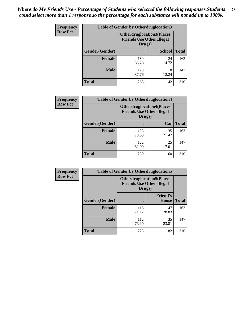| <b>Frequency</b> | <b>Table of Gender by Otherdruglocation3</b> |                                                                                |               |              |
|------------------|----------------------------------------------|--------------------------------------------------------------------------------|---------------|--------------|
| <b>Row Pct</b>   |                                              | <b>Otherdruglocation3(Places</b><br><b>Friends Use Other Illegal</b><br>Drugs) |               |              |
|                  | Gender(Gender)                               |                                                                                | <b>School</b> | <b>Total</b> |
|                  | Female                                       | 139<br>85.28                                                                   | 24<br>14.72   | 163          |
|                  | <b>Male</b>                                  | 129<br>87.76                                                                   | 18<br>12.24   | 147          |
|                  | <b>Total</b>                                 | 268                                                                            | 42            | 310          |

| Frequency      | <b>Table of Gender by Otherdruglocation4</b> |                                                                                |             |              |
|----------------|----------------------------------------------|--------------------------------------------------------------------------------|-------------|--------------|
| <b>Row Pct</b> |                                              | <b>Otherdruglocation4(Places</b><br><b>Friends Use Other Illegal</b><br>Drugs) |             |              |
|                | Gender(Gender)                               |                                                                                | Car         | <b>Total</b> |
|                | <b>Female</b>                                | 128<br>78.53                                                                   | 35<br>21.47 | 163          |
|                | <b>Male</b>                                  | 122<br>82.99                                                                   | 25<br>17.01 | 147          |
|                | <b>Total</b>                                 | 250                                                                            | 60          | 310          |

| <b>Frequency</b> | <b>Table of Gender by Otherdruglocation5</b> |              |                                                                      |              |
|------------------|----------------------------------------------|--------------|----------------------------------------------------------------------|--------------|
| <b>Row Pct</b>   |                                              | Drugs)       | <b>Otherdruglocation5(Places</b><br><b>Friends Use Other Illegal</b> |              |
|                  | Gender(Gender)                               |              | <b>Friend's</b><br><b>House</b>                                      | <b>Total</b> |
|                  | <b>Female</b>                                | 116<br>71.17 | 47<br>28.83                                                          | 163          |
|                  | <b>Male</b>                                  | 112<br>76.19 | 35<br>23.81                                                          | 147          |
|                  | <b>Total</b>                                 | 228          | 82                                                                   | 310          |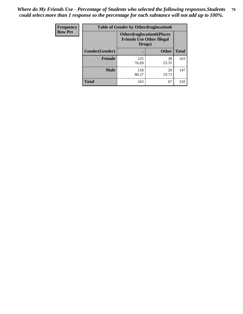| Frequency      | <b>Table of Gender by Otherdruglocation6</b> |                                            |                                  |              |
|----------------|----------------------------------------------|--------------------------------------------|----------------------------------|--------------|
| <b>Row Pct</b> |                                              | <b>Friends Use Other Illegal</b><br>Drugs) | <b>Otherdruglocation6(Places</b> |              |
|                | Gender(Gender)                               |                                            | <b>Other</b>                     | <b>Total</b> |
|                | <b>Female</b>                                | 125<br>76.69                               | 38<br>23.31                      | 163          |
|                | <b>Male</b>                                  | 118<br>80.27                               | 29<br>19.73                      | 147          |
|                | <b>Total</b>                                 | 243                                        | 67                               | 310          |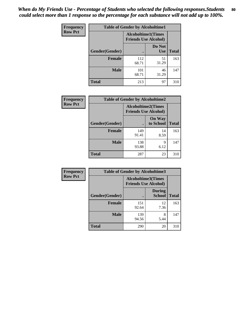| <b>Frequency</b> | <b>Table of Gender by Alcoholtime1</b> |                                                          |                      |              |
|------------------|----------------------------------------|----------------------------------------------------------|----------------------|--------------|
| <b>Row Pct</b>   |                                        | <b>Alcoholtime1(Times</b><br><b>Friends Use Alcohol)</b> |                      |              |
|                  | Gender(Gender)                         | $\bullet$                                                | Do Not<br><b>Use</b> | <b>Total</b> |
|                  | <b>Female</b>                          | 112<br>68.71                                             | 51<br>31.29          | 163          |
|                  | <b>Male</b>                            | 101<br>68.71                                             | 46<br>31.29          | 147          |
|                  | <b>Total</b>                           | 213                                                      | 97                   | 310          |

| <b>Frequency</b> | <b>Table of Gender by Alcoholtime2</b> |                                                          |                            |              |
|------------------|----------------------------------------|----------------------------------------------------------|----------------------------|--------------|
| <b>Row Pct</b>   |                                        | <b>Alcoholtime2(Times</b><br><b>Friends Use Alcohol)</b> |                            |              |
|                  | Gender(Gender)                         |                                                          | <b>On Way</b><br>to School | <b>Total</b> |
|                  | <b>Female</b>                          | 149<br>91.41                                             | 14<br>8.59                 | 163          |
|                  | <b>Male</b>                            | 138<br>93.88                                             | 9<br>6.12                  | 147          |
|                  | <b>Total</b>                           | 287                                                      | 23                         | 310          |

| Frequency      | <b>Table of Gender by Alcoholtime3</b> |                                                          |                         |              |
|----------------|----------------------------------------|----------------------------------------------------------|-------------------------|--------------|
| <b>Row Pct</b> |                                        | <b>Alcoholtime3(Times</b><br><b>Friends Use Alcohol)</b> |                         |              |
|                | Gender(Gender)                         |                                                          | <b>During</b><br>School | <b>Total</b> |
|                | <b>Female</b>                          | 151<br>92.64                                             | 12<br>7.36              | 163          |
|                | <b>Male</b>                            | 139<br>94.56                                             | 8<br>5.44               | 147          |
|                | <b>Total</b>                           | 290                                                      | 20                      | 310          |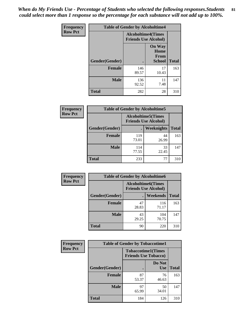*When do My Friends Use - Percentage of Students who selected the following responses.Students could select more than 1 response so the percentage for each substance will not add up to 100%.* **81**

| <b>Frequency</b> | <b>Table of Gender by Alcoholtime4</b> |                                                          |                                                       |              |
|------------------|----------------------------------------|----------------------------------------------------------|-------------------------------------------------------|--------------|
| <b>Row Pct</b>   |                                        | <b>Alcoholtime4(Times</b><br><b>Friends Use Alcohol)</b> |                                                       |              |
|                  | Gender(Gender)                         |                                                          | <b>On Way</b><br>Home<br><b>From</b><br><b>School</b> | <b>Total</b> |
|                  | <b>Female</b>                          | 146<br>89.57                                             | 17<br>10.43                                           | 163          |
|                  | <b>Male</b>                            | 136<br>92.52                                             | 11<br>7.48                                            | 147          |
|                  | <b>Total</b>                           | 282                                                      | 28                                                    | 310          |

| <b>Frequency</b> | <b>Table of Gender by Alcoholtime5</b> |                                                           |             |              |  |
|------------------|----------------------------------------|-----------------------------------------------------------|-------------|--------------|--|
| <b>Row Pct</b>   |                                        | <b>Alcoholtime5</b> (Times<br><b>Friends Use Alcohol)</b> |             |              |  |
|                  | Gender(Gender)                         |                                                           | Weeknights  | <b>Total</b> |  |
|                  | <b>Female</b>                          | 119<br>73.01                                              | 44<br>26.99 | 163          |  |
|                  | <b>Male</b>                            | 114<br>77.55                                              | 33<br>22.45 | 147          |  |
|                  | <b>Total</b>                           | 233                                                       | 77          | 310          |  |

| <b>Frequency</b> | <b>Table of Gender by Alcoholtime6</b> |             |                                                          |              |
|------------------|----------------------------------------|-------------|----------------------------------------------------------|--------------|
| <b>Row Pct</b>   |                                        |             | <b>Alcoholtime6(Times</b><br><b>Friends Use Alcohol)</b> |              |
|                  | Gender(Gender)                         |             | <b>Weekends</b>                                          | <b>Total</b> |
|                  | <b>Female</b>                          | 47<br>28.83 | 116<br>71.17                                             | 163          |
|                  | <b>Male</b>                            | 43<br>29.25 | 104<br>70.75                                             | 147          |
|                  | Total                                  | 90          | 220                                                      | 310          |

| Frequency      | <b>Table of Gender by Tobaccotime1</b> |                                                          |                      |              |
|----------------|----------------------------------------|----------------------------------------------------------|----------------------|--------------|
| <b>Row Pct</b> |                                        | <b>Tobaccotime1(Times</b><br><b>Friends Use Tobacco)</b> |                      |              |
|                | Gender(Gender)                         |                                                          | Do Not<br><b>Use</b> | <b>Total</b> |
|                | Female                                 | 87<br>53.37                                              | 76<br>46.63          | 163          |
|                | <b>Male</b>                            | 97<br>65.99                                              | 50<br>34.01          | 147          |
|                | <b>Total</b>                           | 184                                                      | 126                  | 310          |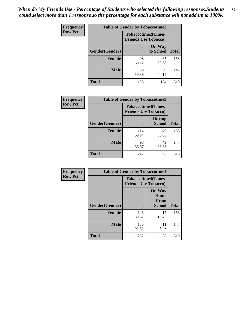| Frequency      | <b>Table of Gender by Tobaccotime2</b> |                                                          |                            |              |
|----------------|----------------------------------------|----------------------------------------------------------|----------------------------|--------------|
| <b>Row Pct</b> |                                        | <b>Tobaccotime2(Times</b><br><b>Friends Use Tobacco)</b> |                            |              |
|                | Gender(Gender)                         | $\bullet$                                                | <b>On Way</b><br>to School | <b>Total</b> |
|                | <b>Female</b>                          | 98<br>60.12                                              | 65<br>39.88                | 163          |
|                | <b>Male</b>                            | 88<br>59.86                                              | 59<br>40.14                | 147          |
|                | <b>Total</b>                           | 186                                                      | 124                        | 310          |

| Frequency      | <b>Table of Gender by Tobaccotime3</b> |                                                          |                                |              |
|----------------|----------------------------------------|----------------------------------------------------------|--------------------------------|--------------|
| <b>Row Pct</b> |                                        | <b>Tobaccotime3(Times</b><br><b>Friends Use Tobacco)</b> |                                |              |
|                | Gender(Gender)                         |                                                          | <b>During</b><br><b>School</b> | <b>Total</b> |
|                | Female                                 | 114<br>69.94                                             | 49<br>30.06                    | 163          |
|                | <b>Male</b>                            | 98<br>66.67                                              | 49<br>33.33                    | 147          |
|                | <b>Total</b>                           | 212                                                      | 98                             | 310          |

| <b>Frequency</b> | <b>Table of Gender by Tobaccotime4</b> |                                                          |                                                       |              |
|------------------|----------------------------------------|----------------------------------------------------------|-------------------------------------------------------|--------------|
| <b>Row Pct</b>   |                                        | <b>Tobaccotime4(Times</b><br><b>Friends Use Tobacco)</b> |                                                       |              |
|                  | Gender(Gender)                         |                                                          | <b>On Way</b><br>Home<br><b>From</b><br><b>School</b> | <b>Total</b> |
|                  | <b>Female</b>                          | 146<br>89.57                                             | 17<br>10.43                                           | 163          |
|                  | <b>Male</b>                            | 136<br>92.52                                             | 11<br>7.48                                            | 147          |
|                  | <b>Total</b>                           | 282                                                      | 28                                                    | 310          |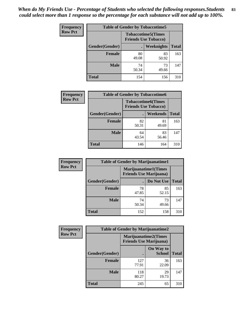| <b>Frequency</b> | <b>Table of Gender by Tobaccotime5</b> |             |                                                          |              |  |
|------------------|----------------------------------------|-------------|----------------------------------------------------------|--------------|--|
| <b>Row Pct</b>   |                                        |             | <b>Tobaccotime5(Times</b><br><b>Friends Use Tobacco)</b> |              |  |
|                  | <b>Gender</b> (Gender)                 |             | <b>Weeknights</b>                                        | <b>Total</b> |  |
|                  | Female                                 | 80<br>49.08 | 83<br>50.92                                              | 163          |  |
|                  | <b>Male</b>                            | 74<br>50.34 | 73<br>49.66                                              | 147          |  |
|                  | <b>Total</b>                           | 154         | 156                                                      | 310          |  |

| <b>Frequency</b> | <b>Table of Gender by Tobaccotime6</b> |                             |                           |              |
|------------------|----------------------------------------|-----------------------------|---------------------------|--------------|
| <b>Row Pct</b>   |                                        | <b>Friends Use Tobacco)</b> | <b>Tobaccotime6(Times</b> |              |
|                  | Gender(Gender)                         |                             | Weekends                  | <b>Total</b> |
|                  | Female                                 | 82<br>50.31                 | 81<br>49.69               | 163          |
|                  | <b>Male</b>                            | 64<br>43.54                 | 83<br>56.46               | 147          |
|                  | <b>Total</b>                           | 146                         | 164                       | 310          |

| <b>Frequency</b> | <b>Table of Gender by Marijuanatime1</b> |                                |                             |              |
|------------------|------------------------------------------|--------------------------------|-----------------------------|--------------|
| <b>Row Pct</b>   |                                          | <b>Friends Use Marijuana</b> ) | <b>Marijuanatime1(Times</b> |              |
|                  | Gender(Gender)                           |                                | Do Not Use                  | <b>Total</b> |
|                  | <b>Female</b>                            | 78<br>47.85                    | 85<br>52.15                 | 163          |
|                  | <b>Male</b>                              | 74<br>50.34                    | 73<br>49.66                 | 147          |
|                  | <b>Total</b>                             | 152                            | 158                         | 310          |

| <b>Frequency</b> | <b>Table of Gender by Marijuanatime2</b> |                                                               |                            |              |
|------------------|------------------------------------------|---------------------------------------------------------------|----------------------------|--------------|
| <b>Row Pct</b>   |                                          | <b>Marijuanatime2(Times</b><br><b>Friends Use Marijuana</b> ) |                            |              |
|                  | Gender(Gender)                           |                                                               | On Way to<br><b>School</b> | <b>Total</b> |
|                  | Female                                   | 127<br>77.91                                                  | 36<br>22.09                | 163          |
|                  | <b>Male</b>                              | 118<br>80.27                                                  | 29<br>19.73                | 147          |
|                  | <b>Total</b>                             | 245                                                           | 65                         | 310          |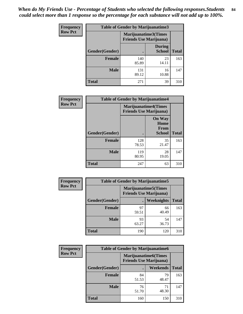*When do My Friends Use - Percentage of Students who selected the following responses.Students could select more than 1 response so the percentage for each substance will not add up to 100%.* **84**

| <b>Frequency</b> | Table of Gender by Marijuanatime3 |                                                        |                                |              |
|------------------|-----------------------------------|--------------------------------------------------------|--------------------------------|--------------|
| <b>Row Pct</b>   |                                   | Marijuanatime3(Times<br><b>Friends Use Marijuana</b> ) |                                |              |
|                  | Gender(Gender)                    |                                                        | <b>During</b><br><b>School</b> | <b>Total</b> |
|                  | <b>Female</b>                     | 140<br>85.89                                           | 23<br>14.11                    | 163          |
|                  | <b>Male</b>                       | 131<br>89.12                                           | 16<br>10.88                    | 147          |
|                  | <b>Total</b>                      | 271                                                    | 39                             | 310          |

| Frequency      | <b>Table of Gender by Marijuanatime4</b> |                                |                                                |              |
|----------------|------------------------------------------|--------------------------------|------------------------------------------------|--------------|
| <b>Row Pct</b> |                                          | <b>Friends Use Marijuana</b> ) | <b>Marijuanatime4</b> (Times                   |              |
|                | Gender(Gender)                           |                                | <b>On Way</b><br>Home<br>From<br><b>School</b> | <b>Total</b> |
|                | <b>Female</b>                            | 128<br>78.53                   | 35<br>21.47                                    | 163          |
|                | <b>Male</b>                              | 119<br>80.95                   | 28<br>19.05                                    | 147          |
|                | <b>Total</b>                             | 247                            | 63                                             | 310          |

| Frequency      | <b>Table of Gender by Marijuanatime5</b> |             |                                                                |              |  |
|----------------|------------------------------------------|-------------|----------------------------------------------------------------|--------------|--|
| <b>Row Pct</b> |                                          |             | <b>Marijuanatime5</b> (Times<br><b>Friends Use Marijuana</b> ) |              |  |
|                | Gender(Gender)                           |             | Weeknights                                                     | <b>Total</b> |  |
|                | <b>Female</b>                            | 97<br>59.51 | 66<br>40.49                                                    | 163          |  |
|                | <b>Male</b>                              | 93<br>63.27 | 54<br>36.73                                                    | 147          |  |
|                | <b>Total</b>                             | 190         | 120                                                            | 310          |  |

| Frequency      |                | <b>Table of Gender by Marijuanatime6</b>                      |                 |              |
|----------------|----------------|---------------------------------------------------------------|-----------------|--------------|
| <b>Row Pct</b> |                | <b>Marijuanatime6(Times</b><br><b>Friends Use Marijuana</b> ) |                 |              |
|                | Gender(Gender) |                                                               | <b>Weekends</b> | <b>Total</b> |
|                | <b>Female</b>  | 84<br>51.53                                                   | 79<br>48.47     | 163          |
|                | <b>Male</b>    | 76<br>51.70                                                   | 71<br>48.30     | 147          |
|                | <b>Total</b>   | 160                                                           | 150             | 310          |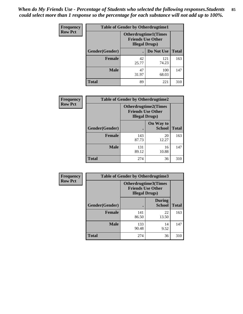*When do My Friends Use - Percentage of Students who selected the following responses.Students could select more than 1 response so the percentage for each substance will not add up to 100%.* **85**

| <b>Frequency</b> | <b>Table of Gender by Otherdrugtime1</b> |                                                    |                              |     |  |
|------------------|------------------------------------------|----------------------------------------------------|------------------------------|-----|--|
| <b>Row Pct</b>   |                                          | <b>Friends Use Other</b><br><b>Illegal Drugs</b> ) | <b>Otherdrugtime1</b> (Times |     |  |
|                  | Gender(Gender)                           |                                                    | Do Not Use   Total           |     |  |
|                  | <b>Female</b>                            | 42<br>25.77                                        | 121<br>74.23                 | 163 |  |
|                  | <b>Male</b>                              | 47<br>31.97                                        | 100<br>68.03                 | 147 |  |
|                  | <b>Total</b>                             | 89                                                 | 221                          | 310 |  |

| Frequency      | <b>Table of Gender by Otherdrugtime2</b> |                                                                                   |                            |              |
|----------------|------------------------------------------|-----------------------------------------------------------------------------------|----------------------------|--------------|
| <b>Row Pct</b> |                                          | <b>Otherdrugtime2(Times</b><br><b>Friends Use Other</b><br><b>Illegal Drugs</b> ) |                            |              |
|                | <b>Gender</b> (Gender)                   |                                                                                   | On Way to<br><b>School</b> | <b>Total</b> |
|                | <b>Female</b>                            | 143<br>87.73                                                                      | 20<br>12.27                | 163          |
|                | <b>Male</b>                              | 131<br>89.12                                                                      | 16<br>10.88                | 147          |
|                | <b>Total</b>                             | 274                                                                               | 36                         | 310          |

| Frequency      | <b>Table of Gender by Otherdrugtime3</b> |                        |                                                         |              |
|----------------|------------------------------------------|------------------------|---------------------------------------------------------|--------------|
| <b>Row Pct</b> |                                          | <b>Illegal Drugs</b> ) | <b>Otherdrugtime3(Times</b><br><b>Friends Use Other</b> |              |
|                | Gender(Gender)                           |                        | <b>During</b><br><b>School</b>                          | <b>Total</b> |
|                | <b>Female</b>                            | 141<br>86.50           | 22<br>13.50                                             | 163          |
|                | <b>Male</b>                              | 133<br>90.48           | 14<br>9.52                                              | 147          |
|                | <b>Total</b>                             | 274                    | 36                                                      | 310          |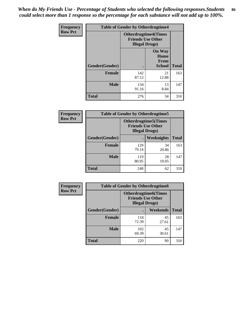*When do My Friends Use - Percentage of Students who selected the following responses.Students could select more than 1 response so the percentage for each substance will not add up to 100%.* **86**

| <b>Frequency</b> | <b>Table of Gender by Otherdrugtime4</b> |                        |                                                         |              |
|------------------|------------------------------------------|------------------------|---------------------------------------------------------|--------------|
| <b>Row Pct</b>   |                                          | <b>Illegal Drugs</b> ) | <b>Otherdrugtime4(Times</b><br><b>Friends Use Other</b> |              |
|                  | Gender(Gender)                           | ٠                      | <b>On Way</b><br>Home<br>From<br><b>School</b>          | <b>Total</b> |
|                  | Female                                   | 142<br>87.12           | 21<br>12.88                                             | 163          |
|                  | <b>Male</b>                              | 134<br>91.16           | 13<br>8.84                                              | 147          |
|                  | <b>Total</b>                             | 276                    | 34                                                      | 310          |

| <b>Frequency</b> | <b>Table of Gender by Otherdrugtime5</b> |                                                                                    |                   |              |
|------------------|------------------------------------------|------------------------------------------------------------------------------------|-------------------|--------------|
| <b>Row Pct</b>   |                                          | <b>Otherdrugtime5</b> (Times<br><b>Friends Use Other</b><br><b>Illegal Drugs</b> ) |                   |              |
|                  | Gender(Gender)                           |                                                                                    | <b>Weeknights</b> | <b>Total</b> |
|                  | <b>Female</b>                            | 129<br>79.14                                                                       | 34<br>20.86       | 163          |
|                  | <b>Male</b>                              | 119<br>80.95                                                                       | 28<br>19.05       | 147          |
|                  | <b>Total</b>                             | 248                                                                                | 62                | 310          |

| <b>Frequency</b> | <b>Table of Gender by Otherdrugtime6</b> |                                                                                   |             |              |
|------------------|------------------------------------------|-----------------------------------------------------------------------------------|-------------|--------------|
| <b>Row Pct</b>   |                                          | <b>Otherdrugtime6(Times</b><br><b>Friends Use Other</b><br><b>Illegal Drugs</b> ) |             |              |
|                  | Gender(Gender)                           |                                                                                   | Weekends    | <b>Total</b> |
|                  | <b>Female</b>                            | 118<br>72.39                                                                      | 45<br>27.61 | 163          |
|                  | <b>Male</b>                              | 102<br>69.39                                                                      | 45<br>30.61 | 147          |
|                  | <b>Total</b>                             | 220                                                                               | 90          | 310          |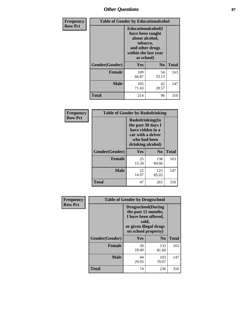# *Other Questions* **87**

| <b>Frequency</b> | <b>Table of Gender by Educationalcohol</b> |                                                                                                                                       |                |              |  |
|------------------|--------------------------------------------|---------------------------------------------------------------------------------------------------------------------------------------|----------------|--------------|--|
| <b>Row Pct</b>   |                                            | <b>Educationalcohol</b> (I<br>have been taught<br>about alcohol,<br>tobacco,<br>and other drugs<br>within the last year<br>at school) |                |              |  |
|                  | Gender(Gender)                             | <b>Yes</b>                                                                                                                            | N <sub>0</sub> | <b>Total</b> |  |
|                  | <b>Female</b>                              | 109<br>66.87                                                                                                                          | 54<br>33.13    | 163          |  |
|                  | <b>Male</b>                                | 105<br>71.43                                                                                                                          | 42<br>28.57    | 147          |  |
|                  | <b>Total</b>                               | 214                                                                                                                                   | 96             | 310          |  |

| Frequency      | <b>Table of Gender by Rodedrinking</b> |                                                                                                                     |              |              |  |  |
|----------------|----------------------------------------|---------------------------------------------------------------------------------------------------------------------|--------------|--------------|--|--|
| <b>Row Pct</b> |                                        | Rodedrinking(In<br>the past 30 days I<br>have ridden in a<br>car with a driver<br>who had been<br>drinking alcohol) |              |              |  |  |
|                | Gender(Gender)                         | Yes                                                                                                                 | $\bf N_0$    | <b>Total</b> |  |  |
|                | <b>Female</b>                          | 25<br>15.34                                                                                                         | 138<br>84.66 | 163          |  |  |
|                | <b>Male</b>                            | 22<br>14.97                                                                                                         | 125<br>85.03 | 147          |  |  |
|                | <b>Total</b>                           | 47                                                                                                                  | 263          | 310          |  |  |

| Frequency      | <b>Table of Gender by Drugsschool</b> |                                                                                                                                     |                |              |  |
|----------------|---------------------------------------|-------------------------------------------------------------------------------------------------------------------------------------|----------------|--------------|--|
| <b>Row Pct</b> |                                       | <b>Drugsschool</b> (During<br>the past 12 months,<br>I have been offered,<br>sold,<br>or given illegal drugs<br>on school property) |                |              |  |
|                | Gender(Gender)                        | <b>Yes</b>                                                                                                                          | N <sub>0</sub> | <b>Total</b> |  |
|                | <b>Female</b>                         | 30<br>18.40                                                                                                                         | 133<br>81.60   | 163          |  |
|                | <b>Male</b>                           | 44<br>29.93                                                                                                                         | 103<br>70.07   | 147          |  |
|                | <b>Total</b>                          | 74                                                                                                                                  | 236            | 310          |  |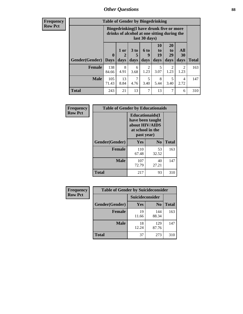## *Other Questions* **88**

**Frequency Row Pct**

| <b>Table of Gender by Bingedrinking</b> |                         |                                                                                                         |                   |                   |                        |                               |                        |              |
|-----------------------------------------|-------------------------|---------------------------------------------------------------------------------------------------------|-------------------|-------------------|------------------------|-------------------------------|------------------------|--------------|
|                                         |                         | Bingedrinking(I have drunk five or more<br>drinks of alcohol at one sitting during the<br>last 30 days) |                   |                   |                        |                               |                        |              |
| <b>Gender</b> (Gender)                  | $\bf{0}$<br><b>Days</b> | 1 or<br>days                                                                                            | 3 to<br>5<br>days | 6 to<br>9<br>days | 10<br>to<br>19<br>days | <b>20</b><br>to<br>29<br>days | All<br>30<br>days      | <b>Total</b> |
| <b>Female</b>                           | 138<br>84.66            | 8<br>4.91                                                                                               | 6<br>3.68         | 2<br>1.23         | 5<br>3.07              | 2<br>1.23                     | $\mathfrak{D}$<br>1.23 | 163          |
| <b>Male</b>                             | 105<br>71.43            | 13<br>8.84                                                                                              | 7<br>4.76         | 5<br>3.40         | 8<br>5.44              | 5<br>3.40                     | 4<br>2.72              | 147          |
| <b>Total</b>                            | 243                     | 21                                                                                                      | 13                | 7                 | 13                     | 7                             | 6                      | 310          |

| Frequency      | <b>Table of Gender by Educationaids</b> |                                                                                                 |                |              |  |
|----------------|-----------------------------------------|-------------------------------------------------------------------------------------------------|----------------|--------------|--|
| <b>Row Pct</b> |                                         | <b>Educationaids</b> (I<br>have been taught<br>about HIV/AIDS<br>at school in the<br>past year) |                |              |  |
|                | Gender(Gender)                          | Yes                                                                                             | N <sub>0</sub> | <b>Total</b> |  |
|                | <b>Female</b>                           | 110<br>67.48                                                                                    | 53<br>32.52    | 163          |  |
|                | <b>Male</b>                             | 107<br>72.79                                                                                    | 40<br>27.21    | 147          |  |
|                | <b>Total</b>                            | 217                                                                                             | 93             | 310          |  |

| <b>Frequency</b> | <b>Table of Gender by Suicideconsider</b> |                        |                |              |  |
|------------------|-------------------------------------------|------------------------|----------------|--------------|--|
| <b>Row Pct</b>   |                                           | <b>Suicideconsider</b> |                |              |  |
|                  | Gender(Gender)                            | Yes                    | N <sub>0</sub> | <b>Total</b> |  |
|                  | <b>Female</b>                             | 19<br>11.66            | 144<br>88.34   | 163          |  |
|                  | <b>Male</b>                               | 18<br>12.24            | 129<br>87.76   | 147          |  |
|                  | <b>Total</b>                              | 37                     | 273            | 310          |  |